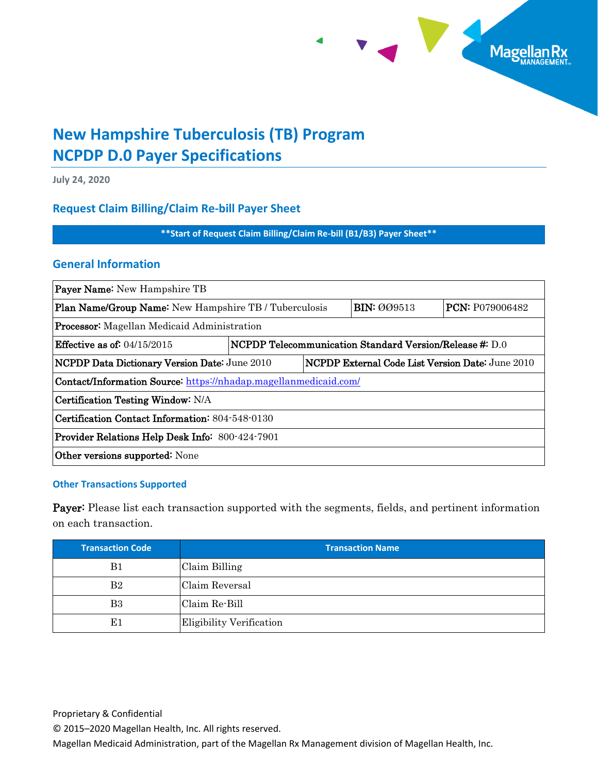

# **New Hampshire Tuberculosis (TB) Program NCPDP D.0 Payer Specifications**

**July 24, 2020**

## **Request Claim Billing/Claim Re-bill Payer Sheet**

**\*\*Start of Request Claim Billing/Claim Re-bill (B1/B3) Payer Sheet\*\***

## **General Information**

| Payer Name: New Hampshire TB                                                                             |                                                                |  |  |  |  |  |  |
|----------------------------------------------------------------------------------------------------------|----------------------------------------------------------------|--|--|--|--|--|--|
| <b>BIN: 009513</b><br><b>PCN: P079006482</b><br>Plan Name/Group Name: New Hampshire TB / Tuberculosis    |                                                                |  |  |  |  |  |  |
| <b>Processor:</b> Magellan Medicaid Administration                                                       |                                                                |  |  |  |  |  |  |
| Effective as of: $04/15/2015$                                                                            | <b>NCPDP</b> Telecommunication Standard Version/Release #: D.0 |  |  |  |  |  |  |
| <b>NCPDP External Code List Version Date:</b> June 2010<br>NCPDP Data Dictionary Version Date: June 2010 |                                                                |  |  |  |  |  |  |
| Contact/Information Source: https://nhadap.magellanmedicaid.com/                                         |                                                                |  |  |  |  |  |  |
| Certification Testing Window: N/A                                                                        |                                                                |  |  |  |  |  |  |
| <b>Certification Contact Information: 804-548-0130</b>                                                   |                                                                |  |  |  |  |  |  |
| Provider Relations Help Desk Info: 800-424-7901                                                          |                                                                |  |  |  |  |  |  |
| Other versions supported: None                                                                           |                                                                |  |  |  |  |  |  |

#### **Other Transactions Supported**

Payer: Please list each transaction supported with the segments, fields, and pertinent information on each transaction.

| <b>Transaction Code</b> | <b>Transaction Name</b>  |
|-------------------------|--------------------------|
| B1                      | Claim Billing            |
| B <sub>2</sub>          | Claim Reversal           |
| B <sub>3</sub>          | Claim Re-Bill            |
| E1                      | Eligibility Verification |

Proprietary & Confidential

© 2015–2020 Magellan Health, Inc. All rights reserved.

Magellan Medicaid Administration, part of the Magellan Rx Management division of Magellan Health, Inc.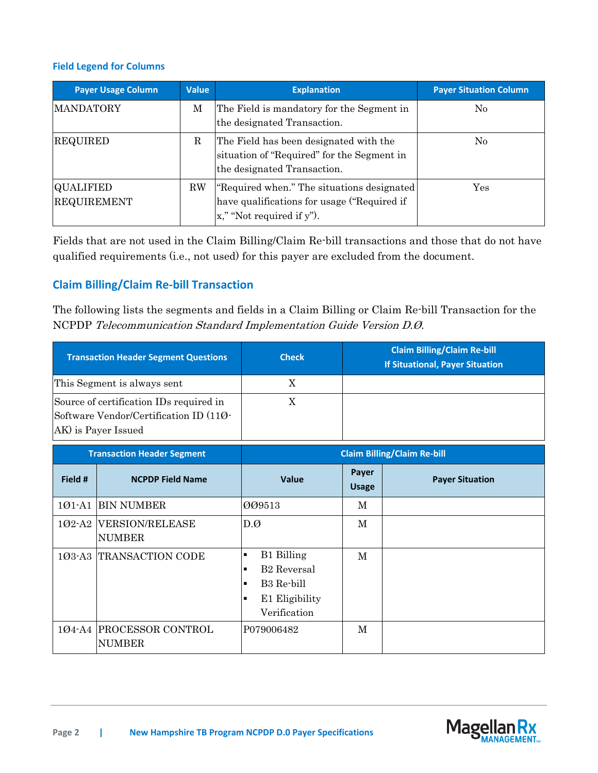#### **Field Legend for Columns**

| <b>Payer Usage Column</b>              | <b>Value</b> | <b>Explanation</b>                                                                                                                 | <b>Payer Situation Column</b> |
|----------------------------------------|--------------|------------------------------------------------------------------------------------------------------------------------------------|-------------------------------|
| <b>MANDATORY</b>                       | М            | The Field is mandatory for the Segment in<br>the designated Transaction.                                                           | No                            |
| <b>REQUIRED</b>                        | R            | The Field has been designated with the<br>situation of "Required" for the Segment in<br>the designated Transaction.                | No                            |
| <b>QUALIFIED</b><br><b>REQUIREMENT</b> | <b>RW</b>    | "Required when." The situations designated<br>have qualifications for usage ("Required if<br>$\mathbf{x}$ ," "Not required if y"). | Yes                           |

Fields that are not used in the Claim Billing/Claim Re-bill transactions and those that do not have qualified requirements (i.e., not used) for this payer are excluded from the document.

# **Claim Billing/Claim Re-bill Transaction**

The following lists the segments and fields in a Claim Billing or Claim Re-bill Transaction for the NCPDP Telecommunication Standard Implementation Guide Version D.Ø.

| <b>Transaction Header Segment Questions</b>                                                              |                                           | <b>Check</b>                                                                                                                   |                       | <b>Claim Billing/Claim Re-bill</b><br><b>If Situational, Payer Situation</b> |
|----------------------------------------------------------------------------------------------------------|-------------------------------------------|--------------------------------------------------------------------------------------------------------------------------------|-----------------------|------------------------------------------------------------------------------|
|                                                                                                          | This Segment is always sent               | X                                                                                                                              |                       |                                                                              |
| Source of certification IDs required in<br>Software Vendor/Certification ID (110-<br>AK) is Payer Issued |                                           | X                                                                                                                              |                       |                                                                              |
|                                                                                                          | <b>Transaction Header Segment</b>         |                                                                                                                                |                       | <b>Claim Billing/Claim Re-bill</b>                                           |
| Field #                                                                                                  | <b>NCPDP Field Name</b>                   | Value                                                                                                                          | Payer<br><b>Usage</b> | <b>Payer Situation</b>                                                       |
| $101 - A1$                                                                                               | <b>BIN NUMBER</b>                         | 009513                                                                                                                         | M                     |                                                                              |
| 102-A2                                                                                                   | <b>VERSION/RELEASE</b><br><b>NUMBER</b>   | $D.\emptyset$                                                                                                                  | $\mathbf{M}$          |                                                                              |
| $103 - A3$                                                                                               | <b>TRANSACTION CODE</b>                   | B1 Billing<br>٠<br><b>B2</b> Reversal<br>٠<br>B3 Re-bill<br>$\blacksquare$<br>E1 Eligibility<br>$\blacksquare$<br>Verification | M                     |                                                                              |
|                                                                                                          | 104-A4 PROCESSOR CONTROL<br><b>NUMBER</b> | P079006482                                                                                                                     | M                     |                                                                              |

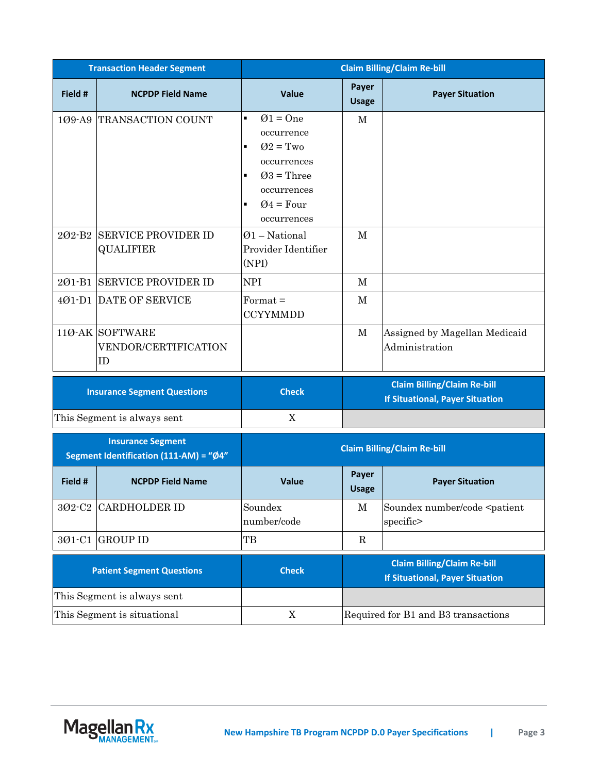|                        | <b>Transaction Header Segment</b>                                  | <b>Claim Billing/Claim Re-bill</b>                                                                                                                                                         |                       |                                                                              |  |
|------------------------|--------------------------------------------------------------------|--------------------------------------------------------------------------------------------------------------------------------------------------------------------------------------------|-----------------------|------------------------------------------------------------------------------|--|
| Field #                | <b>NCPDP Field Name</b>                                            | Value                                                                                                                                                                                      | Payer<br><b>Usage</b> | <b>Payer Situation</b>                                                       |  |
| $109 - A9$             | TRANSACTION COUNT                                                  | $Q1 = One$<br>$\blacksquare$<br>occurrence<br>$Q2 = Two$<br>$\blacksquare$<br>occurrences<br>$Q3$ = Three<br>$\blacksquare$<br>occurrences<br>$Q4 = Four$<br>$\blacksquare$<br>occurrences | М                     |                                                                              |  |
| $202 - B2$             | <b>SERVICE PROVIDER ID</b><br><b>QUALIFIER</b>                     | $Q1$ – National<br>Provider Identifier<br>(NPI)                                                                                                                                            | M                     |                                                                              |  |
|                        | 201-B1 SERVICE PROVIDER ID                                         | <b>NPI</b>                                                                                                                                                                                 | $\mathbf{M}$          |                                                                              |  |
|                        | 401-D1 DATE OF SERVICE                                             | $Format =$<br><b>CCYYMMDD</b>                                                                                                                                                              | $\mathbf{M}$          |                                                                              |  |
|                        | 110-AK SOFTWARE<br>VENDOR/CERTIFICATION<br>ID                      |                                                                                                                                                                                            | $\mathbf M$           | Assigned by Magellan Medicaid<br>Administration                              |  |
|                        | <b>Insurance Segment Questions</b>                                 | <b>Check</b>                                                                                                                                                                               |                       | <b>Claim Billing/Claim Re-bill</b><br><b>If Situational, Payer Situation</b> |  |
|                        | This Segment is always sent                                        | X                                                                                                                                                                                          |                       |                                                                              |  |
|                        | <b>Insurance Segment</b><br>Segment Identification (111-AM) = "Ø4" |                                                                                                                                                                                            |                       | <b>Claim Billing/Claim Re-bill</b>                                           |  |
| Field #                | <b>NCPDP Field Name</b>                                            | <b>Value</b>                                                                                                                                                                               | Payer<br><b>Usage</b> | <b>Payer Situation</b>                                                       |  |
| $302\mbox{-} {\rm C}2$ | <b>CARDHOLDER ID</b>                                               | Soundex<br>number/code                                                                                                                                                                     | $\mathbf M$           | Soundex number/code <patient<br>specific&gt;</patient<br>                    |  |
| 301-C1                 | <b>GROUP ID</b>                                                    | TB                                                                                                                                                                                         | $\mathbf R$           |                                                                              |  |
|                        | <b>Patient Segment Questions</b>                                   | <b>Check</b>                                                                                                                                                                               |                       | <b>Claim Billing/Claim Re-bill</b><br><b>If Situational, Payer Situation</b> |  |
|                        | This Segment is always sent                                        |                                                                                                                                                                                            |                       |                                                                              |  |
|                        | This Segment is situational                                        | $\mathbf X$                                                                                                                                                                                |                       | Required for B1 and B3 transactions                                          |  |

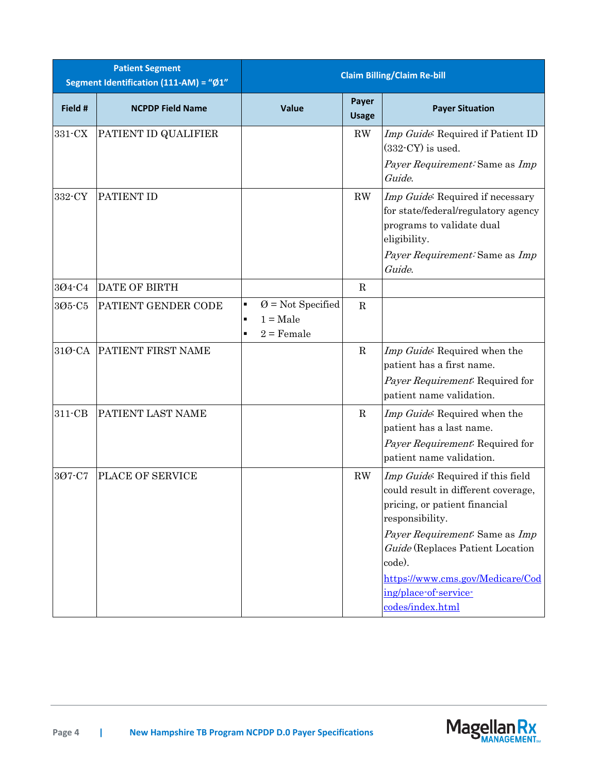| <b>Patient Segment</b><br>Segment Identification (111-AM) = "Ø1" |                         |        | <b>Claim Billing/Claim Re-bill</b>                          |                       |                                                                                                                                                                                                                                                                                               |  |
|------------------------------------------------------------------|-------------------------|--------|-------------------------------------------------------------|-----------------------|-----------------------------------------------------------------------------------------------------------------------------------------------------------------------------------------------------------------------------------------------------------------------------------------------|--|
| Field #                                                          | <b>NCPDP Field Name</b> |        | <b>Value</b>                                                | Payer<br><b>Usage</b> | <b>Payer Situation</b>                                                                                                                                                                                                                                                                        |  |
| 331-CX                                                           | PATIENT ID QUALIFIER    |        |                                                             | RW                    | Imp Guide: Required if Patient ID<br>$(332$ -CY $)$ is used.<br>Payer Requirement: Same as Imp<br>Guide.                                                                                                                                                                                      |  |
| 332-CY                                                           | PATIENT ID              |        |                                                             | RW                    | Imp Guide: Required if necessary<br>for state/federal/regulatory agency<br>programs to validate dual<br>eligibility.<br>Payer Requirement: Same as Imp<br>Guide.                                                                                                                              |  |
| 304-C4                                                           | DATE OF BIRTH           |        |                                                             | $\mathbf R$           |                                                                                                                                                                                                                                                                                               |  |
| 305-C5                                                           | PATIENT GENDER CODE     | п<br>٠ | $\varnothing$ = Not Specified<br>$1 = Male$<br>$2$ = Female | $\mathbf R$           |                                                                                                                                                                                                                                                                                               |  |
| 31Ø-CA                                                           | PATIENT FIRST NAME      |        |                                                             | $\mathbf R$           | Imp Guide: Required when the<br>patient has a first name.<br>Payer Requirement: Required for<br>patient name validation.                                                                                                                                                                      |  |
| 311-CB                                                           | PATIENT LAST NAME       |        |                                                             | $\mathbf R$           | Imp Guide: Required when the<br>patient has a last name.<br>Payer Requirement: Required for<br>patient name validation.                                                                                                                                                                       |  |
| 307-C7                                                           | PLACE OF SERVICE        |        |                                                             | RW                    | Imp Guide: Required if this field<br>could result in different coverage,<br>pricing, or patient financial<br>responsibility.<br>Payer Requirement: Same as Imp<br>Guide (Replaces Patient Location<br>code).<br>https://www.cms.gov/Medicare/Cod<br>ing/place-of-service-<br>codes/index.html |  |

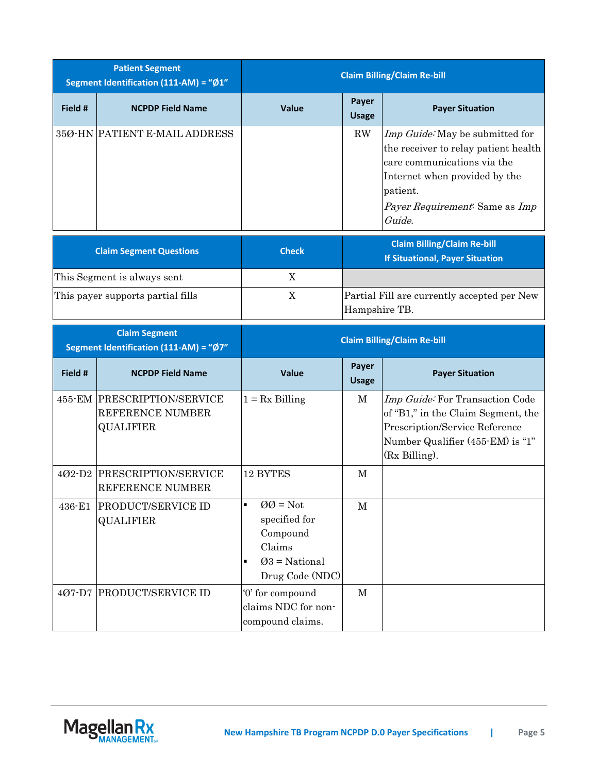|         | <b>Patient Segment</b><br>Segment Identification (111-AM) = "Ø1"    |                                                                                                           |                       | <b>Claim Billing/Claim Re-bill</b>                                                                                                                                                              |
|---------|---------------------------------------------------------------------|-----------------------------------------------------------------------------------------------------------|-----------------------|-------------------------------------------------------------------------------------------------------------------------------------------------------------------------------------------------|
| Field # | <b>NCPDP Field Name</b>                                             | Value                                                                                                     | Payer<br><b>Usage</b> | <b>Payer Situation</b>                                                                                                                                                                          |
|         | 35Ø-HN PATIENT E-MAIL ADDRESS                                       |                                                                                                           | $\rm RW$              | Imp Guide: May be submitted for<br>the receiver to relay patient health<br>care communications via the<br>Internet when provided by the<br>patient.<br>Payer Requirement: Same as Imp<br>Guide. |
|         | <b>Claim Segment Questions</b>                                      | <b>Check</b>                                                                                              |                       | <b>Claim Billing/Claim Re-bill</b><br><b>If Situational, Payer Situation</b>                                                                                                                    |
|         | This Segment is always sent                                         | X                                                                                                         |                       |                                                                                                                                                                                                 |
|         | This payer supports partial fills                                   | X                                                                                                         | Hampshire TB.         | Partial Fill are currently accepted per New                                                                                                                                                     |
|         | <b>Claim Segment</b><br>Segment Identification (111-AM) = "Ø7"      |                                                                                                           |                       | <b>Claim Billing/Claim Re-bill</b>                                                                                                                                                              |
| Field # | <b>NCPDP Field Name</b>                                             | <b>Value</b>                                                                                              | Payer<br><b>Usage</b> | <b>Payer Situation</b>                                                                                                                                                                          |
|         | 455-EM PRESCRIPTION/SERVICE<br>REFERENCE NUMBER<br><b>QUALIFIER</b> | $1 = Rx$ Billing                                                                                          | M                     | Imp Guide: For Transaction Code<br>of "B1," in the Claim Segment, the<br>Prescription/Service Reference<br>Number Qualifier (455-EM) is "1"<br>(Rx Billing).                                    |
| 402-D2  | PRESCRIPTION/SERVICE<br>REFERENCE NUMBER                            | 12 BYTES                                                                                                  | M                     |                                                                                                                                                                                                 |
| 436-E1  | PRODUCT/SERVICE ID<br><b>QUALIFIER</b>                              | $QQ = Not$<br>$\blacksquare$<br>specified for<br>Compound<br>Claims<br>$Q3$ = National<br>Drug Code (NDC) | $\mathbf M$           |                                                                                                                                                                                                 |
| 407-D7  | <b>PRODUCT/SERVICE ID</b>                                           | '0' for compound<br>claims NDC for non-<br>compound claims.                                               | M                     |                                                                                                                                                                                                 |

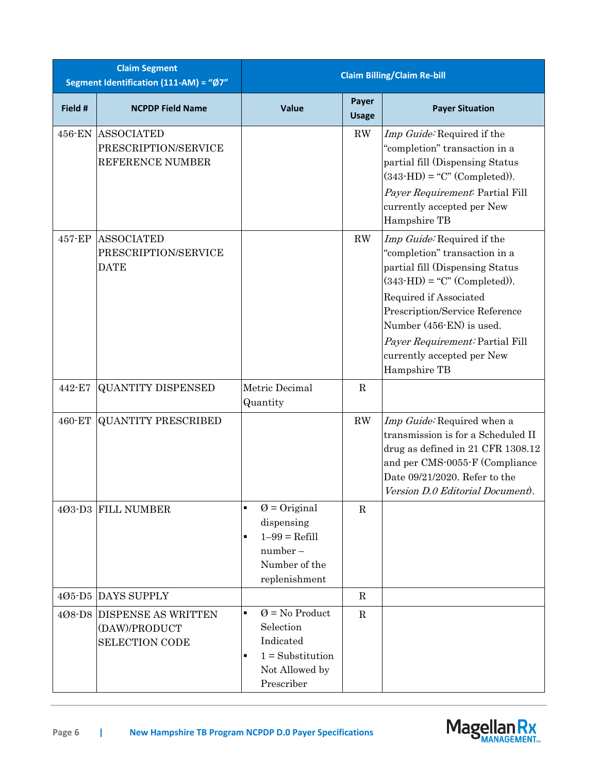|         | <b>Claim Segment</b><br>Segment Identification (111-AM) = "Ø7"       |                                                                                                                               | <b>Claim Billing/Claim Re-bill</b> |                                                                                                                                                                                                                                                                                                                    |  |  |
|---------|----------------------------------------------------------------------|-------------------------------------------------------------------------------------------------------------------------------|------------------------------------|--------------------------------------------------------------------------------------------------------------------------------------------------------------------------------------------------------------------------------------------------------------------------------------------------------------------|--|--|
| Field # | <b>NCPDP Field Name</b>                                              | Value                                                                                                                         | Payer<br><b>Usage</b>              | <b>Payer Situation</b>                                                                                                                                                                                                                                                                                             |  |  |
| 456-EN  | <b>ASSOCIATED</b><br>PRESCRIPTION/SERVICE<br>REFERENCE NUMBER        |                                                                                                                               | RW                                 | Imp Guide: Required if the<br>"completion" transaction in a<br>partial fill (Dispensing Status<br>$(343 \text{-} HD) = "C" (Completed)).$<br>Payer Requirement: Partial Fill<br>currently accepted per New<br>Hampshire TB                                                                                         |  |  |
| 457-EP  | <b>ASSOCIATED</b><br>PRESCRIPTION/SERVICE<br><b>DATE</b>             |                                                                                                                               | $\mathbf{R}\mathbf{W}$             | Imp Guide: Required if the<br>"completion" transaction in a<br>partial fill (Dispensing Status<br>$(343 \text{-} HD) = "C" (Completed)).$<br>Required if Associated<br>Prescription/Service Reference<br>Number (456-EN) is used.<br>Payer Requirement: Partial Fill<br>currently accepted per New<br>Hampshire TB |  |  |
| 442-E7  | <b>QUANTITY DISPENSED</b>                                            | Metric Decimal<br>Quantity                                                                                                    | $\mathbf R$                        |                                                                                                                                                                                                                                                                                                                    |  |  |
| 460-ET  | <b>QUANTITY PRESCRIBED</b>                                           |                                                                                                                               | $\mathbf{R}\mathbf{W}$             | Imp Guide: Required when a<br>transmission is for a Scheduled II<br>drug as defined in 21 CFR 1308.12<br>and per CMS-0055-F (Compliance<br>Date 09/21/2020. Refer to the<br>Version D.0 Editorial Document).                                                                                                       |  |  |
|         | 403-D3 FILL NUMBER                                                   | $\varnothing$ = Original<br>$\blacksquare$<br>dispensing<br>$1-99 = Refi$<br>٠<br>$number-$<br>Number of the<br>replenishment | $\mathbf R$                        |                                                                                                                                                                                                                                                                                                                    |  |  |
|         | 405-D5 DAYS SUPPLY                                                   |                                                                                                                               | $\mathbf R$                        |                                                                                                                                                                                                                                                                                                                    |  |  |
| 408-D8  | <b>DISPENSE AS WRITTEN</b><br>(DAW)/PRODUCT<br><b>SELECTION CODE</b> | $\varnothing$ = No Product<br>$\blacksquare$<br>Selection<br>Indicated<br>$1 =$ Substitution<br>Not Allowed by<br>Prescriber  | $\mathbf R$                        |                                                                                                                                                                                                                                                                                                                    |  |  |

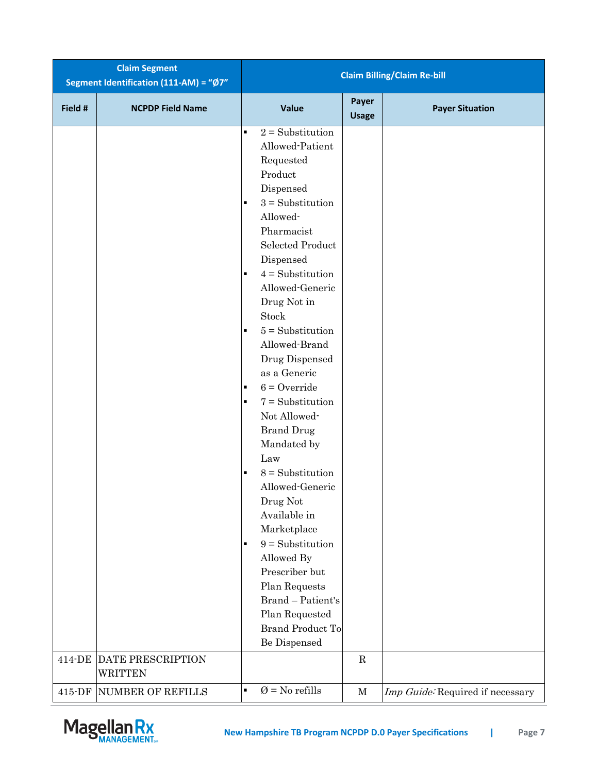| <b>Claim Segment</b><br>Segment Identification (111-AM) = "Ø7" |                                                                        |                                                                                                                    | <b>Claim Billing/Claim Re-bill</b>                                                                                                                                                                                                                                                                                                                                                                                                                                                                                                                                                                                                                                  |                            |                                  |  |
|----------------------------------------------------------------|------------------------------------------------------------------------|--------------------------------------------------------------------------------------------------------------------|---------------------------------------------------------------------------------------------------------------------------------------------------------------------------------------------------------------------------------------------------------------------------------------------------------------------------------------------------------------------------------------------------------------------------------------------------------------------------------------------------------------------------------------------------------------------------------------------------------------------------------------------------------------------|----------------------------|----------------------------------|--|
| Field #                                                        | <b>NCPDP Field Name</b>                                                |                                                                                                                    | Value                                                                                                                                                                                                                                                                                                                                                                                                                                                                                                                                                                                                                                                               | Payer<br><b>Usage</b>      | <b>Payer Situation</b>           |  |
|                                                                |                                                                        | $\blacksquare$<br>$\blacksquare$<br>$\blacksquare$<br>$\blacksquare$<br>٠<br>$\blacksquare$<br>٠<br>$\blacksquare$ | $2 =$ Substitution<br>Allowed-Patient<br>Requested<br>Product<br>Dispensed<br>$3 =$ Substitution<br>Allowed-<br>Pharmacist<br><b>Selected Product</b><br>Dispensed<br>$4 =$ Substitution<br>Allowed-Generic<br>Drug Not in<br>Stock<br>$5 =$ Substitution<br>Allowed-Brand<br>Drug Dispensed<br>as a Generic<br>$6 =$ Override<br>$7 =$ Substitution<br>Not Allowed-<br><b>Brand Drug</b><br>Mandated by<br>Law<br>$8 =$ Substitution<br>Allowed-Generic<br>Drug Not<br>Available in<br>Marketplace<br>$9 =$ Substitution<br>Allowed By<br>Prescriber but<br>Plan Requests<br><b>Brand</b> - Patient's<br>Plan Requested<br><b>Brand Product To</b><br>Be Dispensed |                            |                                  |  |
| 414-DE<br>415-DF                                               | <b>DATE PRESCRIPTION</b><br><b>WRITTEN</b><br><b>NUMBER OF REFILLS</b> | $\blacksquare$                                                                                                     | $\emptyset$ = No refills                                                                                                                                                                                                                                                                                                                                                                                                                                                                                                                                                                                                                                            | $\mathbf R$<br>$\mathbf M$ | Imp Guide: Required if necessary |  |
|                                                                |                                                                        |                                                                                                                    |                                                                                                                                                                                                                                                                                                                                                                                                                                                                                                                                                                                                                                                                     |                            |                                  |  |

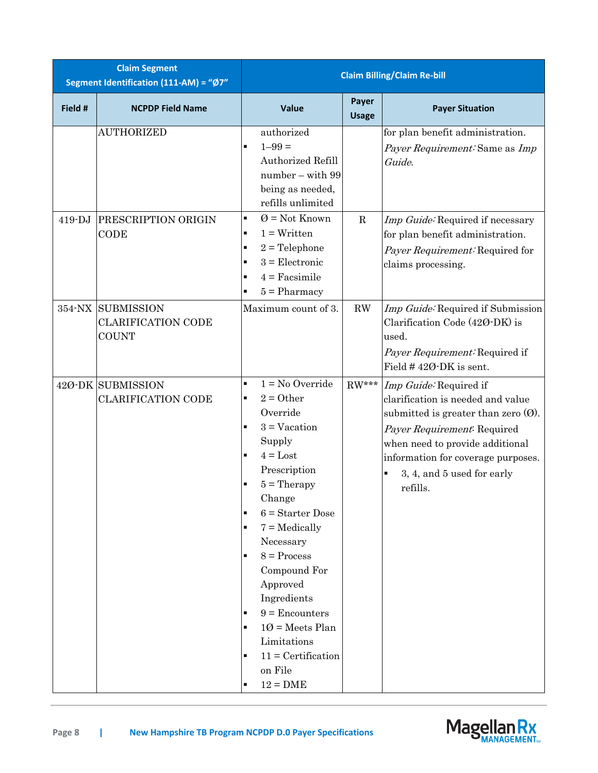| <b>Claim Segment</b><br>Segment Identification (111-AM) = "Ø7" |                                                                |                                                                                                                 | <b>Claim Billing/Claim Re-bill</b>                                                                                                                                                                                                                                                                                                                             |                       |                                                                                                                                                                                                                                                                                   |  |
|----------------------------------------------------------------|----------------------------------------------------------------|-----------------------------------------------------------------------------------------------------------------|----------------------------------------------------------------------------------------------------------------------------------------------------------------------------------------------------------------------------------------------------------------------------------------------------------------------------------------------------------------|-----------------------|-----------------------------------------------------------------------------------------------------------------------------------------------------------------------------------------------------------------------------------------------------------------------------------|--|
| Field #                                                        | <b>NCPDP Field Name</b>                                        |                                                                                                                 | Value                                                                                                                                                                                                                                                                                                                                                          | Payer<br><b>Usage</b> | <b>Payer Situation</b>                                                                                                                                                                                                                                                            |  |
|                                                                | <b>AUTHORIZED</b>                                              |                                                                                                                 | authorized<br>$1 - 99 =$<br>Authorized Refill<br>number - with 99<br>being as needed,<br>refills unlimited                                                                                                                                                                                                                                                     |                       | for plan benefit administration.<br>Payer Requirement: Same as Imp<br>Guide.                                                                                                                                                                                                      |  |
| $419 - DJ$                                                     | PRESCRIPTION ORIGIN<br>CODE                                    | ٠<br>٠<br>$\blacksquare$<br>$\blacksquare$<br>٠                                                                 | $\varnothing$ = Not Known<br>$1 = W$ ritten<br>$2 =$ Telephone<br>$3 =$ Electronic<br>$4 =$ Facsimile<br>$5 =$ Pharmacy                                                                                                                                                                                                                                        | $\mathbf R$           | Imp Guide: Required if necessary<br>for plan benefit administration.<br>Payer Requirement: Required for<br>claims processing.                                                                                                                                                     |  |
|                                                                | 354-NX SUBMISSION<br><b>CLARIFICATION CODE</b><br><b>COUNT</b> |                                                                                                                 | Maximum count of 3.                                                                                                                                                                                                                                                                                                                                            | RW                    | Imp Guide: Required if Submission<br>Clarification Code (420-DK) is<br>used.<br>Payer Requirement: Required if<br>Field $#420$ -DK is sent.                                                                                                                                       |  |
|                                                                | 420-DK SUBMISSION<br><b>CLARIFICATION CODE</b>                 | $\blacksquare$<br>٠<br>$\blacksquare$<br>٠<br>$\blacksquare$<br>٠<br>$\blacksquare$<br>٠<br>$\blacksquare$<br>٠ | $1 = No$ Override<br>$2 = 0$ ther<br>Override<br>$3 = V acation$<br>Supply<br>$4 =$ Lost<br>Prescription<br>$5 =$ Therapy<br>Change<br>$6 =$ Starter Dose<br>$7 =$ Medically<br>Necessary<br>$8 = Process$<br>Compound For<br>Approved<br>Ingredients<br>$9$ = Encounters<br>$10 =$ Meets Plan<br>Limitations<br>$11$ = Certification<br>on File<br>$12 = DME$ | $RW***$               | Imp Guide: Required if<br>clarification is needed and value<br>submitted is greater than zero $(\emptyset)$ .<br>Payer Requirement: Required<br>when need to provide additional<br>information for coverage purposes.<br>3, 4, and 5 used for early<br>$\blacksquare$<br>refills. |  |

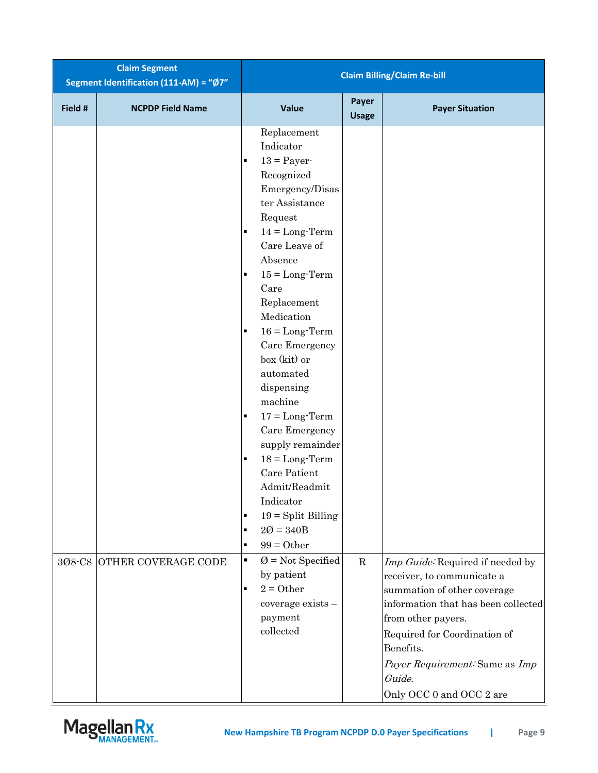| <b>Claim Segment</b><br>Segment Identification (111-AM) = "Ø7" |                            |                                                                   |                                                                                                                                                                                                                                                                                                                                                                                                                             |                       | <b>Claim Billing/Claim Re-bill</b>                                                                                                                                                                                                                                              |
|----------------------------------------------------------------|----------------------------|-------------------------------------------------------------------|-----------------------------------------------------------------------------------------------------------------------------------------------------------------------------------------------------------------------------------------------------------------------------------------------------------------------------------------------------------------------------------------------------------------------------|-----------------------|---------------------------------------------------------------------------------------------------------------------------------------------------------------------------------------------------------------------------------------------------------------------------------|
| Field #                                                        | <b>NCPDP Field Name</b>    |                                                                   | Value                                                                                                                                                                                                                                                                                                                                                                                                                       | Payer<br><b>Usage</b> | <b>Payer Situation</b>                                                                                                                                                                                                                                                          |
|                                                                |                            | $\blacksquare$<br>$\blacksquare$<br>٠<br>$\blacksquare$<br>٠<br>٠ | Replacement<br>Indicator<br>$13 =$ Payer-<br>Recognized<br>Emergency/Disas<br>ter Assistance<br>Request<br>$14 = Long-Term$<br>Care Leave of<br>Absence<br>$15 = Long-Term$<br>Care<br>Replacement<br>Medication<br>$16 = Long-Term$<br>Care Emergency<br>box (kit) or<br>automated<br>dispensing<br>machine<br>$17 = Long-Term$<br>Care Emergency<br>supply remainder<br>$18 = Long-Term$<br>Care Patient<br>Admit/Readmit |                       |                                                                                                                                                                                                                                                                                 |
|                                                                |                            | ٠<br>٠                                                            | Indicator<br>$19 =$ Split Billing<br>$20 = 340B$<br>$99 = 0$ ther                                                                                                                                                                                                                                                                                                                                                           |                       |                                                                                                                                                                                                                                                                                 |
|                                                                | 308-C8 OTHER COVERAGE CODE | ٠<br>$\blacksquare$                                               | $\text{\O} = \text{Not}$ Specified<br>by patient<br>$2 =$ Other<br>coverage exists -<br>payment<br>collected                                                                                                                                                                                                                                                                                                                | $\mathbf R$           | Imp Guide: Required if needed by<br>receiver, to communicate a<br>summation of other coverage<br>information that has been collected<br>from other payers.<br>Required for Coordination of<br>Benefits.<br>Payer Requirement: Same as Imp<br>Guide.<br>Only OCC 0 and OCC 2 are |

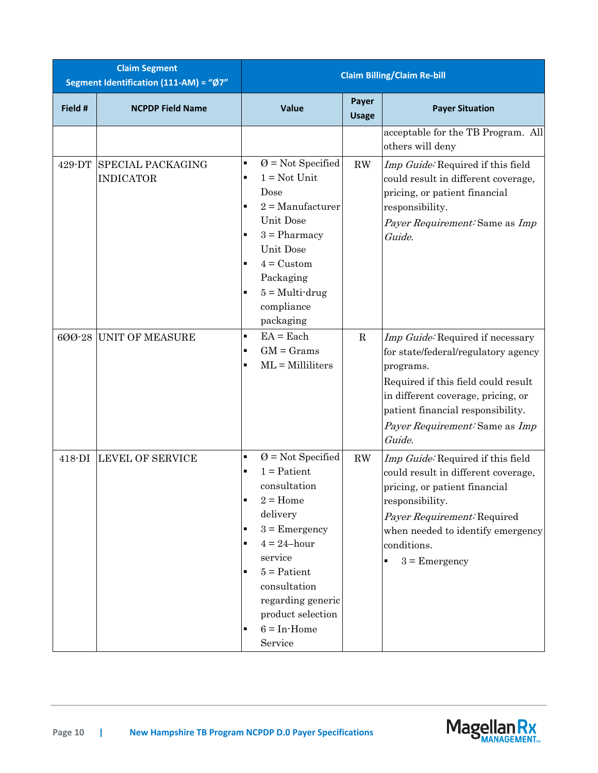| <b>Claim Segment</b><br>Segment Identification (111-AM) = "Ø7" |                                              | <b>Claim Billing/Claim Re-bill</b>                                                                                                                                                                                                                                     |                       |                                                                                                                                                                                                                                                    |
|----------------------------------------------------------------|----------------------------------------------|------------------------------------------------------------------------------------------------------------------------------------------------------------------------------------------------------------------------------------------------------------------------|-----------------------|----------------------------------------------------------------------------------------------------------------------------------------------------------------------------------------------------------------------------------------------------|
| Field #                                                        | <b>NCPDP Field Name</b>                      | Value                                                                                                                                                                                                                                                                  | Payer<br><b>Usage</b> | <b>Payer Situation</b>                                                                                                                                                                                                                             |
|                                                                |                                              |                                                                                                                                                                                                                                                                        |                       | acceptable for the TB Program. All<br>others will deny                                                                                                                                                                                             |
| 429-DT                                                         | <b>SPECIAL PACKAGING</b><br><b>INDICATOR</b> | $\varnothing$ = Not Specified<br>Ξ<br>$1 = Not Unit$<br>Dose<br>$2 =$ Manufacturer<br>п<br>Unit Dose<br>$3 =$ Pharmacy<br>Unit Dose<br>$4$ = Custom<br>Packaging<br>$5 = Multi-drug$<br>compliance<br>packaging<br>$EA = Each$<br>$\blacksquare$                       | RW                    | Imp Guide: Required if this field<br>could result in different coverage,<br>pricing, or patient financial<br>responsibility.<br>Payer Requirement: Same as Imp<br>Guide.                                                                           |
| 600-28                                                         | <b>UNIT OF MEASURE</b>                       | $GM =$ Grams<br>٠<br>$ML = Milliliters$<br>п                                                                                                                                                                                                                           | $\mathbf R$           | Imp Guide: Required if necessary<br>for state/federal/regulatory agency<br>programs.<br>Required if this field could result<br>in different coverage, pricing, or<br>patient financial responsibility.<br>Payer Requirement: Same as Imp<br>Guide. |
| 418-DI                                                         | <b>LEVEL OF SERVICE</b>                      | $\varnothing$ = Not Specified<br>$\blacksquare$<br>$1 =$ Patient<br>consultation<br>$2 =$ Home<br>delivery<br>$3 =$ Emergency<br>$4 = 24$ -hour<br>service<br>$5 =$ Patient<br>consultation<br>regarding generic<br>product selection<br>$6 = In-Home$<br>٠<br>Service | RW                    | Imp Guide: Required if this field<br>could result in different coverage,<br>pricing, or patient financial<br>responsibility.<br>Payer Requirement: Required<br>when needed to identify emergency<br>conditions.<br>$3 =$ Emergency<br>٠            |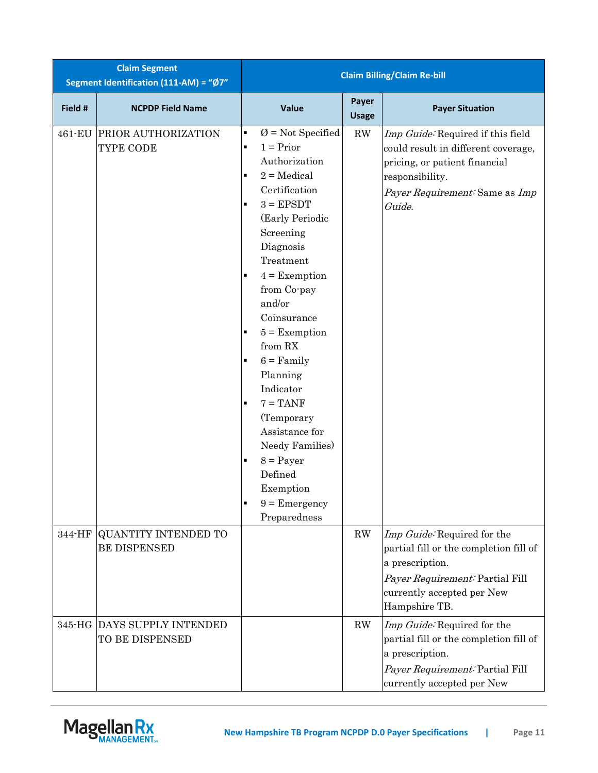| <b>Claim Segment</b><br>Segment Identification (111-AM) = "Ø7" |                                                |                       |                                                                                                                                                                                                                                                                                                                                                                                                                                       |                        | <b>Claim Billing/Claim Re-bill</b>                                                                                                                                         |
|----------------------------------------------------------------|------------------------------------------------|-----------------------|---------------------------------------------------------------------------------------------------------------------------------------------------------------------------------------------------------------------------------------------------------------------------------------------------------------------------------------------------------------------------------------------------------------------------------------|------------------------|----------------------------------------------------------------------------------------------------------------------------------------------------------------------------|
| Field #                                                        | <b>NCPDP Field Name</b>                        |                       | <b>Value</b>                                                                                                                                                                                                                                                                                                                                                                                                                          | Payer<br><b>Usage</b>  | <b>Payer Situation</b>                                                                                                                                                     |
| 461-EU                                                         | PRIOR AUTHORIZATION<br>TYPE CODE               | ٠<br>٠<br>٠<br>٠<br>٠ | $\varnothing$ = Not Specified<br>$1 = Prior$<br>Authorization<br>$2 =$ Medical<br>Certification<br>$3 = EPSDT$<br>(Early Periodic<br>Screening<br>Diagnosis<br>Treatment<br>$4$ = Exemption<br>from Co-pay<br>and/or<br>Coinsurance<br>$5 =$ Exemption<br>from RX<br>$6 = Family$<br>Planning<br>Indicator<br>$7 = TANF$<br>(Temporary<br>Assistance for<br>Needy Families)<br>$8 =$ Payer<br>Defined<br>Exemption<br>$9 =$ Emergency | $\mathbf{R}\mathbf{W}$ | Imp Guide: Required if this field<br>could result in different coverage,<br>pricing, or patient financial<br>responsibility.<br>Payer Requirement: Same as Imp<br>Guide.   |
| 344-HF                                                         | <b>QUANTITY INTENDED TO</b><br>BE DISPENSED    |                       | Preparedness                                                                                                                                                                                                                                                                                                                                                                                                                          | RW                     | Imp Guide: Required for the<br>partial fill or the completion fill of<br>a prescription.<br>Payer Requirement: Partial Fill<br>currently accepted per New                  |
|                                                                | 345-HG DAYS SUPPLY INTENDED<br>TO BE DISPENSED |                       |                                                                                                                                                                                                                                                                                                                                                                                                                                       | RW                     | Hampshire TB.<br>Imp Guide: Required for the<br>partial fill or the completion fill of<br>a prescription.<br>Payer Requirement: Partial Fill<br>currently accepted per New |

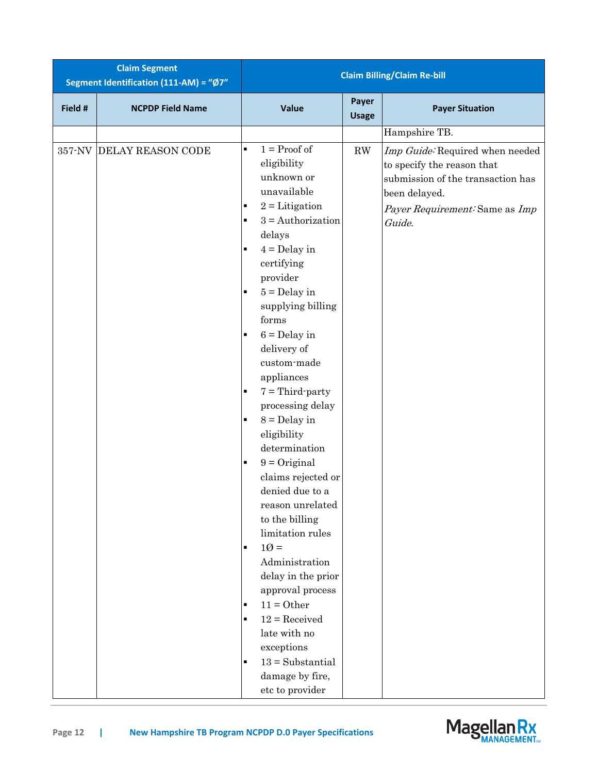| <b>Claim Segment</b><br>Segment Identification (111-AM) = "Ø7" |                          | <b>Claim Billing/Claim Re-bill</b>                                                                                                                                                 |                                                                                                                                                                                                                                                                                                                                                                                                                                                                                                                                                                                                                                                                            |                       |                                                                                                                                                                 |  |
|----------------------------------------------------------------|--------------------------|------------------------------------------------------------------------------------------------------------------------------------------------------------------------------------|----------------------------------------------------------------------------------------------------------------------------------------------------------------------------------------------------------------------------------------------------------------------------------------------------------------------------------------------------------------------------------------------------------------------------------------------------------------------------------------------------------------------------------------------------------------------------------------------------------------------------------------------------------------------------|-----------------------|-----------------------------------------------------------------------------------------------------------------------------------------------------------------|--|
| Field #                                                        | <b>NCPDP Field Name</b>  |                                                                                                                                                                                    | Value                                                                                                                                                                                                                                                                                                                                                                                                                                                                                                                                                                                                                                                                      | Payer<br><b>Usage</b> | <b>Payer Situation</b>                                                                                                                                          |  |
|                                                                |                          |                                                                                                                                                                                    |                                                                                                                                                                                                                                                                                                                                                                                                                                                                                                                                                                                                                                                                            |                       | Hampshire TB.                                                                                                                                                   |  |
|                                                                | 357-NV DELAY REASON CODE | $\blacksquare$<br>٠<br>$\blacksquare$<br>$\blacksquare$<br>$\blacksquare$<br>٠<br>$\blacksquare$<br>$\blacksquare$<br>٠<br>$\blacksquare$<br>٠<br>$\blacksquare$<br>$\blacksquare$ | $1 = Proof of$<br>eligibility<br>unknown or<br>unavailable<br>$2 =$ Litigation<br>$3 =$ Authorization<br>delays<br>$4 =$ Delay in<br>certifying<br>provider<br>$5 =$ Delay in<br>supplying billing<br>forms<br>$6 =$ Delay in<br>delivery of<br>custom-made<br>appliances<br>$7 = Third-party$<br>processing delay<br>$8 =$ Delay in<br>eligibility<br>determination<br>$9 = Original$<br>claims rejected or<br>denied due to a<br>reason unrelated<br>to the billing<br>limitation rules<br>$10 =$<br>Administration<br>delay in the prior<br>approval process<br>$11 = 0$ ther<br>$12 =$ Received<br>late with no<br>exceptions<br>$13 = Substantial$<br>damage by fire, | $\mathbf{RW}$         | Imp Guide: Required when needed<br>to specify the reason that<br>submission of the transaction has<br>been delayed.<br>Payer Requirement: Same as Imp<br>Guide. |  |
|                                                                |                          |                                                                                                                                                                                    | etc to provider                                                                                                                                                                                                                                                                                                                                                                                                                                                                                                                                                                                                                                                            |                       |                                                                                                                                                                 |  |

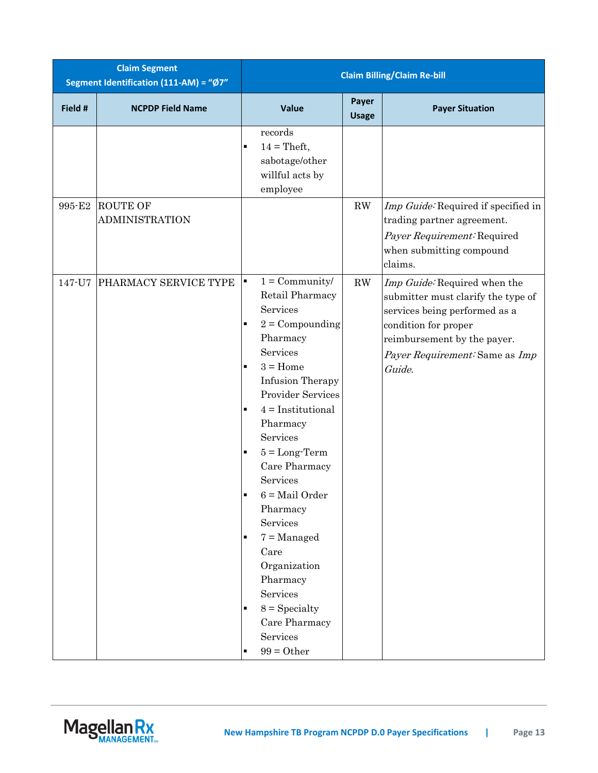| <b>Claim Segment</b><br>Segment Identification (111-AM) = "Ø7" |                                          |                                                      |                                                                                                                                                                                                                                                                                                                                                                                                                                                |                       | <b>Claim Billing/Claim Re-bill</b>                                                                                                                                                                     |
|----------------------------------------------------------------|------------------------------------------|------------------------------------------------------|------------------------------------------------------------------------------------------------------------------------------------------------------------------------------------------------------------------------------------------------------------------------------------------------------------------------------------------------------------------------------------------------------------------------------------------------|-----------------------|--------------------------------------------------------------------------------------------------------------------------------------------------------------------------------------------------------|
| Field #                                                        | <b>NCPDP Field Name</b>                  |                                                      | Value                                                                                                                                                                                                                                                                                                                                                                                                                                          | Payer<br><b>Usage</b> | <b>Payer Situation</b>                                                                                                                                                                                 |
|                                                                |                                          |                                                      | records<br>$14 = \text{Theft},$<br>sabotage/other<br>willful acts by<br>employee                                                                                                                                                                                                                                                                                                                                                               |                       |                                                                                                                                                                                                        |
| 995-E2                                                         | <b>ROUTE OF</b><br><b>ADMINISTRATION</b> |                                                      |                                                                                                                                                                                                                                                                                                                                                                                                                                                | RW                    | Imp Guide: Required if specified in<br>trading partner agreement.<br>Payer Requirement: Required<br>when submitting compound<br>claims.                                                                |
| 147-U7                                                         | PHARMACY SERVICE TYPE                    | $\blacksquare$<br>$\blacksquare$<br>٠<br>٠<br>٠<br>٠ | $1 = \text{Community}/$<br>Retail Pharmacy<br>Services<br>$2 =$ Compounding<br>Pharmacy<br>Services<br>$3 =$ Home<br>Infusion Therapy<br><b>Provider Services</b><br>$4 =$ Institutional<br>Pharmacy<br>Services<br>$5 = Long-Term$<br>Care Pharmacy<br>Services<br>$6 = Mail Order$<br>Pharmacy<br>Services<br>$7 =$ Managed<br>Care<br>Organization<br>Pharmacy<br>Services<br>$8 =$ Specialty<br>Care Pharmacy<br>Services<br>$99 = 0$ ther | RW                    | Imp Guide: Required when the<br>submitter must clarify the type of<br>services being performed as a<br>condition for proper<br>reimbursement by the payer.<br>Payer Requirement: Same as Imp<br>Guide. |

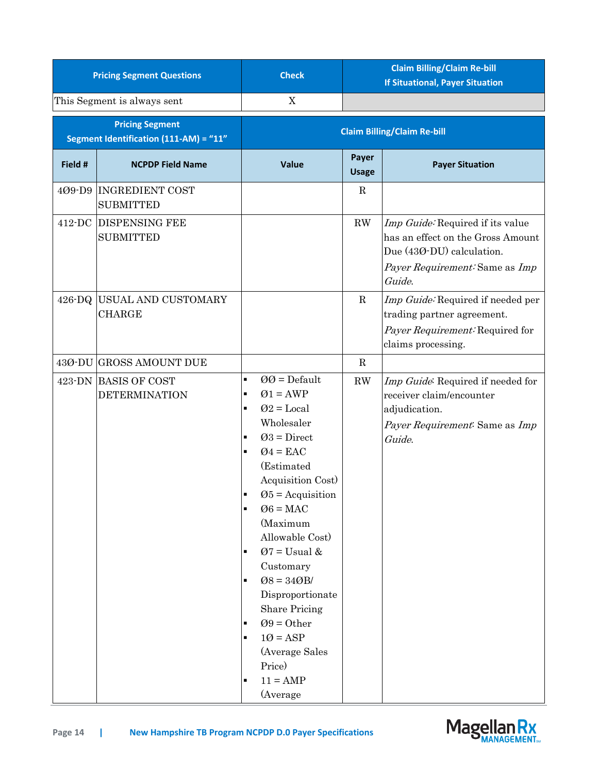| <b>Pricing Segment Questions</b> |                                                                  | <b>Check</b>                                                                                                                                                                                                                                                                                                                                                                                                                                                                                                                                                                    |                                    | <b>Claim Billing/Claim Re-bill</b><br><b>If Situational, Payer Situation</b>                                                                   |  |
|----------------------------------|------------------------------------------------------------------|---------------------------------------------------------------------------------------------------------------------------------------------------------------------------------------------------------------------------------------------------------------------------------------------------------------------------------------------------------------------------------------------------------------------------------------------------------------------------------------------------------------------------------------------------------------------------------|------------------------------------|------------------------------------------------------------------------------------------------------------------------------------------------|--|
|                                  | This Segment is always sent                                      | $\mathbf X$                                                                                                                                                                                                                                                                                                                                                                                                                                                                                                                                                                     |                                    |                                                                                                                                                |  |
|                                  | <b>Pricing Segment</b><br>Segment Identification (111-AM) = "11" |                                                                                                                                                                                                                                                                                                                                                                                                                                                                                                                                                                                 | <b>Claim Billing/Claim Re-bill</b> |                                                                                                                                                |  |
| Field #                          | <b>NCPDP Field Name</b>                                          | <b>Value</b>                                                                                                                                                                                                                                                                                                                                                                                                                                                                                                                                                                    | Payer<br><b>Usage</b>              | <b>Payer Situation</b>                                                                                                                         |  |
|                                  | 409-D9 INGREDIENT COST<br><b>SUBMITTED</b>                       |                                                                                                                                                                                                                                                                                                                                                                                                                                                                                                                                                                                 | $\mathbf R$                        |                                                                                                                                                |  |
|                                  | 412-DC DISPENSING FEE<br><b>SUBMITTED</b>                        |                                                                                                                                                                                                                                                                                                                                                                                                                                                                                                                                                                                 | RW                                 | Imp Guide: Required if its value<br>has an effect on the Gross Amount<br>Due (430-DU) calculation.<br>Payer Requirement: Same as Imp<br>Guide. |  |
|                                  | 426-DQ USUAL AND CUSTOMARY<br><b>CHARGE</b>                      |                                                                                                                                                                                                                                                                                                                                                                                                                                                                                                                                                                                 | $\mathbf R$                        | Imp Guide: Required if needed per<br>trading partner agreement.<br>Payer Requirement: Required for<br>claims processing.                       |  |
|                                  | 430-DU GROSS AMOUNT DUE                                          |                                                                                                                                                                                                                                                                                                                                                                                                                                                                                                                                                                                 | $\mathbf R$                        |                                                                                                                                                |  |
| 423-DN                           | <b>BASIS OF COST</b><br><b>DETERMINATION</b>                     | $00 = \text{Default}$<br>$\blacksquare$<br>$Q1 = AWP$<br>$\blacksquare$<br>$Q2 = Local$<br>$\blacksquare$<br>Wholesaler<br>$Q3 = Direct$<br>$\blacksquare$<br>$Q4 = EAC$<br>$\blacksquare$<br>(Estimated<br>Acquisition Cost)<br>$\varnothing$ 5 = Acquisition<br>$\varnothing 6 = \text{MAC}$<br>(Maximum<br>Allowable Cost)<br>$Ø7 =$ Usual &<br>$\blacksquare$<br>Customary<br>$\mathcal{O}8 = 34 \mathcal{O}B/$<br>п<br>Disproportionate<br><b>Share Pricing</b><br>$Q9 = Other$<br>$\blacksquare$<br>$10 = ASP$<br>(Average Sales<br>Price)<br>$11 = AMP$<br>п<br>(Average | RW                                 | Imp Guide: Required if needed for<br>receiver claim/encounter<br>adjudication.<br>Payer Requirement: Same as Imp<br>Guide.                     |  |

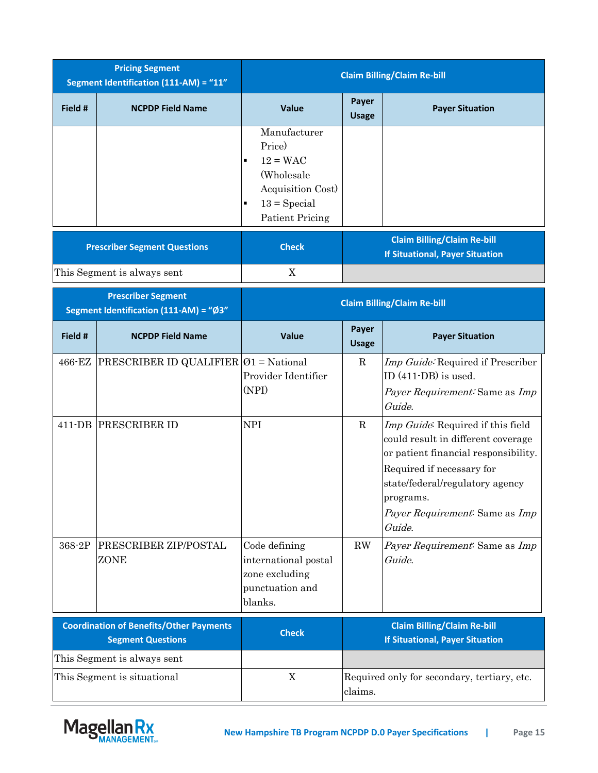| <b>Pricing Segment</b><br>Segment Identification (111-AM) = "11"    |                                                                            |                                                                                                                                        |                                    | <b>Claim Billing/Claim Re-bill</b>                                                                                                                                                                                                       |  |
|---------------------------------------------------------------------|----------------------------------------------------------------------------|----------------------------------------------------------------------------------------------------------------------------------------|------------------------------------|------------------------------------------------------------------------------------------------------------------------------------------------------------------------------------------------------------------------------------------|--|
| Field #                                                             | <b>NCPDP Field Name</b>                                                    | <b>Value</b>                                                                                                                           | Payer<br><b>Usage</b>              | <b>Payer Situation</b>                                                                                                                                                                                                                   |  |
|                                                                     |                                                                            | Manufacturer<br>Price)<br>$12 = WAC$<br>$\blacksquare$<br>(Wholesale)<br>Acquisition Cost)<br>$13 = Special$<br><b>Patient Pricing</b> |                                    |                                                                                                                                                                                                                                          |  |
| <b>Prescriber Segment Questions</b>                                 |                                                                            | <b>Check</b>                                                                                                                           |                                    | <b>Claim Billing/Claim Re-bill</b><br><b>If Situational, Payer Situation</b>                                                                                                                                                             |  |
|                                                                     | This Segment is always sent                                                | $\mathbf X$                                                                                                                            |                                    |                                                                                                                                                                                                                                          |  |
| <b>Prescriber Segment</b><br>Segment Identification (111-AM) = "Ø3" |                                                                            |                                                                                                                                        | <b>Claim Billing/Claim Re-bill</b> |                                                                                                                                                                                                                                          |  |
| Field #                                                             | <b>NCPDP Field Name</b>                                                    | <b>Value</b>                                                                                                                           | Payer<br><b>Usage</b>              | <b>Payer Situation</b>                                                                                                                                                                                                                   |  |
| 466-EZ                                                              | PRESCRIBER ID QUALIFIER $ O1 $ = National                                  | Provider Identifier<br>(NPI)                                                                                                           | $\mathbf R$                        | Imp Guide: Required if Prescriber<br>ID $(411-DB)$ is used.<br>Payer Requirement: Same as Imp<br>Guide.                                                                                                                                  |  |
|                                                                     | 411-DB PRESCRIBER ID                                                       | <b>NPI</b>                                                                                                                             | $\mathbf R$                        | Imp Guide: Required if this field<br>could result in different coverage<br>or patient financial responsibility.<br>Required if necessary for<br>state/federal/regulatory agency<br>programs.<br>Payer Requirement: Same as Imp<br>Guide. |  |
| 368-2P                                                              | PRESCRIBER ZIP/POSTAL<br>ZONE                                              | Code defining<br>international postal<br>zone excluding<br>punctuation and<br>blanks.                                                  | RW                                 | Payer Requirement: Same as Imp<br>Guide.                                                                                                                                                                                                 |  |
|                                                                     | <b>Coordination of Benefits/Other Payments</b><br><b>Segment Questions</b> | <b>Check</b>                                                                                                                           |                                    | <b>Claim Billing/Claim Re-bill</b><br><b>If Situational, Payer Situation</b>                                                                                                                                                             |  |
|                                                                     | This Segment is always sent                                                |                                                                                                                                        |                                    |                                                                                                                                                                                                                                          |  |
|                                                                     | This Segment is situational                                                | $\mathbf X$                                                                                                                            | claims.                            | Required only for secondary, tertiary, etc.                                                                                                                                                                                              |  |

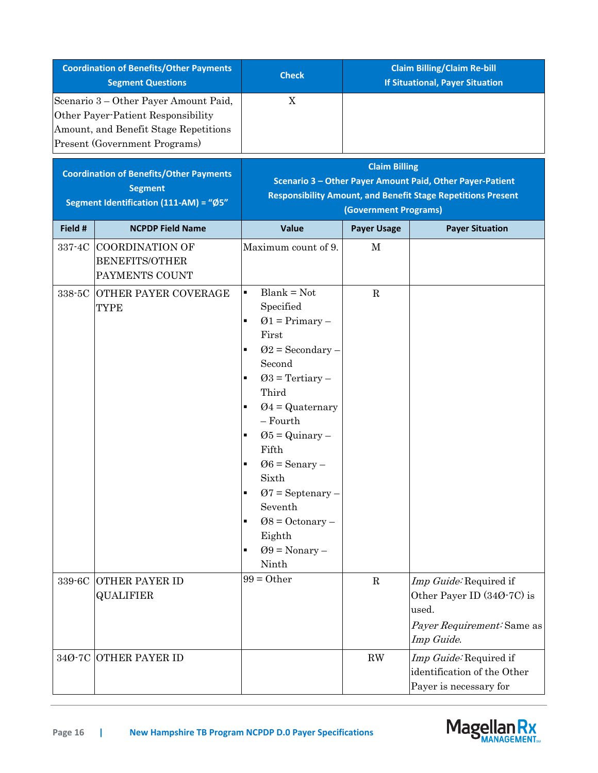|                                                                                                                                                       | <b>Coordination of Benefits/Other Payments</b><br><b>Segment Questions</b> | <b>Check</b>                                                                                                                                                                                                                                                                                                                                                                                     |                    | <b>Claim Billing/Claim Re-bill</b><br><b>If Situational, Payer Situation</b>                              |  |
|-------------------------------------------------------------------------------------------------------------------------------------------------------|----------------------------------------------------------------------------|--------------------------------------------------------------------------------------------------------------------------------------------------------------------------------------------------------------------------------------------------------------------------------------------------------------------------------------------------------------------------------------------------|--------------------|-----------------------------------------------------------------------------------------------------------|--|
| Scenario 3 – Other Payer Amount Paid,<br>Other Payer-Patient Responsibility<br>Amount, and Benefit Stage Repetitions<br>Present (Government Programs) |                                                                            | X                                                                                                                                                                                                                                                                                                                                                                                                |                    |                                                                                                           |  |
| <b>Coordination of Benefits/Other Payments</b><br><b>Segment</b><br>Segment Identification (111-AM) = "Ø5"                                            |                                                                            | <b>Claim Billing</b><br>Scenario 3 - Other Payer Amount Paid, Other Payer-Patient<br><b>Responsibility Amount, and Benefit Stage Repetitions Present</b><br>(Government Programs)                                                                                                                                                                                                                |                    |                                                                                                           |  |
| Field #                                                                                                                                               | <b>NCPDP Field Name</b>                                                    | Value                                                                                                                                                                                                                                                                                                                                                                                            | <b>Payer Usage</b> | <b>Payer Situation</b>                                                                                    |  |
| 337-4C                                                                                                                                                | <b>COORDINATION OF</b><br><b>BENEFITS/OTHER</b><br>PAYMENTS COUNT          | Maximum count of 9.                                                                                                                                                                                                                                                                                                                                                                              | М                  |                                                                                                           |  |
| 338-5C                                                                                                                                                | OTHER PAYER COVERAGE<br>TYPE                                               | $Blank = Not$<br>Specified<br>$Q1 = Primary -$<br>$\blacksquare$<br>First<br>$Q2 =$ Secondary –<br>٠<br>Second<br>$Q3$ = Tertiary -<br>$\blacksquare$<br>Third<br>$Q4 =$ Quaternary<br>٠<br>- Fourth<br>$\varnothing$ 5 = Quinary –<br>$\blacksquare$<br>Fifth<br>$06$ = Senary –<br>Ξ<br>Sixth<br>$Q7 =$ Septenary –<br>п<br>Seventh<br>$Ø8 = Octonary -$<br>Eighth<br>$Q9 = Nonary -$<br>Ninth | ${\bf R}$          |                                                                                                           |  |
| 339-6C                                                                                                                                                | <b>OTHER PAYER ID</b><br><b>QUALIFIER</b>                                  | $99 = 0$ ther                                                                                                                                                                                                                                                                                                                                                                                    | $\mathbf R$        | Imp Guide: Required if<br>Other Payer ID (340-7C) is<br>used.<br>Payer Requirement: Same as<br>Imp Guide. |  |
|                                                                                                                                                       | 34Ø-7C OTHER PAYER ID                                                      |                                                                                                                                                                                                                                                                                                                                                                                                  | RW                 | Imp Guide: Required if<br>identification of the Other<br>Payer is necessary for                           |  |

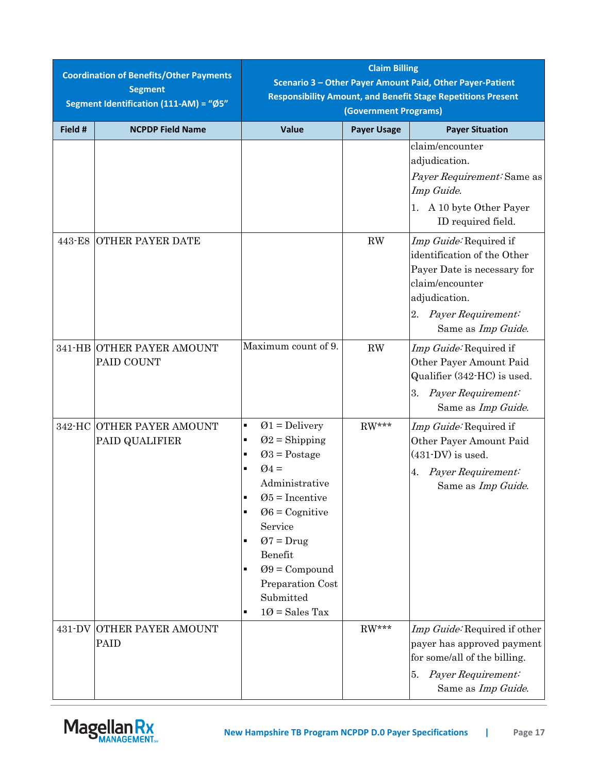| <b>Coordination of Benefits/Other Payments</b><br><b>Segment</b><br>Segment Identification (111-AM) = "Ø5" |                                                 | <b>Claim Billing</b><br>Scenario 3 - Other Payer Amount Paid, Other Payer-Patient<br><b>Responsibility Amount, and Benefit Stage Repetitions Present</b><br>(Government Programs)                                                                                                          |                    |                                                                                                                                                                                    |  |
|------------------------------------------------------------------------------------------------------------|-------------------------------------------------|--------------------------------------------------------------------------------------------------------------------------------------------------------------------------------------------------------------------------------------------------------------------------------------------|--------------------|------------------------------------------------------------------------------------------------------------------------------------------------------------------------------------|--|
| Field #                                                                                                    | <b>NCPDP Field Name</b>                         | Value                                                                                                                                                                                                                                                                                      | <b>Payer Usage</b> | <b>Payer Situation</b>                                                                                                                                                             |  |
|                                                                                                            |                                                 |                                                                                                                                                                                                                                                                                            |                    | claim/encounter<br>adjudication.<br>Payer Requirement: Same as<br>Imp Guide.<br>A 10 byte Other Payer<br>1.<br>ID required field.                                                  |  |
| 443-E8                                                                                                     | <b>OTHER PAYER DATE</b>                         |                                                                                                                                                                                                                                                                                            | <b>RW</b>          | Imp Guide: Required if<br>identification of the Other<br>Payer Date is necessary for<br>claim/encounter<br>adjudication.<br>Payer Requirement:<br>2.<br>Same as <i>Imp Guide</i> . |  |
|                                                                                                            | 341-HB OTHER PAYER AMOUNT<br>PAID COUNT         | Maximum count of 9.                                                                                                                                                                                                                                                                        | <b>RW</b>          | Imp Guide: Required if<br>Other Payer Amount Paid<br>Qualifier (342-HC) is used.<br>Payer Requirement:<br>3.<br>Same as <i>Imp Guide</i> .                                         |  |
|                                                                                                            | 342-HC OTHER PAYER AMOUNT<br>PAID QUALIFIER     | $Q1 =$ Delivery<br>$\blacksquare$<br>$Q2 =$ Shipping<br>$Q3 = Postage$<br>$\blacksquare$<br>$Q_4 =$<br>Administrative<br>$\varnothing$ 5 = Incentive<br>$06 =$ Cognitive<br>п<br>Service<br>$Q7 = Drug$<br>Benefit<br>$Q9 = Compound$<br>Preparation Cost<br>Submitted<br>$10 = Sales Tax$ | $RW***$            | Imp Guide: Required if<br>Other Payer Amount Paid<br>$(431-DV)$ is used.<br>Payer Requirement:<br>4.<br>Same as Imp Guide.                                                         |  |
|                                                                                                            | <b>431-DV OTHER PAYER AMOUNT</b><br><b>PAID</b> |                                                                                                                                                                                                                                                                                            | $RW***$            | Imp Guide: Required if other<br>payer has approved payment<br>for some/all of the billing.<br>Payer Requirement:<br>5.<br>Same as <i>Imp Guide</i> .                               |  |

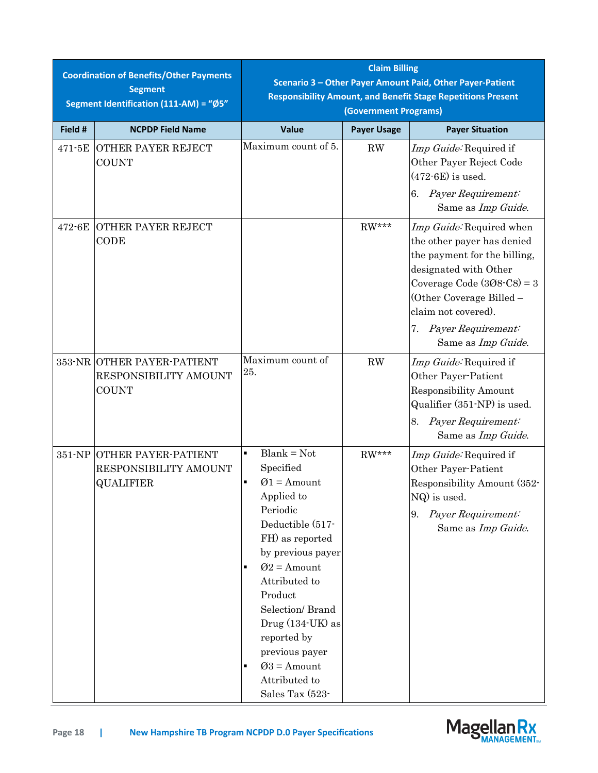|         | <b>Coordination of Benefits/Other Payments</b>                          |                                                                                                                                                                                                                                                                                                                                                            | <b>Claim Billing</b><br>Scenario 3 - Other Payer Amount Paid, Other Payer-Patient |                                                                                                                                                                                                    |  |  |  |
|---------|-------------------------------------------------------------------------|------------------------------------------------------------------------------------------------------------------------------------------------------------------------------------------------------------------------------------------------------------------------------------------------------------------------------------------------------------|-----------------------------------------------------------------------------------|----------------------------------------------------------------------------------------------------------------------------------------------------------------------------------------------------|--|--|--|
|         | <b>Segment</b>                                                          |                                                                                                                                                                                                                                                                                                                                                            |                                                                                   | <b>Responsibility Amount, and Benefit Stage Repetitions Present</b>                                                                                                                                |  |  |  |
|         | Segment Identification (111-AM) = "Ø5"                                  |                                                                                                                                                                                                                                                                                                                                                            | (Government Programs)                                                             |                                                                                                                                                                                                    |  |  |  |
| Field # | <b>NCPDP Field Name</b>                                                 | Value                                                                                                                                                                                                                                                                                                                                                      | <b>Payer Usage</b>                                                                | <b>Payer Situation</b>                                                                                                                                                                             |  |  |  |
| 471-5E  | <b>OTHER PAYER REJECT</b><br><b>COUNT</b>                               | Maximum count of 5.                                                                                                                                                                                                                                                                                                                                        | <b>RW</b>                                                                         | Imp Guide: Required if<br>Other Payer Reject Code<br>$(472-6E)$ is used.<br>Payer Requirement:<br>6.                                                                                               |  |  |  |
|         |                                                                         |                                                                                                                                                                                                                                                                                                                                                            |                                                                                   | Same as <i>Imp Guide</i> .                                                                                                                                                                         |  |  |  |
| 472-6E  | <b>OTHER PAYER REJECT</b><br>CODE                                       |                                                                                                                                                                                                                                                                                                                                                            | $RW***$                                                                           | Imp Guide: Required when<br>the other payer has denied<br>the payment for the billing,<br>designated with Other<br>Coverage Code $(308-C8) = 3$<br>(Other Coverage Billed -<br>claim not covered). |  |  |  |
|         |                                                                         |                                                                                                                                                                                                                                                                                                                                                            |                                                                                   | 7.<br>Payer Requirement:<br>Same as <i>Imp Guide</i> .                                                                                                                                             |  |  |  |
|         | 353-NR OTHER PAYER-PATIENT<br>RESPONSIBILITY AMOUNT<br><b>COUNT</b>     | Maximum count of<br>25.                                                                                                                                                                                                                                                                                                                                    | <b>RW</b>                                                                         | Imp Guide: Required if<br>Other Payer-Patient<br><b>Responsibility Amount</b><br>Qualifier (351-NP) is used.                                                                                       |  |  |  |
|         |                                                                         |                                                                                                                                                                                                                                                                                                                                                            |                                                                                   | Payer Requirement:<br>8.<br>Same as <i>Imp Guide</i> .                                                                                                                                             |  |  |  |
|         | 351-NP OTHER PAYER-PATIENT<br>RESPONSIBILITY AMOUNT<br><b>QUALIFIER</b> | $Blank = Not$<br>$\blacksquare$<br>Specified<br>$Q1 =$ Amount<br>٠<br>Applied to<br>Periodic<br>Deductible (517-<br>FH) as reported<br>by previous payer<br>$Q2$ = Amount<br>Ξ<br>Attributed to<br>Product<br>Selection/Brand<br>$Drug(134-UK)$ as<br>reported by<br>previous payer<br>$Q3 =$ Amount<br>$\blacksquare$<br>Attributed to<br>Sales Tax (523- | $RW***$                                                                           | Imp Guide: Required if<br>Other Payer-Patient<br>Responsibility Amount (352-<br>NQ) is used.<br>9. Payer Requirement:<br>Same as Imp Guide.                                                        |  |  |  |

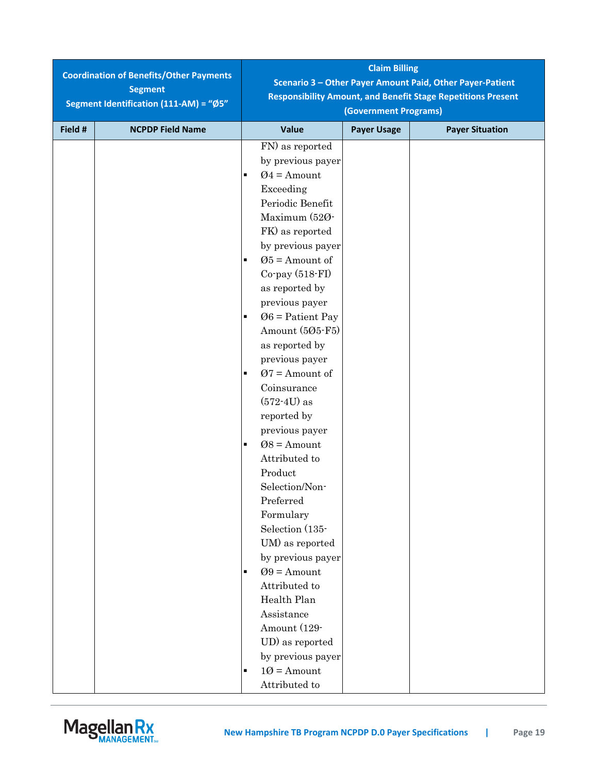|         | <b>Coordination of Benefits/Other Payments</b> | <b>Claim Billing</b><br>Scenario 3 - Other Payer Amount Paid, Other Payer-Patient |                             |                       |                        |  |
|---------|------------------------------------------------|-----------------------------------------------------------------------------------|-----------------------------|-----------------------|------------------------|--|
|         | <b>Segment</b>                                 | <b>Responsibility Amount, and Benefit Stage Repetitions Present</b>               |                             |                       |                        |  |
|         | Segment Identification (111-AM) = "Ø5"         |                                                                                   |                             | (Government Programs) |                        |  |
| Field # | <b>NCPDP Field Name</b>                        |                                                                                   | Value                       | <b>Payer Usage</b>    | <b>Payer Situation</b> |  |
|         |                                                |                                                                                   | FN) as reported             |                       |                        |  |
|         |                                                |                                                                                   | by previous payer           |                       |                        |  |
|         |                                                | $\blacksquare$                                                                    | $Q4 =$ Amount               |                       |                        |  |
|         |                                                |                                                                                   | Exceeding                   |                       |                        |  |
|         |                                                |                                                                                   | Periodic Benefit            |                       |                        |  |
|         |                                                |                                                                                   | Maximum (520-               |                       |                        |  |
|         |                                                |                                                                                   | FK) as reported             |                       |                        |  |
|         |                                                |                                                                                   | by previous payer           |                       |                        |  |
|         |                                                | $\blacksquare$                                                                    | $\varnothing$ 5 = Amount of |                       |                        |  |
|         |                                                |                                                                                   | $Co$ -pay $(518-FI)$        |                       |                        |  |
|         |                                                |                                                                                   | as reported by              |                       |                        |  |
|         |                                                |                                                                                   | previous payer              |                       |                        |  |
|         |                                                | ٠                                                                                 | $06$ = Patient Pay          |                       |                        |  |
|         |                                                |                                                                                   | Amount (505-F5)             |                       |                        |  |
|         |                                                |                                                                                   | as reported by              |                       |                        |  |
|         |                                                |                                                                                   | previous payer              |                       |                        |  |
|         |                                                | $\blacksquare$                                                                    | $Ø7$ = Amount of            |                       |                        |  |
|         |                                                |                                                                                   | Coinsurance                 |                       |                        |  |
|         |                                                |                                                                                   | $(572-4U)$ as               |                       |                        |  |
|         |                                                |                                                                                   | reported by                 |                       |                        |  |
|         |                                                |                                                                                   | previous payer              |                       |                        |  |
|         |                                                | $\blacksquare$                                                                    | $Ø8 =$ Amount               |                       |                        |  |
|         |                                                |                                                                                   | Attributed to               |                       |                        |  |
|         |                                                |                                                                                   | Product                     |                       |                        |  |
|         |                                                |                                                                                   | Selection/Non-              |                       |                        |  |
|         |                                                |                                                                                   | Preferred                   |                       |                        |  |
|         |                                                |                                                                                   | Formulary                   |                       |                        |  |
|         |                                                |                                                                                   | Selection (135-             |                       |                        |  |
|         |                                                |                                                                                   | UM) as reported             |                       |                        |  |
|         |                                                |                                                                                   | by previous payer           |                       |                        |  |
|         |                                                | $\blacksquare$                                                                    | $Q9 =$ Amount               |                       |                        |  |
|         |                                                |                                                                                   | Attributed to               |                       |                        |  |
|         |                                                |                                                                                   | Health Plan                 |                       |                        |  |
|         |                                                |                                                                                   | Assistance                  |                       |                        |  |
|         |                                                |                                                                                   | Amount (129-                |                       |                        |  |
|         |                                                |                                                                                   | UD) as reported             |                       |                        |  |
|         |                                                |                                                                                   | by previous payer           |                       |                        |  |
|         |                                                | п                                                                                 | $10 =$ Amount               |                       |                        |  |
|         |                                                |                                                                                   | Attributed to               |                       |                        |  |

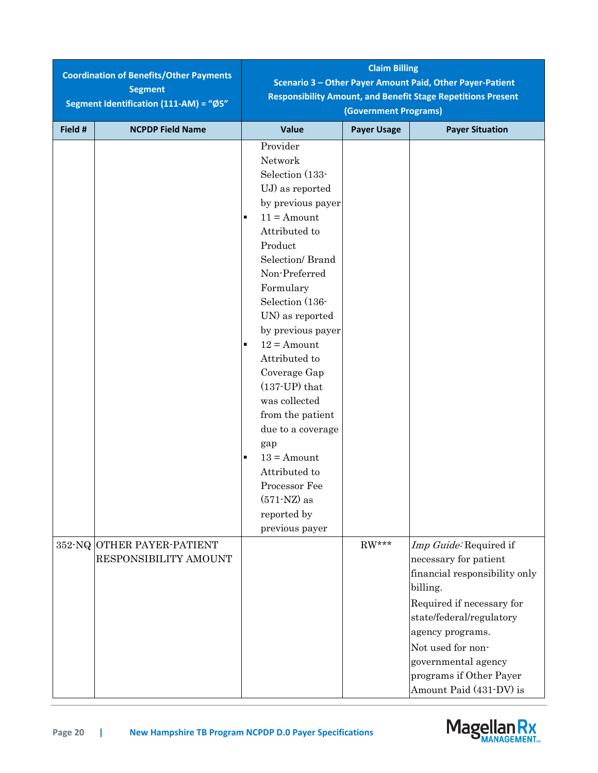|         | <b>Coordination of Benefits/Other Payments</b><br><b>Segment</b><br>Segment Identification (111-AM) = "Ø5" | <b>Claim Billing</b><br>Scenario 3 - Other Payer Amount Paid, Other Payer-Patient<br><b>Responsibility Amount, and Benefit Stage Repetitions Present</b><br>(Government Programs)                                                                                                                                                                                                                                                                                                                               |                    |                                                                                                                                                                                                                                                                             |  |
|---------|------------------------------------------------------------------------------------------------------------|-----------------------------------------------------------------------------------------------------------------------------------------------------------------------------------------------------------------------------------------------------------------------------------------------------------------------------------------------------------------------------------------------------------------------------------------------------------------------------------------------------------------|--------------------|-----------------------------------------------------------------------------------------------------------------------------------------------------------------------------------------------------------------------------------------------------------------------------|--|
| Field # | <b>NCPDP Field Name</b>                                                                                    | Value                                                                                                                                                                                                                                                                                                                                                                                                                                                                                                           | <b>Payer Usage</b> | <b>Payer Situation</b>                                                                                                                                                                                                                                                      |  |
|         |                                                                                                            | Provider<br>Network<br>Selection (133-<br>UJ) as reported<br>by previous payer<br>$11 =$ Amount<br>Ξ<br>Attributed to<br>Product<br>Selection/Brand<br>Non-Preferred<br>Formulary<br>Selection (136-<br>UN) as reported<br>by previous payer<br>$12 =$ Amount<br>$\blacksquare$<br>Attributed to<br>Coverage Gap<br>$(137$ -UP) that<br>was collected<br>from the patient<br>due to a coverage<br>gap<br>$13 =$ Amount<br>Ξ<br>Attributed to<br>Processor Fee<br>$(571-NZ)$ as<br>reported by<br>previous payer |                    |                                                                                                                                                                                                                                                                             |  |
|         | 352-NQ OTHER PAYER-PATIENT<br>RESPONSIBILITY AMOUNT                                                        |                                                                                                                                                                                                                                                                                                                                                                                                                                                                                                                 | $RW***$            | Imp Guide: Required if<br>necessary for patient<br>financial responsibility only<br>billing.<br>Required if necessary for<br>state/federal/regulatory<br>agency programs.<br>Not used for non-<br>governmental agency<br>programs if Other Payer<br>Amount Paid (431-DV) is |  |

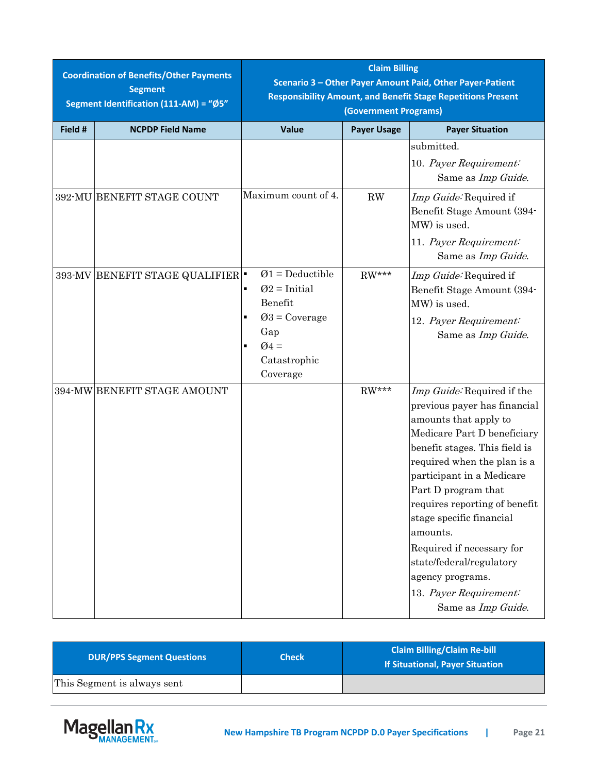| <b>Coordination of Benefits/Other Payments</b><br><b>Segment</b><br>Segment Identification (111-AM) = "Ø5" |                                | <b>Claim Billing</b><br>Scenario 3 - Other Payer Amount Paid, Other Payer-Patient<br><b>Responsibility Amount, and Benefit Stage Repetitions Present</b><br>(Government Programs) |                    |                                                                                                                                                                                                                                                                                                                                                                                                                                              |  |
|------------------------------------------------------------------------------------------------------------|--------------------------------|-----------------------------------------------------------------------------------------------------------------------------------------------------------------------------------|--------------------|----------------------------------------------------------------------------------------------------------------------------------------------------------------------------------------------------------------------------------------------------------------------------------------------------------------------------------------------------------------------------------------------------------------------------------------------|--|
| Field #                                                                                                    | <b>NCPDP Field Name</b>        | <b>Value</b>                                                                                                                                                                      | <b>Payer Usage</b> | <b>Payer Situation</b>                                                                                                                                                                                                                                                                                                                                                                                                                       |  |
|                                                                                                            |                                |                                                                                                                                                                                   |                    | submitted.<br>10. Payer Requirement:<br>Same as <i>Imp Guide</i> .                                                                                                                                                                                                                                                                                                                                                                           |  |
|                                                                                                            | 392-MU BENEFIT STAGE COUNT     | Maximum count of 4.                                                                                                                                                               | <b>RW</b>          | Imp Guide: Required if<br>Benefit Stage Amount (394-<br>MW) is used.<br>11. Payer Requirement:<br>Same as <i>Imp Guide</i> .                                                                                                                                                                                                                                                                                                                 |  |
|                                                                                                            | 393-MV BENEFIT STAGE QUALIFIER | $Q1 = Deductible$<br>$Q2$ = Initial<br>٠<br>Benefit<br>$Q3 = \text{Coverage}$<br>Gap<br>$\varnothing$ 4 =<br>Catastrophic<br>Coverage                                             | $RW***$            | Imp Guide: Required if<br>Benefit Stage Amount (394-<br>MW) is used.<br>12. Payer Requirement:<br>Same as <i>Imp Guide</i> .                                                                                                                                                                                                                                                                                                                 |  |
|                                                                                                            | 394-MW BENEFIT STAGE AMOUNT    |                                                                                                                                                                                   | $RW***$            | Imp Guide: Required if the<br>previous payer has financial<br>amounts that apply to<br>Medicare Part D beneficiary<br>benefit stages. This field is<br>required when the plan is a<br>participant in a Medicare<br>Part D program that<br>requires reporting of benefit<br>stage specific financial<br>amounts.<br>Required if necessary for<br>state/federal/regulatory<br>agency programs.<br>13. Payer Requirement:<br>Same as Imp Guide. |  |

| <b>DUR/PPS Segment Questions</b> | <b>Check</b> | <b>Claim Billing/Claim Re-bill</b><br><b>If Situational, Payer Situation</b> |
|----------------------------------|--------------|------------------------------------------------------------------------------|
| This Segment is always sent      |              |                                                                              |

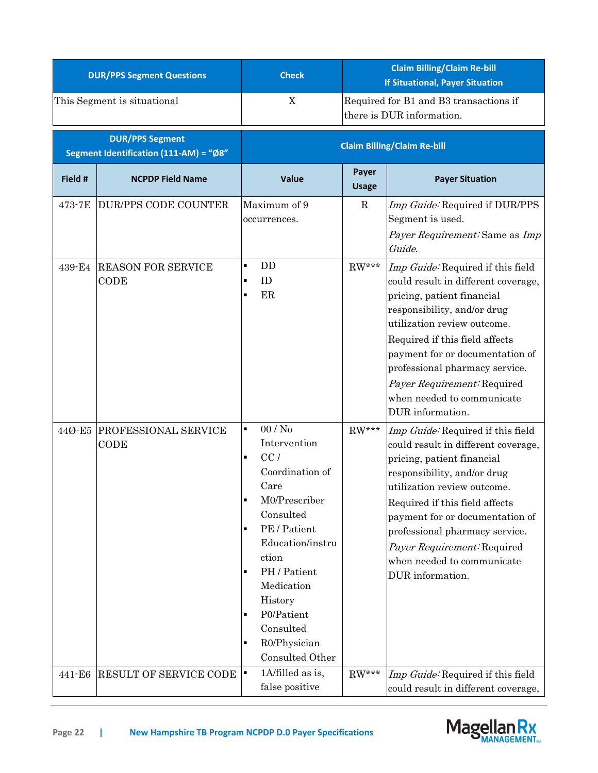| <b>DUR/PPS Segment Questions</b> |                                                                  | <b>Check</b>                                                                                                                                                                                                                                                                                             |                                                                     | <b>Claim Billing/Claim Re-bill</b><br><b>If Situational, Payer Situation</b>                                                                                                                                                                                                                                                                                 |  |
|----------------------------------|------------------------------------------------------------------|----------------------------------------------------------------------------------------------------------------------------------------------------------------------------------------------------------------------------------------------------------------------------------------------------------|---------------------------------------------------------------------|--------------------------------------------------------------------------------------------------------------------------------------------------------------------------------------------------------------------------------------------------------------------------------------------------------------------------------------------------------------|--|
| This Segment is situational      |                                                                  | X                                                                                                                                                                                                                                                                                                        | Required for B1 and B3 transactions if<br>there is DUR information. |                                                                                                                                                                                                                                                                                                                                                              |  |
|                                  | <b>DUR/PPS Segment</b><br>Segment Identification (111-AM) = "Ø8" |                                                                                                                                                                                                                                                                                                          |                                                                     | <b>Claim Billing/Claim Re-bill</b>                                                                                                                                                                                                                                                                                                                           |  |
| Field #                          | <b>NCPDP Field Name</b>                                          | Value                                                                                                                                                                                                                                                                                                    | Payer<br><b>Usage</b>                                               | <b>Payer Situation</b>                                                                                                                                                                                                                                                                                                                                       |  |
| 473-7E                           | <b>DUR/PPS CODE COUNTER</b>                                      | Maximum of 9<br>occurrences.                                                                                                                                                                                                                                                                             | $\mathbf R$                                                         | Imp Guide: Required if DUR/PPS<br>Segment is used.<br>Payer Requirement: Same as Imp<br>Guide.                                                                                                                                                                                                                                                               |  |
| 439-E4                           | <b>REASON FOR SERVICE</b><br>CODE                                | DD<br>$\blacksquare$<br>ID<br>٠<br>ER<br>п                                                                                                                                                                                                                                                               | $RW***$                                                             | Imp Guide: Required if this field<br>could result in different coverage,<br>pricing, patient financial<br>responsibility, and/or drug<br>utilization review outcome.<br>Required if this field affects<br>payment for or documentation of<br>professional pharmacy service.<br>Payer Requirement: Required<br>when needed to communicate<br>DUR information. |  |
| 440-E5                           | PROFESSIONAL SERVICE<br>CODE                                     | 00/N <sub>0</sub><br>$\blacksquare$<br>Intervention<br>CC/<br>$\blacksquare$<br>Coordination of<br>Care<br>M0/Prescriber<br>Consulted<br>PE / Patient<br>٠<br>Education/instru<br>ction<br>PH / Patient<br>п<br>Medication<br>History<br>P0/Patient<br>٠<br>Consulted<br>R0/Physician<br>Consulted Other | $RW***$                                                             | Imp Guide: Required if this field<br>could result in different coverage,<br>pricing, patient financial<br>responsibility, and/or drug<br>utilization review outcome.<br>Required if this field affects<br>payment for or documentation of<br>professional pharmacy service.<br>Payer Requirement: Required<br>when needed to communicate<br>DUR information. |  |
| 441-E6                           | RESULT OF SERVICE CODE                                           | 1A/filled as is,<br>Е<br>false positive                                                                                                                                                                                                                                                                  | $RW***$                                                             | Imp Guide: Required if this field<br>could result in different coverage,                                                                                                                                                                                                                                                                                     |  |

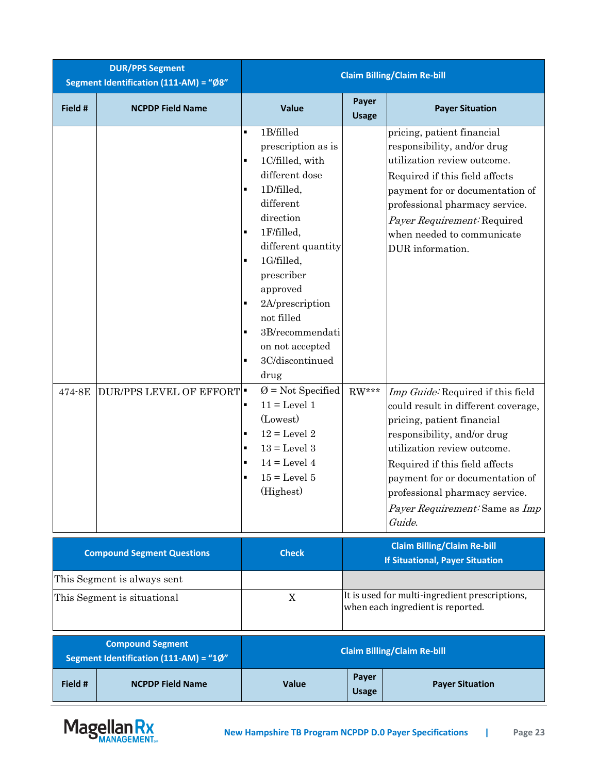|                             | <b>DUR/PPS Segment</b><br>Segment Identification (111-AM) = "Ø8"  |                                                                                                    | <b>Claim Billing/Claim Re-bill</b>                                                                                                                                                                                                                                                                                                                                                                                                                       |                       |  |                                                                                                                                                                                                                                                                                                                                                                                                                                                                                                                                                                                                             |
|-----------------------------|-------------------------------------------------------------------|----------------------------------------------------------------------------------------------------|----------------------------------------------------------------------------------------------------------------------------------------------------------------------------------------------------------------------------------------------------------------------------------------------------------------------------------------------------------------------------------------------------------------------------------------------------------|-----------------------|--|-------------------------------------------------------------------------------------------------------------------------------------------------------------------------------------------------------------------------------------------------------------------------------------------------------------------------------------------------------------------------------------------------------------------------------------------------------------------------------------------------------------------------------------------------------------------------------------------------------------|
| Field #                     | <b>NCPDP Field Name</b>                                           |                                                                                                    | <b>Value</b>                                                                                                                                                                                                                                                                                                                                                                                                                                             | Payer<br><b>Usage</b> |  | <b>Payer Situation</b>                                                                                                                                                                                                                                                                                                                                                                                                                                                                                                                                                                                      |
| 474-8E                      | DUR/PPS LEVEL OF EFFORT <sup>®</sup>                              | ٠<br>٠<br>$\blacksquare$<br>٠<br>$\blacksquare$<br>٠<br>$\blacksquare$<br>$\blacksquare$<br>٠<br>٠ | 1B/filled<br>prescription as is<br>1C/filled, with<br>different dose<br>1D/filled,<br>different<br>direction<br>1F/filled,<br>different quantity<br>1G/filled,<br>prescriber<br>approved<br>2A/prescription<br>not filled<br>3B/recommendati<br>on not accepted<br>3C/discontinued<br>drug<br>$\varnothing$ = Not Specified<br>$11 = Level 1$<br>(Lowest)<br>$12 = \text{Level } 2$<br>$13 = Level 3$<br>$14 = Level 4$<br>$15 =$ Level $5$<br>(Highest) | $RW***$               |  | pricing, patient financial<br>responsibility, and/or drug<br>utilization review outcome.<br>Required if this field affects<br>payment for or documentation of<br>professional pharmacy service.<br>Payer Requirement: Required<br>when needed to communicate<br>DUR information.<br>Imp Guide: Required if this field<br>could result in different coverage,<br>pricing, patient financial<br>responsibility, and/or drug<br>utilization review outcome.<br>Required if this field affects<br>payment for or documentation of<br>professional pharmacy service.<br>Payer Requirement: Same as Imp<br>Guide. |
|                             | <b>Compound Segment Questions</b>                                 |                                                                                                    | <b>Check</b>                                                                                                                                                                                                                                                                                                                                                                                                                                             |                       |  | <b>Claim Billing/Claim Re-bill</b><br><b>If Situational, Payer Situation</b>                                                                                                                                                                                                                                                                                                                                                                                                                                                                                                                                |
|                             | This Segment is always sent                                       |                                                                                                    |                                                                                                                                                                                                                                                                                                                                                                                                                                                          |                       |  |                                                                                                                                                                                                                                                                                                                                                                                                                                                                                                                                                                                                             |
| This Segment is situational |                                                                   |                                                                                                    | X                                                                                                                                                                                                                                                                                                                                                                                                                                                        |                       |  | It is used for multi-ingredient prescriptions,<br>when each ingredient is reported.                                                                                                                                                                                                                                                                                                                                                                                                                                                                                                                         |
|                             | <b>Compound Segment</b><br>Segment Identification (111-AM) = "1Ø" |                                                                                                    |                                                                                                                                                                                                                                                                                                                                                                                                                                                          |                       |  | <b>Claim Billing/Claim Re-bill</b>                                                                                                                                                                                                                                                                                                                                                                                                                                                                                                                                                                          |
| Field #                     | <b>NCPDP Field Name</b>                                           |                                                                                                    | <b>Value</b>                                                                                                                                                                                                                                                                                                                                                                                                                                             | Payer<br><b>Usage</b> |  | <b>Payer Situation</b>                                                                                                                                                                                                                                                                                                                                                                                                                                                                                                                                                                                      |

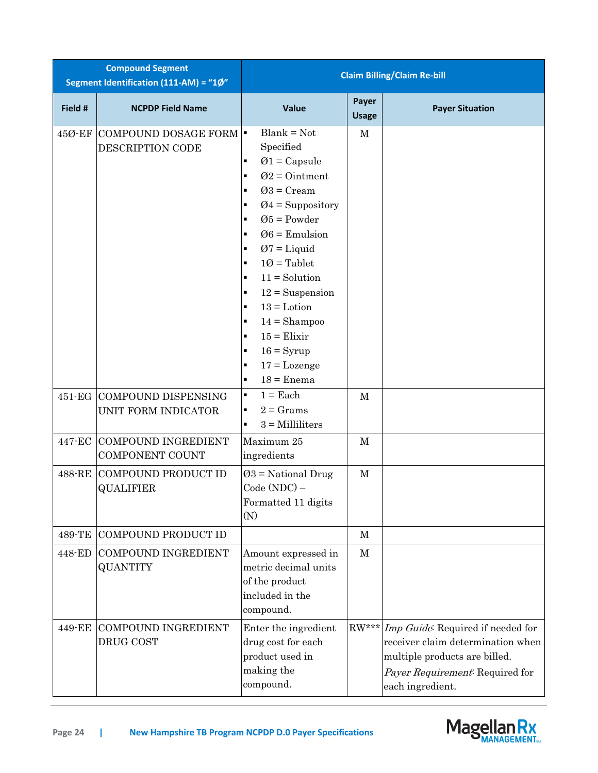| <b>Compound Segment</b><br>Segment Identification (111-AM) = "1Ø" |                                                      | <b>Claim Billing/Claim Re-bill</b>                                                                                                                                                                                                                                                                                                                                                                                              |                       |                                                                                                                                                                |  |
|-------------------------------------------------------------------|------------------------------------------------------|---------------------------------------------------------------------------------------------------------------------------------------------------------------------------------------------------------------------------------------------------------------------------------------------------------------------------------------------------------------------------------------------------------------------------------|-----------------------|----------------------------------------------------------------------------------------------------------------------------------------------------------------|--|
| Field #                                                           | <b>NCPDP Field Name</b>                              | Value                                                                                                                                                                                                                                                                                                                                                                                                                           | Payer<br><b>Usage</b> | <b>Payer Situation</b>                                                                                                                                         |  |
| 45Ø-EF                                                            | COMPOUND DOSAGE FORM<br><b>DESCRIPTION CODE</b>      | $Blank = Not$<br>Specified<br>$Q1 = \text{Capsule}$<br>٠<br>$Q2 =$ Ointment<br>٠<br>$Q3 = C$ ream<br>$\blacksquare$<br>$Q4 =$ Suppository<br>٠<br>$\varnothing$ 5 = Powder<br>٠<br>$06$ = Emulsion<br>$Q7 =$ Liquid<br>٠<br>$10 =$ Tablet<br>$11 =$ Solution<br>٠<br>$12 =$ Suspension<br>$13 =$ Lotion<br>$\blacksquare$<br>$14 =$ Shampoo<br>п<br>$15 =$ Elixir<br>п<br>$16 = Syrup$<br>п<br>$17 =$ Lozenge<br>$\blacksquare$ | $\mathbf M$           |                                                                                                                                                                |  |
| 451-EG                                                            | <b>COMPOUND DISPENSING</b><br>UNIT FORM INDICATOR    | $18 =$ Enema<br>٠<br>$1 = Each$<br>$\blacksquare$<br>$2 = \text{Grams}$<br>$3 =$ Milliliters<br>٠                                                                                                                                                                                                                                                                                                                               | $\mathbf{M}$          |                                                                                                                                                                |  |
| 447-EC                                                            | <b>COMPOUND INGREDIENT</b><br><b>COMPONENT COUNT</b> | Maximum 25<br>ingredients                                                                                                                                                                                                                                                                                                                                                                                                       | $\mathbf{M}$          |                                                                                                                                                                |  |
| 488-RE                                                            | COMPOUND PRODUCT ID<br><b>QUALIFIER</b>              | $Q3$ = National Drug<br>$Code (NDC) -$<br>Formatted 11 digits<br>(N)                                                                                                                                                                                                                                                                                                                                                            | $\mathbf M$           |                                                                                                                                                                |  |
| 489-TE                                                            | <b>COMPOUND PRODUCT ID</b>                           |                                                                                                                                                                                                                                                                                                                                                                                                                                 | $\mathbf M$           |                                                                                                                                                                |  |
| 448-ED                                                            | COMPOUND INGREDIENT<br><b>QUANTITY</b>               | Amount expressed in<br>metric decimal units<br>of the product<br>included in the<br>compound.                                                                                                                                                                                                                                                                                                                                   | $\mathbf{M}$          |                                                                                                                                                                |  |
| 449-EE                                                            | <b>COMPOUND INGREDIENT</b><br>DRUG COST              | Enter the ingredient<br>drug cost for each<br>product used in<br>making the<br>compound.                                                                                                                                                                                                                                                                                                                                        | $RW***$               | Imp Guide: Required if needed for<br>receiver claim determination when<br>multiple products are billed.<br>Payer Requirement: Required for<br>each ingredient. |  |

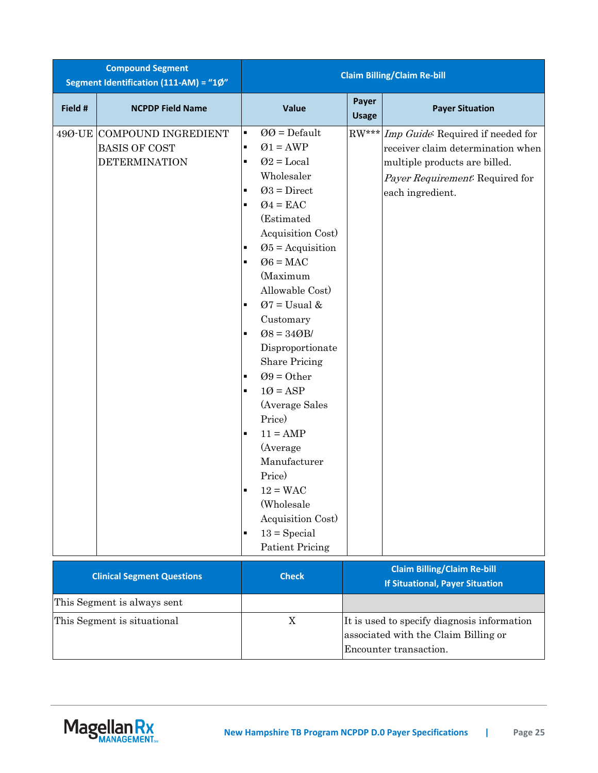| <b>Compound Segment</b><br>Segment Identification (111-AM) = "1Ø" |                                                                     |                                                                                                                                                                               |                                                                                                                                                                                                                                                                                                                                                                                                                                                                                                                                                                |                       | <b>Claim Billing/Claim Re-bill</b>                                                                                                                                   |
|-------------------------------------------------------------------|---------------------------------------------------------------------|-------------------------------------------------------------------------------------------------------------------------------------------------------------------------------|----------------------------------------------------------------------------------------------------------------------------------------------------------------------------------------------------------------------------------------------------------------------------------------------------------------------------------------------------------------------------------------------------------------------------------------------------------------------------------------------------------------------------------------------------------------|-----------------------|----------------------------------------------------------------------------------------------------------------------------------------------------------------------|
| Field #                                                           | <b>NCPDP Field Name</b>                                             |                                                                                                                                                                               | Value                                                                                                                                                                                                                                                                                                                                                                                                                                                                                                                                                          | Payer<br><b>Usage</b> | <b>Payer Situation</b>                                                                                                                                               |
| 49Ø-UE                                                            | COMPOUND INGREDIENT<br><b>BASIS OF COST</b><br><b>DETERMINATION</b> | ٠<br>$\blacksquare$<br>$\blacksquare$<br>$\blacksquare$<br>$\blacksquare$<br>$\blacksquare$<br>$\blacksquare$<br>٠<br>$\blacksquare$<br>$\blacksquare$<br>Ξ<br>$\blacksquare$ | $00 = \text{Default}$<br>$Q1 = AWP$<br>$Q2 = Local$<br>Wholesaler<br>$Q3 = Direct$<br>$Q4 = EAC$<br>(Estimated<br>Acquisition Cost)<br>$\varnothing$ 5 = Acquisition<br>$\varnothing 6 = \text{MAC}$<br>(Maximum<br>Allowable Cost)<br>$Q7 =$ Usual &<br>Customary<br>$\mathcal{O}8 = 34 \mathcal{O}B/$<br>Disproportionate<br><b>Share Pricing</b><br>$Q9 = Other$<br>$10 = ASP$<br>(Average Sales<br>Price)<br>$11 = AMP$<br>(Average<br>Manufacturer<br>Price)<br>$12 = WAC$<br>(Wholesale<br>Acquisition Cost)<br>$13 = Special$<br><b>Patient Pricing</b> |                       | RW*** Imp Guide: Required if needed for<br>receiver claim determination when<br>multiple products are billed.<br>Payer Requirement: Required for<br>each ingredient. |
|                                                                   | <b>Clinical Segment Questions</b>                                   |                                                                                                                                                                               | <b>Check</b>                                                                                                                                                                                                                                                                                                                                                                                                                                                                                                                                                   |                       | <b>Claim Billing/Claim Re-bill</b><br><b>If Situational, Payer Situation</b>                                                                                         |

| <b>Clinical Segment Questions</b> | <b>Check</b> | <b>If Situational, Payer Situation</b>                                                                        |
|-----------------------------------|--------------|---------------------------------------------------------------------------------------------------------------|
| This Segment is always sent       |              |                                                                                                               |
| This Segment is situational       | X            | It is used to specify diagnosis information<br>associated with the Claim Billing or<br>Encounter transaction. |

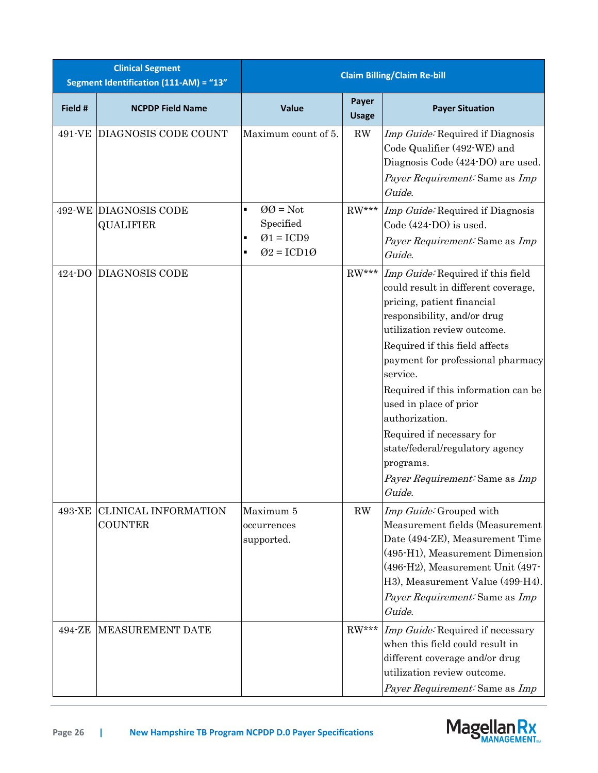| <b>Clinical Segment</b><br>Segment Identification (111-AM) = "13" |                                               | <b>Claim Billing/Claim Re-bill</b>                                                                                    |                       |                                                                                                                                                                                                                                                                                                                                                                                                                                                                                   |  |  |
|-------------------------------------------------------------------|-----------------------------------------------|-----------------------------------------------------------------------------------------------------------------------|-----------------------|-----------------------------------------------------------------------------------------------------------------------------------------------------------------------------------------------------------------------------------------------------------------------------------------------------------------------------------------------------------------------------------------------------------------------------------------------------------------------------------|--|--|
| Field #                                                           | <b>NCPDP Field Name</b>                       | <b>Value</b>                                                                                                          | Payer<br><b>Usage</b> | <b>Payer Situation</b>                                                                                                                                                                                                                                                                                                                                                                                                                                                            |  |  |
| 491-VE                                                            | DIAGNOSIS CODE COUNT                          | Maximum count of 5.                                                                                                   | RW                    | Imp Guide: Required if Diagnosis<br>Code Qualifier (492-WE) and<br>Diagnosis Code (424-DO) are used.<br>Payer Requirement: Same as Imp<br>Guide.                                                                                                                                                                                                                                                                                                                                  |  |  |
|                                                                   | 492-WE DIAGNOSIS CODE<br><b>QUALIFIER</b>     | $QQ = Not$<br>$\blacksquare$<br>Specified<br>$\varnothing$ 1 = ICD9<br>٠<br>$\varnothing$ 2 = ICD1 $\varnothing$<br>п | $\mathrm{RW^{***}}$   | Imp Guide: Required if Diagnosis<br>Code (424-DO) is used.<br>Payer Requirement: Same as Imp<br>Guide.                                                                                                                                                                                                                                                                                                                                                                            |  |  |
| $424 - DO$                                                        | <b>DIAGNOSIS CODE</b>                         |                                                                                                                       |                       | RW*** <i>Imp Guide</i> : Required if this field<br>could result in different coverage,<br>pricing, patient financial<br>responsibility, and/or drug<br>utilization review outcome.<br>Required if this field affects<br>payment for professional pharmacy<br>service.<br>Required if this information can be<br>used in place of prior<br>authorization.<br>Required if necessary for<br>state/federal/regulatory agency<br>programs.<br>Payer Requirement: Same as Imp<br>Guide. |  |  |
| 493-XE                                                            | <b>CLINICAL INFORMATION</b><br><b>COUNTER</b> | Maximum 5<br>occurrences<br>supported.                                                                                | RW                    | Imp Guide: Grouped with<br>Measurement fields (Measurement<br>Date (494-ZE), Measurement Time<br>(495-H1), Measurement Dimension<br>(496-H2), Measurement Unit (497-<br>H3), Measurement Value (499-H4).<br>Payer Requirement: Same as Imp<br>Guide.                                                                                                                                                                                                                              |  |  |
| 494-ZE                                                            | <b>MEASUREMENT DATE</b>                       |                                                                                                                       | $RW***$               | Imp Guide: Required if necessary<br>when this field could result in<br>different coverage and/or drug<br>utilization review outcome.<br>Payer Requirement: Same as Imp                                                                                                                                                                                                                                                                                                            |  |  |

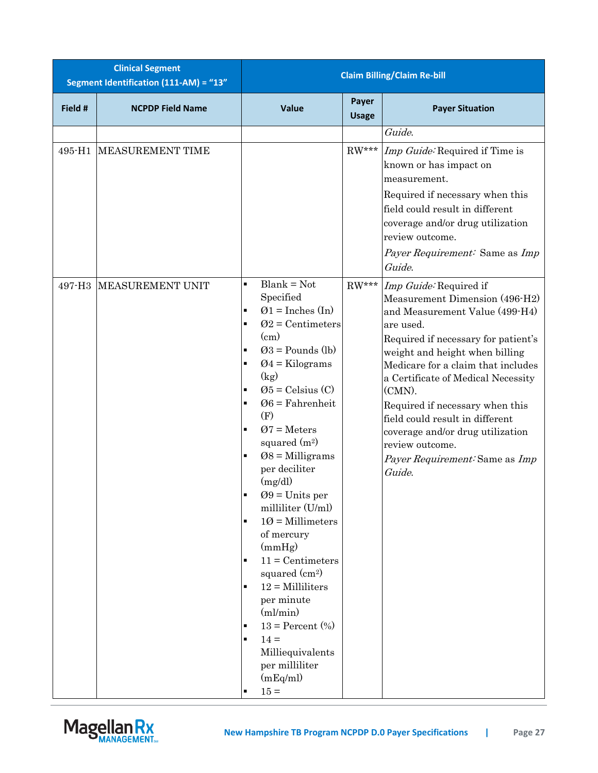| <b>Clinical Segment</b><br>Segment Identification (111-AM) = "13" |                         |                                                                                                                                                                                                                                                                                                                                                                                                                                                                                                                                                                                                                                                                                                                             |                       | <b>Claim Billing/Claim Re-bill</b>                                                                                                                                                                                                                                                                                                                                                                                                              |
|-------------------------------------------------------------------|-------------------------|-----------------------------------------------------------------------------------------------------------------------------------------------------------------------------------------------------------------------------------------------------------------------------------------------------------------------------------------------------------------------------------------------------------------------------------------------------------------------------------------------------------------------------------------------------------------------------------------------------------------------------------------------------------------------------------------------------------------------------|-----------------------|-------------------------------------------------------------------------------------------------------------------------------------------------------------------------------------------------------------------------------------------------------------------------------------------------------------------------------------------------------------------------------------------------------------------------------------------------|
| Field #                                                           | <b>NCPDP Field Name</b> | Value                                                                                                                                                                                                                                                                                                                                                                                                                                                                                                                                                                                                                                                                                                                       | Payer<br><b>Usage</b> | <b>Payer Situation</b>                                                                                                                                                                                                                                                                                                                                                                                                                          |
|                                                                   |                         |                                                                                                                                                                                                                                                                                                                                                                                                                                                                                                                                                                                                                                                                                                                             |                       | Guide.                                                                                                                                                                                                                                                                                                                                                                                                                                          |
| 495-H1                                                            | <b>MEASUREMENT TIME</b> |                                                                                                                                                                                                                                                                                                                                                                                                                                                                                                                                                                                                                                                                                                                             | $RW***$               | Imp Guide: Required if Time is<br>known or has impact on<br>measurement.<br>Required if necessary when this<br>field could result in different<br>coverage and/or drug utilization<br>review outcome.<br>Payer Requirement: Same as Imp<br>Guide.                                                                                                                                                                                               |
| 497-H3                                                            | MEASUREMENT UNIT        | $Blank = Not$<br>$\blacksquare$<br>Specified<br>$\varnothing$ 1 = Inches (In)<br>٠<br>$Q2$ = Centimeters<br>٠<br>(cm)<br>$Q3 =$ Pounds (lb)<br>٠<br>$Q4 =$ Kilograms<br>٠<br>(kg)<br>$\mathcal{O}5$ = Celsius (C)<br>$\blacksquare$<br>$06$ = Fahrenheit<br>(F)<br>$Q7 =$ Meters<br>$\blacksquare$<br>squared $(m2)$<br>$08 =$ Milligrams<br>٠<br>per deciliter<br>(mg/dl)<br>$Q9 =$ Units per<br>milliliter (U/ml)<br>$10 =$ Millimeters<br>٠<br>of mercury<br>(mmHg)<br>$11 =$ Centimeters<br>٠<br>squared (cm <sup>2</sup> )<br>$12 =$ Milliliters<br>$\blacksquare$<br>per minute<br>(ml/min)<br>$13 =$ Percent $(\%)$<br>٠<br>$14 =$<br>$\blacksquare$<br>Milliequivalents<br>per milliliter<br>(mEq/ml)<br>$15=$<br>٠ | $RW***$               | Imp Guide: Required if<br>Measurement Dimension (496-H2)<br>and Measurement Value (499-H4)<br>are used.<br>Required if necessary for patient's<br>weight and height when billing<br>Medicare for a claim that includes<br>a Certificate of Medical Necessity<br>(CMN).<br>Required if necessary when this<br>field could result in different<br>coverage and/or drug utilization<br>review outcome.<br>Payer Requirement: Same as Imp<br>Guide. |

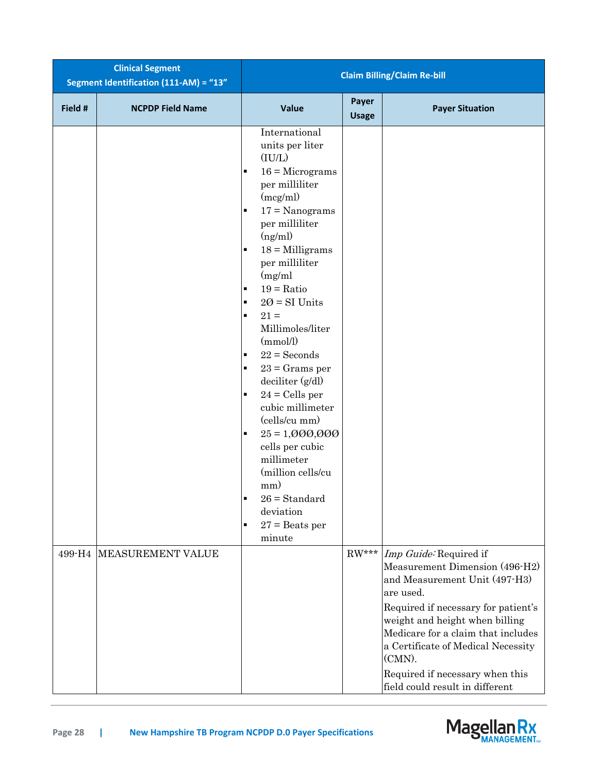| <b>Clinical Segment</b><br>Segment Identification (111-AM) = "13" |                          | <b>Claim Billing/Claim Re-bill</b>                                                                                                                                                                                                                                                                                                                                                                                                                                                                                                                                                                                                                                             |                       |                                                                                                                                                                                                                                                                                                                   |  |
|-------------------------------------------------------------------|--------------------------|--------------------------------------------------------------------------------------------------------------------------------------------------------------------------------------------------------------------------------------------------------------------------------------------------------------------------------------------------------------------------------------------------------------------------------------------------------------------------------------------------------------------------------------------------------------------------------------------------------------------------------------------------------------------------------|-----------------------|-------------------------------------------------------------------------------------------------------------------------------------------------------------------------------------------------------------------------------------------------------------------------------------------------------------------|--|
| Field #                                                           | <b>NCPDP Field Name</b>  | Value                                                                                                                                                                                                                                                                                                                                                                                                                                                                                                                                                                                                                                                                          | Payer<br><b>Usage</b> | <b>Payer Situation</b>                                                                                                                                                                                                                                                                                            |  |
|                                                                   |                          | International<br>units per liter<br>(IU/L)<br>$16 =$ Micrograms<br>$\blacksquare$<br>per milliliter<br>(mcg/ml)<br>$17 =$ Nanograms<br>per milliliter<br>(ng/ml)<br>$18 =$ Milligrams<br>$\blacksquare$<br>per milliliter<br>(mg/ml)<br>$19 = \mathrm{Ratio}$<br>٠<br>$20 = SI$ Units<br>$\blacksquare$<br>$21 =$<br>$\blacksquare$<br>Millimoles/liter<br>(mmol/l)<br>$22 =$ Seconds<br>$\blacksquare$<br>$23$ = Grams per<br>$\blacksquare$<br>deciliter (g/dl)<br>$24 =$ Cells per<br>п<br>cubic millimeter<br>(cells/cu mm)<br>$25 = 1,000,000$<br>cells per cubic<br>millimeter<br>(million cells/cu<br>mm)<br>$26 = Standard$<br>deviation<br>$27$ = Beats per<br>minute |                       |                                                                                                                                                                                                                                                                                                                   |  |
|                                                                   | 499-H4 MEASUREMENT VALUE |                                                                                                                                                                                                                                                                                                                                                                                                                                                                                                                                                                                                                                                                                | ${\rm RW^{***}}$      | Imp Guide: Required if                                                                                                                                                                                                                                                                                            |  |
|                                                                   |                          |                                                                                                                                                                                                                                                                                                                                                                                                                                                                                                                                                                                                                                                                                |                       | Measurement Dimension (496-H2)<br>and Measurement Unit (497-H3)<br>are used.<br>Required if necessary for patient's<br>weight and height when billing<br>Medicare for a claim that includes<br>a Certificate of Medical Necessity<br>(CMN).<br>Required if necessary when this<br>field could result in different |  |

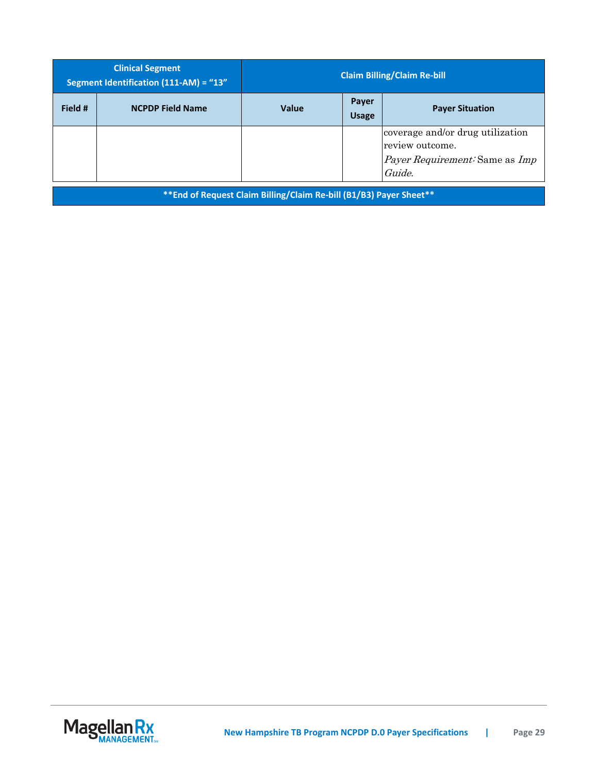| <b>Clinical Segment</b><br>Segment Identification (111-AM) = "13" |                         | <b>Claim Billing/Claim Re-bill</b> |                       |                                                                                                               |  |
|-------------------------------------------------------------------|-------------------------|------------------------------------|-----------------------|---------------------------------------------------------------------------------------------------------------|--|
| Field #                                                           | <b>NCPDP Field Name</b> | Value                              | Payer<br><b>Usage</b> | <b>Payer Situation</b>                                                                                        |  |
|                                                                   |                         |                                    |                       | coverage and/or drug utilization<br>review outcome.<br><i>Payer Requirement:</i> Same as <i>Imp</i><br>Guide. |  |

**\*\*End of Request Claim Billing/Claim Re-bill (B1/B3) Payer Sheet\*\***

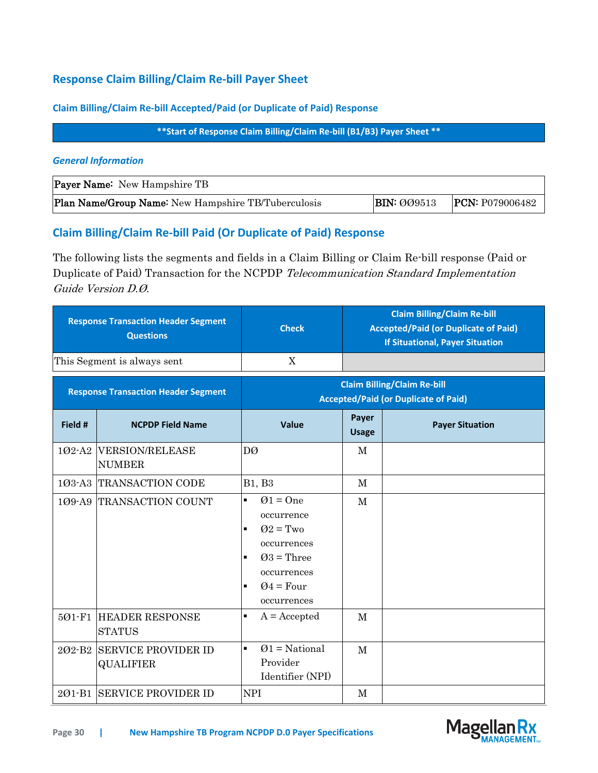# **Response Claim Billing/Claim Re-bill Payer Sheet**

### **Claim Billing/Claim Re-bill Accepted/Paid (or Duplicate of Paid) Response**

### **\*\*Start of Response Claim Billing/Claim Re-bill (B1/B3) Payer Sheet \*\***

#### *General Information*

| <b>Payer Name:</b> New Hampshire TB                 |                    |                        |
|-----------------------------------------------------|--------------------|------------------------|
| Plan Name/Group Name: New Hampshire TB/Tuberculosis | <b>BIN: 009513</b> | <b>PCN:</b> P079006482 |

# **Claim Billing/Claim Re-bill Paid (Or Duplicate of Paid) Response**

The following lists the segments and fields in a Claim Billing or Claim Re-bill response (Paid or Duplicate of Paid) Transaction for the NCPDP Telecommunication Standard Implementation Guide Version D.Ø.

| <b>Response Transaction Header Segment</b><br><b>Questions</b> |                                                | <b>Check</b>                                                                                                                                                                  | <b>Claim Billing/Claim Re-bill</b><br><b>Accepted/Paid (or Duplicate of Paid)</b><br><b>If Situational, Payer Situation</b> |                        |  |  |
|----------------------------------------------------------------|------------------------------------------------|-------------------------------------------------------------------------------------------------------------------------------------------------------------------------------|-----------------------------------------------------------------------------------------------------------------------------|------------------------|--|--|
|                                                                | This Segment is always sent                    | X                                                                                                                                                                             |                                                                                                                             |                        |  |  |
|                                                                | <b>Response Transaction Header Segment</b>     |                                                                                                                                                                               | <b>Claim Billing/Claim Re-bill</b><br><b>Accepted/Paid (or Duplicate of Paid)</b>                                           |                        |  |  |
| Field #                                                        | <b>NCPDP Field Name</b>                        | <b>Value</b>                                                                                                                                                                  | Payer<br><b>Usage</b>                                                                                                       | <b>Payer Situation</b> |  |  |
| $102-A2$                                                       | <b>VERSION/RELEASE</b><br><b>NUMBER</b>        | DØ                                                                                                                                                                            | M                                                                                                                           |                        |  |  |
|                                                                | 103-A3 TRANSACTION CODE                        | <b>B1</b> , <b>B3</b>                                                                                                                                                         | M                                                                                                                           |                        |  |  |
| $109 - A9$                                                     | TRANSACTION COUNT                              | $\blacksquare$<br>$Q1 = One$<br>occurrence<br>$Q2 = Two$<br>٠<br>occurrences<br>$Q3$ = Three<br>$\blacksquare$<br>occurrences<br>$Q4 = Four$<br>$\blacksquare$<br>occurrences | M                                                                                                                           |                        |  |  |
| 501-F1                                                         | <b>HEADER RESPONSE</b><br><b>STATUS</b>        | $A = Accepted$<br>$\blacksquare$                                                                                                                                              | M                                                                                                                           |                        |  |  |
| 202-B <sub>2</sub>                                             | <b>SERVICE PROVIDER ID</b><br><b>QUALIFIER</b> | $Q1$ = National<br>$\blacksquare$<br>Provider<br>Identifier (NPI)                                                                                                             | M                                                                                                                           |                        |  |  |
| 201-B1                                                         | <b>SERVICE PROVIDER ID</b>                     | <b>NPI</b>                                                                                                                                                                    | $\mathbf{M}$                                                                                                                |                        |  |  |

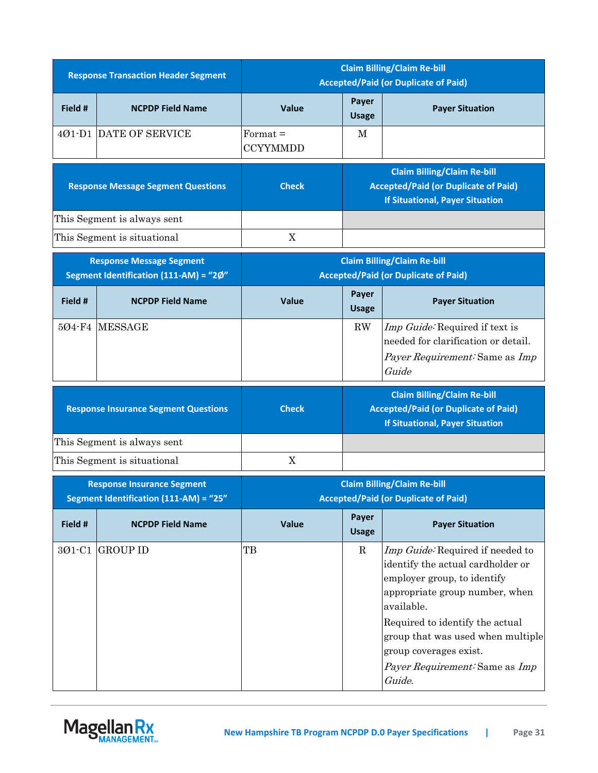| <b>Response Transaction Header Segment</b> |                             | <b>Claim Billing/Claim Re-bill</b><br><b>Accepted/Paid (or Duplicate of Paid)</b> |                                                                                                                             |                        |  |  |
|--------------------------------------------|-----------------------------|-----------------------------------------------------------------------------------|-----------------------------------------------------------------------------------------------------------------------------|------------------------|--|--|
| Field #                                    | <b>NCPDP Field Name</b>     | Value                                                                             | Payer<br><b>Usage</b>                                                                                                       | <b>Payer Situation</b> |  |  |
|                                            | 401-D1 DATE OF SERVICE      | Format $=$<br>CCYYMMDD                                                            | M                                                                                                                           |                        |  |  |
| <b>Response Message Segment Questions</b>  |                             | <b>Check</b>                                                                      | <b>Claim Billing/Claim Re-bill</b><br><b>Accepted/Paid (or Duplicate of Paid)</b><br><b>If Situational, Payer Situation</b> |                        |  |  |
|                                            | This Segment is always sent |                                                                                   |                                                                                                                             |                        |  |  |

| <b>Response Message Segment</b><br>Segment Identification (111-AM) = "2Ø" |                         |       |                       | <b>Claim Billing/Claim Re-bill</b><br><b>Accepted/Paid (or Duplicate of Paid)</b>                                                     |
|---------------------------------------------------------------------------|-------------------------|-------|-----------------------|---------------------------------------------------------------------------------------------------------------------------------------|
| Field #                                                                   | <b>NCPDP Field Name</b> | Value | Payer<br><b>Usage</b> | <b>Payer Situation</b>                                                                                                                |
|                                                                           | 504-F4 IMESSAGE         |       | <b>RW</b>             | <i>Imp Guide:</i> Required if text is<br>needed for clarification or detail.<br><i>Payer Requirement:</i> Same as <i>Imp</i><br>Guide |
|                                                                           |                         |       |                       |                                                                                                                                       |

This Segment is situational X

| <b>Response Insurance Segment Questions</b> | <b>Check</b> | <b>Claim Billing/Claim Re-bill</b><br><b>Accepted/Paid (or Duplicate of Paid)</b><br><b>If Situational, Payer Situation</b> |
|---------------------------------------------|--------------|-----------------------------------------------------------------------------------------------------------------------------|
| This Segment is always sent                 |              |                                                                                                                             |
| This Segment is situational                 |              |                                                                                                                             |

| <b>Response Insurance Segment</b><br>Segment Identification (111-AM) = "25" |                         | <b>Claim Billing/Claim Re-bill</b><br><b>Accepted/Paid (or Duplicate of Paid)</b> |                       |                                                                                                                                                                                                                                                                                                                  |
|-----------------------------------------------------------------------------|-------------------------|-----------------------------------------------------------------------------------|-----------------------|------------------------------------------------------------------------------------------------------------------------------------------------------------------------------------------------------------------------------------------------------------------------------------------------------------------|
| Field #                                                                     | <b>NCPDP Field Name</b> | <b>Value</b>                                                                      | Payer<br><b>Usage</b> | <b>Payer Situation</b>                                                                                                                                                                                                                                                                                           |
| 301-C1                                                                      | <b>IGROUP ID</b>        | TВ                                                                                | R                     | Imp Guide: Required if needed to<br>identify the actual cardholder or<br>employer group, to identify<br>appropriate group number, when<br>available.<br>Required to identify the actual<br>group that was used when multiple<br>group coverages exist.<br><i>Payer Requirement:</i> Same as <i>Imp</i><br>Guide. |

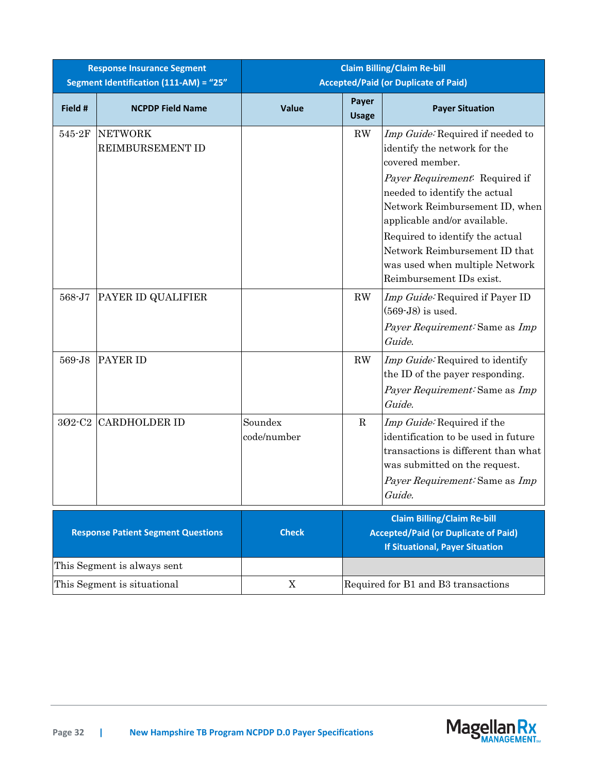| <b>Response Insurance Segment</b><br>Segment Identification (111-AM) = "25" |                                           |                        |                        | <b>Claim Billing/Claim Re-bill</b><br><b>Accepted/Paid (or Duplicate of Paid)</b>                                                                                                                                                                                                                                                                          |
|-----------------------------------------------------------------------------|-------------------------------------------|------------------------|------------------------|------------------------------------------------------------------------------------------------------------------------------------------------------------------------------------------------------------------------------------------------------------------------------------------------------------------------------------------------------------|
| Field #                                                                     | <b>NCPDP Field Name</b>                   | Value                  | Payer<br><b>Usage</b>  | <b>Payer Situation</b>                                                                                                                                                                                                                                                                                                                                     |
| 545-2F                                                                      | <b>NETWORK</b><br>REIMBURSEMENT ID        |                        | $\mathbf{R}\mathbf{W}$ | Imp Guide: Required if needed to<br>identify the network for the<br>covered member.<br>Payer Requirement: Required if<br>needed to identify the actual<br>Network Reimbursement ID, when<br>applicable and/or available.<br>Required to identify the actual<br>Network Reimbursement ID that<br>was used when multiple Network<br>Reimbursement IDs exist. |
| 568-J7                                                                      | PAYER ID QUALIFIER                        |                        | RW                     | Imp Guide: Required if Payer ID<br>$(569-J8)$ is used.<br>Payer Requirement: Same as Imp<br>Guide.                                                                                                                                                                                                                                                         |
| 569-J8                                                                      | PAYER ID                                  |                        | RW                     | Imp Guide: Required to identify<br>the ID of the payer responding.<br>Payer Requirement: Same as Imp<br>Guide.                                                                                                                                                                                                                                             |
| 302-C2                                                                      | <b>CARDHOLDER ID</b>                      | Soundex<br>code/number | $\mathbf R$            | Imp Guide: Required if the<br>identification to be used in future<br>transactions is different than what<br>was submitted on the request.<br>Payer Requirement: Same as Imp<br>Guide.                                                                                                                                                                      |
|                                                                             | <b>Response Patient Segment Questions</b> | <b>Check</b>           |                        | <b>Claim Billing/Claim Re-bill</b><br><b>Accepted/Paid (or Duplicate of Paid)</b><br><b>If Situational, Payer Situation</b>                                                                                                                                                                                                                                |
|                                                                             | This Segment is always sent               |                        |                        |                                                                                                                                                                                                                                                                                                                                                            |
|                                                                             | This Segment is situational               | X                      |                        | Required for B1 and B3 transactions                                                                                                                                                                                                                                                                                                                        |

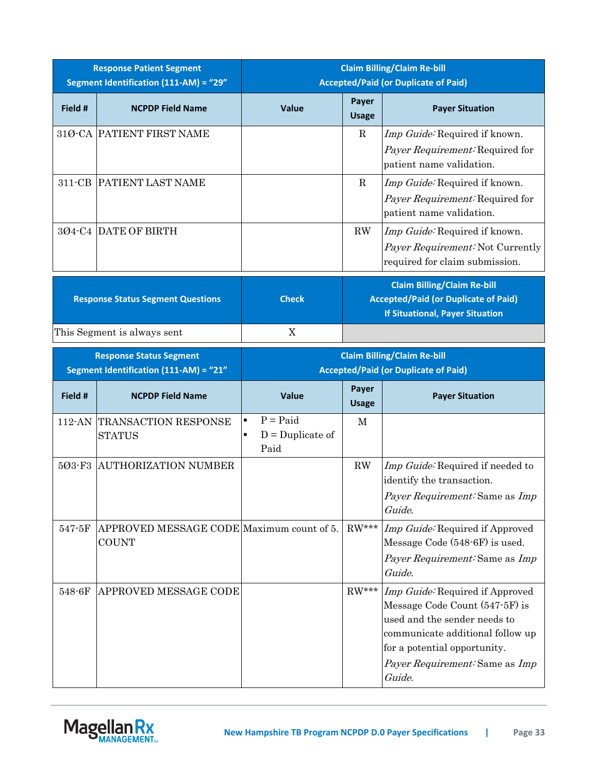| <b>Response Patient Segment</b><br>Segment Identification (111-AM) = "29" |                                          | <b>Claim Billing/Claim Re-bill</b><br><b>Accepted/Paid (or Duplicate of Paid)</b> |                       |                                                                                                                             |
|---------------------------------------------------------------------------|------------------------------------------|-----------------------------------------------------------------------------------|-----------------------|-----------------------------------------------------------------------------------------------------------------------------|
| Field #                                                                   | <b>NCPDP Field Name</b>                  | <b>Value</b>                                                                      | Payer<br><b>Usage</b> | <b>Payer Situation</b>                                                                                                      |
|                                                                           | 31Ø-CA PATIENT FIRST NAME                |                                                                                   | R                     | <i>Imp Guide</i> : Required if known.<br><i>Payer Requirement:</i> Required for<br>patient name validation.                 |
| 311-CB                                                                    | PATIENT LAST NAME                        |                                                                                   | R                     | <i>Imp Guide</i> : Required if known.<br><i>Payer Requirement:</i> Required for<br>patient name validation.                 |
|                                                                           | 304-C4 DATE OF BIRTH                     |                                                                                   | $\rm RW$              | <i>Imp Guide:</i> Required if known.<br><i>Payer Requirement:</i> Not Currently<br>required for claim submission.           |
|                                                                           | <b>Response Status Segment Questions</b> | <b>Check</b>                                                                      |                       | <b>Claim Billing/Claim Re-bill</b><br><b>Accepted/Paid (or Duplicate of Paid)</b><br><b>If Situational, Payer Situation</b> |
|                                                                           | This Segment is always sent              | X                                                                                 |                       |                                                                                                                             |

| <b>Response Status Segment</b><br>Segment Identification (111-AM) = "21" |                                                           |        |                                          |                       | <b>Claim Billing/Claim Re-bill</b><br><b>Accepted/Paid (or Duplicate of Paid)</b>                                                                                                                                               |
|--------------------------------------------------------------------------|-----------------------------------------------------------|--------|------------------------------------------|-----------------------|---------------------------------------------------------------------------------------------------------------------------------------------------------------------------------------------------------------------------------|
| Field #                                                                  | <b>NCPDP Field Name</b>                                   |        | Value                                    | Payer<br><b>Usage</b> | <b>Payer Situation</b>                                                                                                                                                                                                          |
| 112-AN                                                                   | <b>TRANSACTION RESPONSE</b><br><b>STATUS</b>              | ٠<br>٠ | $P =$ Paid<br>$D =$ Duplicate of<br>Paid | M                     |                                                                                                                                                                                                                                 |
| $503-F3$                                                                 | AUTHORIZATION NUMBER                                      |        |                                          | RW                    | Imp Guide: Required if needed to<br>identify the transaction.<br>Payer Requirement: Same as Imp<br>Guide.                                                                                                                       |
| $547 - 5F$                                                               | APPROVED MESSAGE CODE Maximum count of 5.<br><b>COUNT</b> |        |                                          | $RW***$               | <i>Imp Guide:</i> Required if Approved<br>Message Code (548-6F) is used.<br><i>Payer Requirement:</i> Same as <i>Imp</i><br>Guide.                                                                                              |
| 548-6F                                                                   | APPROVED MESSAGE CODE                                     |        |                                          | $RW***$               | Imp Guide: Required if Approved<br>Message Code Count (547-5F) is<br>used and the sender needs to<br>communicate additional follow up<br>for a potential opportunity.<br><i>Payer Requirement:</i> Same as <i>Imp</i><br>Guide. |

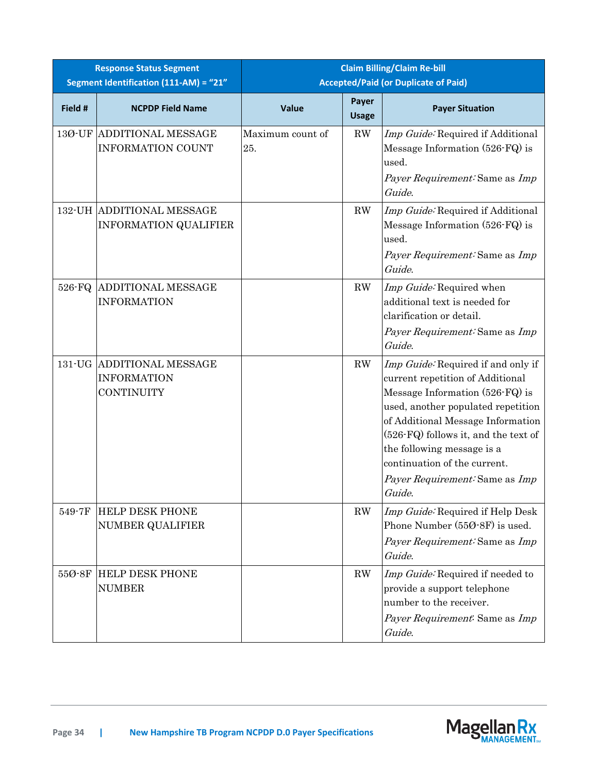| <b>Response Status Segment</b><br>Segment Identification (111-AM) = "21" |                                                                      | <b>Claim Billing/Claim Re-bill</b><br><b>Accepted/Paid (or Duplicate of Paid)</b> |                        |                                                                                                                                                                                                                                                                                                                                        |
|--------------------------------------------------------------------------|----------------------------------------------------------------------|-----------------------------------------------------------------------------------|------------------------|----------------------------------------------------------------------------------------------------------------------------------------------------------------------------------------------------------------------------------------------------------------------------------------------------------------------------------------|
| Field #                                                                  | <b>NCPDP Field Name</b>                                              | <b>Value</b>                                                                      | Payer<br><b>Usage</b>  | <b>Payer Situation</b>                                                                                                                                                                                                                                                                                                                 |
| 13Ø-UF                                                                   | <b>ADDITIONAL MESSAGE</b><br><b>INFORMATION COUNT</b>                | Maximum count of<br>25.                                                           | RW                     | Imp Guide: Required if Additional<br>Message Information (526-FQ) is<br>used.<br>Payer Requirement: Same as Imp<br>Guide.                                                                                                                                                                                                              |
|                                                                          | 132-UH ADDITIONAL MESSAGE<br><b>INFORMATION QUALIFIER</b>            |                                                                                   | RW                     | Imp Guide: Required if Additional<br>Message Information (526-FQ) is<br>used.<br>Payer Requirement: Same as Imp<br>Guide.                                                                                                                                                                                                              |
| 526-FQ                                                                   | <b>ADDITIONAL MESSAGE</b><br><b>INFORMATION</b>                      |                                                                                   | RW                     | Imp Guide: Required when<br>additional text is needed for<br>clarification or detail.<br>Payer Requirement: Same as Imp<br>Guide.                                                                                                                                                                                                      |
|                                                                          | 131-UG ADDITIONAL MESSAGE<br><b>INFORMATION</b><br><b>CONTINUITY</b> |                                                                                   | RW                     | Imp Guide: Required if and only if<br>current repetition of Additional<br>Message Information (526-FQ) is<br>used, another populated repetition<br>of Additional Message Information<br>(526-FQ) follows it, and the text of<br>the following message is a<br>continuation of the current.<br>Payer Requirement: Same as Imp<br>Guide. |
| 549-7F                                                                   | <b>HELP DESK PHONE</b><br><b>NUMBER QUALIFIER</b>                    |                                                                                   | $\mathbf{R}\mathbf{W}$ | Imp Guide: Required if Help Desk<br>Phone Number (550-8F) is used.<br>Payer Requirement: Same as Imp<br>Guide.                                                                                                                                                                                                                         |
| 55Ø-8F                                                                   | <b>HELP DESK PHONE</b><br><b>NUMBER</b>                              |                                                                                   | RW                     | Imp Guide: Required if needed to<br>provide a support telephone<br>number to the receiver.<br>Payer Requirement: Same as Imp<br>Guide.                                                                                                                                                                                                 |

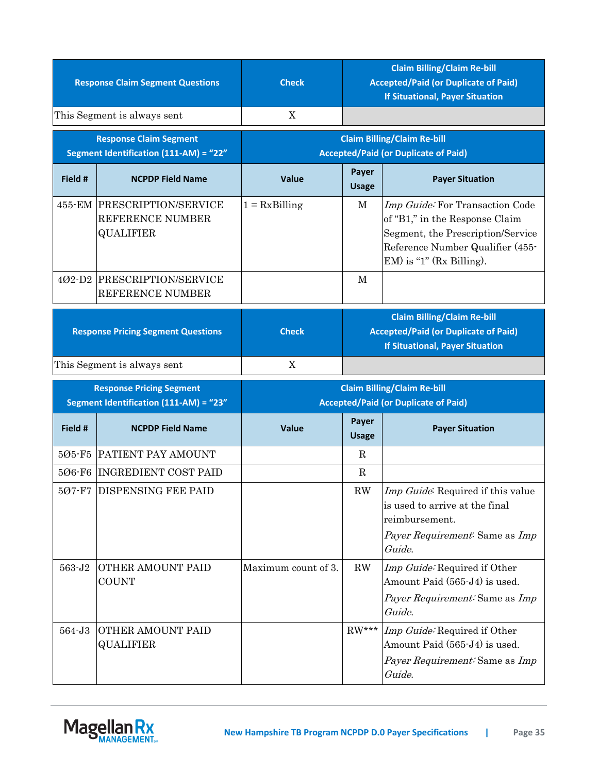| <b>Response Claim Segment Questions</b>                                 |                                                                           | <b>Check</b>             |                       | <b>Claim Billing/Claim Re-bill</b><br><b>Accepted/Paid (or Duplicate of Paid)</b><br><b>If Situational, Payer Situation</b>                                               |
|-------------------------------------------------------------------------|---------------------------------------------------------------------------|--------------------------|-----------------------|---------------------------------------------------------------------------------------------------------------------------------------------------------------------------|
| This Segment is always sent                                             |                                                                           | X                        |                       |                                                                                                                                                                           |
| <b>Response Claim Segment</b><br>Segment Identification (111-AM) = "22" |                                                                           |                          |                       | <b>Claim Billing/Claim Re-bill</b><br><b>Accepted/Paid (or Duplicate of Paid)</b>                                                                                         |
| Field #                                                                 | <b>NCPDP Field Name</b>                                                   | Value                    | Payer<br><b>Usage</b> | <b>Payer Situation</b>                                                                                                                                                    |
|                                                                         | 455-EM PRESCRIPTION/SERVICE<br>REFERENCE NUMBER<br><b>QUALIFIER</b>       | $1 = Rx \times B$ illing | M                     | Imp Guide: For Transaction Code<br>of "B1," in the Response Claim<br>Segment, the Prescription/Service<br>Reference Number Qualifier (455-<br>$EM$ ) is "1" (Rx Billing). |
|                                                                         | 402-D2 PRESCRIPTION/SERVICE<br>REFERENCE NUMBER                           |                          | M                     |                                                                                                                                                                           |
|                                                                         | <b>Response Pricing Segment Questions</b>                                 | <b>Check</b>             |                       | <b>Claim Billing/Claim Re-bill</b><br><b>Accepted/Paid (or Duplicate of Paid)</b><br><b>If Situational, Payer Situation</b>                                               |
|                                                                         | This Segment is always sent                                               | X                        |                       |                                                                                                                                                                           |
|                                                                         |                                                                           |                          |                       |                                                                                                                                                                           |
|                                                                         | <b>Response Pricing Segment</b><br>Segment Identification (111-AM) = "23" |                          |                       | <b>Claim Billing/Claim Re-bill</b><br><b>Accepted/Paid (or Duplicate of Paid)</b>                                                                                         |
| Field #                                                                 | <b>NCPDP Field Name</b>                                                   | <b>Value</b>             | Payer<br><b>Usage</b> | <b>Payer Situation</b>                                                                                                                                                    |
|                                                                         | 505-F5 PATIENT PAY AMOUNT                                                 |                          | $\mathbf R$           |                                                                                                                                                                           |
|                                                                         | 506-F6 INGREDIENT COST PAID                                               |                          | $\mathbf R$           |                                                                                                                                                                           |
|                                                                         | 507-F7 DISPENSING FEE PAID                                                |                          | $\rm RW$              | Imp Guide: Required if this value<br>is used to arrive at the final<br>reimbursement.<br>Payer Requirement: Same as Imp<br>Guide.                                         |
| 563-J2                                                                  | OTHER AMOUNT PAID<br><b>COUNT</b>                                         | Maximum count of 3.      | RW                    | Imp Guide: Required if Other<br>Amount Paid (565-J4) is used.<br>Payer Requirement: Same as Imp<br>Guide.                                                                 |

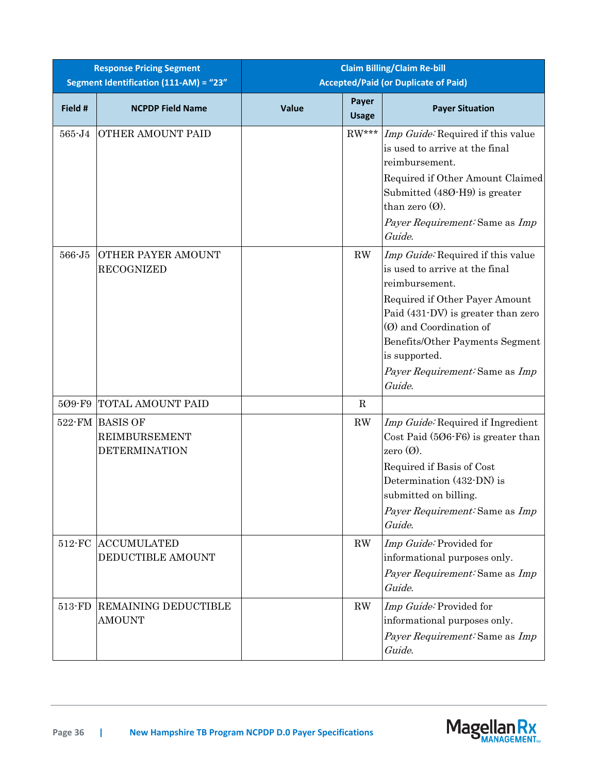|            | <b>Response Pricing Segment</b><br>Segment Identification (111-AM) = "23" |              |                       | <b>Claim Billing/Claim Re-bill</b><br><b>Accepted/Paid (or Duplicate of Paid)</b>                                                                                                                                                                                                                               |
|------------|---------------------------------------------------------------------------|--------------|-----------------------|-----------------------------------------------------------------------------------------------------------------------------------------------------------------------------------------------------------------------------------------------------------------------------------------------------------------|
| Field #    | <b>NCPDP Field Name</b>                                                   | <b>Value</b> | Payer<br><b>Usage</b> | <b>Payer Situation</b>                                                                                                                                                                                                                                                                                          |
| 565-J4     | OTHER AMOUNT PAID                                                         |              | $RW***$               | Imp Guide: Required if this value<br>is used to arrive at the final<br>reimbursement.<br>Required if Other Amount Claimed<br>Submitted (480-H9) is greater<br>than zero $(\emptyset)$ .<br>Payer Requirement: Same as Imp<br>Guide.                                                                             |
| $566 - J5$ | OTHER PAYER AMOUNT<br><b>RECOGNIZED</b>                                   |              | RW                    | Imp Guide: Required if this value<br>is used to arrive at the final<br>reimbursement.<br>Required if Other Payer Amount<br>Paid $(431-DV)$ is greater than zero<br>$\left(\emptyset\right)$ and Coordination of<br>Benefits/Other Payments Segment<br>is supported.<br>Payer Requirement: Same as Imp<br>Guide. |
| 509-F9     | <b>TOTAL AMOUNT PAID</b>                                                  |              | $\mathbf R$           |                                                                                                                                                                                                                                                                                                                 |
|            | 522-FM BASIS OF<br><b>REIMBURSEMENT</b><br><b>DETERMINATION</b>           |              | RW                    | Imp Guide: Required if Ingredient<br>Cost Paid $(506-F6)$ is greater than<br>zero $(\emptyset)$ .<br>Required if Basis of Cost<br>Determination (432-DN) is<br>submitted on billing.<br>Payer Requirement: Same as Imp<br>Guide.                                                                                |
| 512-FC     | <b>ACCUMULATED</b><br><b>DEDUCTIBLE AMOUNT</b>                            |              | RW                    | Imp Guide: Provided for<br>informational purposes only.<br>Payer Requirement: Same as Imp<br>Guide.                                                                                                                                                                                                             |
| 513-FD     | REMAINING DEDUCTIBLE<br>AMOUNT                                            |              | RW                    | Imp Guide: Provided for<br>informational purposes only.<br>Payer Requirement: Same as Imp<br>Guide.                                                                                                                                                                                                             |

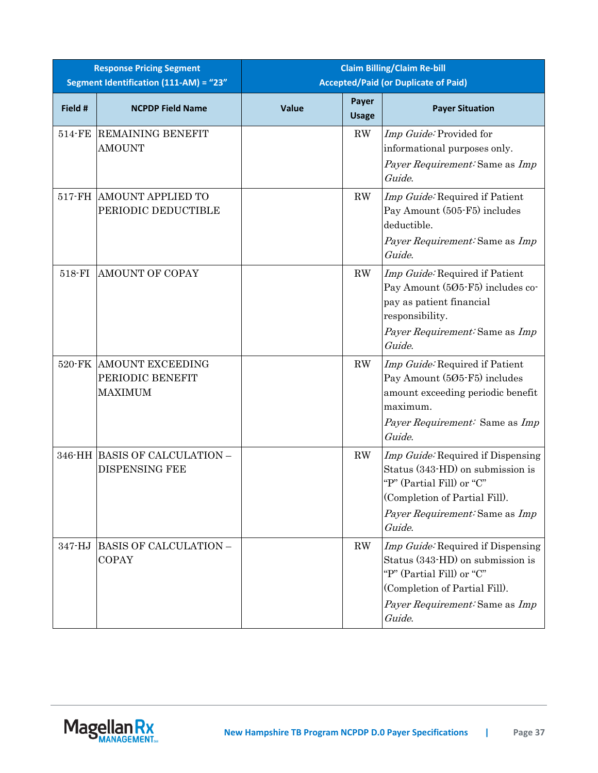| <b>Response Pricing Segment</b><br>Segment Identification (111-AM) = "23" |                                                        | <b>Claim Billing/Claim Re-bill</b><br><b>Accepted/Paid (or Duplicate of Paid)</b> |                        |                                                                                                                                                                                        |
|---------------------------------------------------------------------------|--------------------------------------------------------|-----------------------------------------------------------------------------------|------------------------|----------------------------------------------------------------------------------------------------------------------------------------------------------------------------------------|
| Field #                                                                   | <b>NCPDP Field Name</b>                                | <b>Value</b>                                                                      | Payer<br><b>Usage</b>  | <b>Payer Situation</b>                                                                                                                                                                 |
| 514-FE                                                                    | <b>REMAINING BENEFIT</b><br><b>AMOUNT</b>              |                                                                                   | RW                     | Imp Guide: Provided for<br>informational purposes only.<br>Payer Requirement: Same as Imp<br>Guide.                                                                                    |
|                                                                           | 517-FH AMOUNT APPLIED TO<br>PERIODIC DEDUCTIBLE        |                                                                                   | RW                     | Imp Guide: Required if Patient<br>Pay Amount (505-F5) includes<br>deductible.<br>Payer Requirement: Same as Imp<br>Guide.                                                              |
| 518-FI                                                                    | <b>AMOUNT OF COPAY</b>                                 |                                                                                   | RW                     | Imp Guide: Required if Patient<br>Pay Amount (505-F5) includes co-<br>pay as patient financial<br>responsibility.<br>Payer Requirement: Same as Imp<br>Guide.                          |
|                                                                           | 520-FK AMOUNT EXCEEDING<br>PERIODIC BENEFIT<br>MAXIMUM |                                                                                   | $\mathbf{R}\mathbf{W}$ | Imp Guide: Required if Patient<br>Pay Amount (505-F5) includes<br>amount exceeding periodic benefit<br>maximum.<br>Payer Requirement: Same as Imp<br>Guide.                            |
|                                                                           | 346-HH BASIS OF CALCULATION -<br><b>DISPENSING FEE</b> |                                                                                   | RW                     | Imp Guide: Required if Dispensing<br>Status (343-HD) on submission is<br>"P" (Partial Fill) or "C"<br>(Completion of Partial Fill).<br>Payer Requirement: Same as Imp<br>Guide.        |
| 347-HJ                                                                    | <b>BASIS OF CALCULATION -</b><br>COPAY                 |                                                                                   | RW                     | <i>Imp Guide:</i> Required if Dispensing<br>Status (343-HD) on submission is<br>"P" (Partial Fill) or "C"<br>(Completion of Partial Fill).<br>Payer Requirement: Same as Imp<br>Guide. |

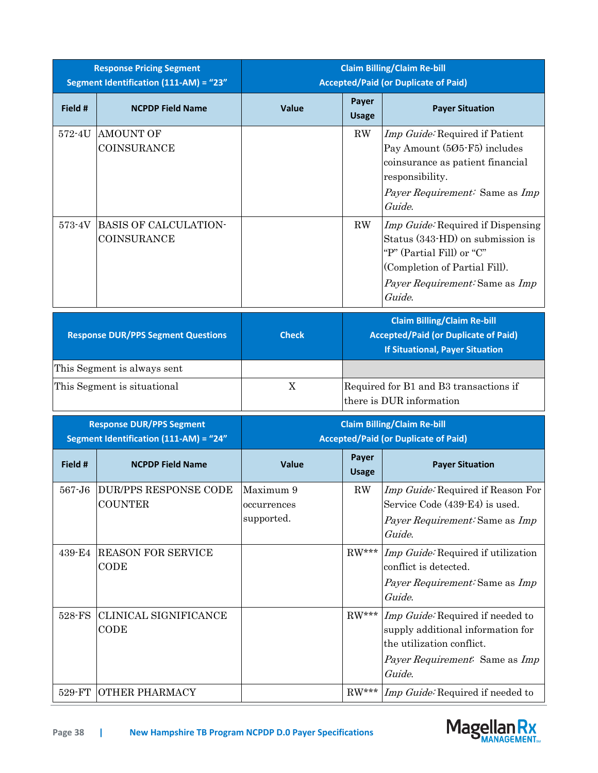| <b>Response Pricing Segment</b><br>Segment Identification (111-AM) = "23" |                                                                           |                                                                                   |                        | <b>Claim Billing/Claim Re-bill</b><br><b>Accepted/Paid (or Duplicate of Paid)</b>                                                                                               |
|---------------------------------------------------------------------------|---------------------------------------------------------------------------|-----------------------------------------------------------------------------------|------------------------|---------------------------------------------------------------------------------------------------------------------------------------------------------------------------------|
| Field #                                                                   | <b>NCPDP Field Name</b>                                                   | Value                                                                             | Payer<br><b>Usage</b>  | <b>Payer Situation</b>                                                                                                                                                          |
| 572-4U                                                                    | <b>AMOUNT OF</b><br>COINSURANCE                                           |                                                                                   | $\mathbf{RW}$          | Imp Guide: Required if Patient<br>Pay Amount (505-F5) includes<br>coinsurance as patient financial<br>responsibility.<br>Payer Requirement: Same as Imp<br>Guide.               |
| 573-4V                                                                    | <b>BASIS OF CALCULATION-</b><br>COINSURANCE                               |                                                                                   | RW                     | Imp Guide: Required if Dispensing<br>Status (343-HD) on submission is<br>"P" (Partial Fill) or "C"<br>(Completion of Partial Fill).<br>Payer Requirement: Same as Imp<br>Guide. |
|                                                                           | <b>Response DUR/PPS Segment Questions</b>                                 | <b>Check</b>                                                                      |                        | <b>Claim Billing/Claim Re-bill</b><br><b>Accepted/Paid (or Duplicate of Paid)</b><br><b>If Situational, Payer Situation</b>                                                     |
|                                                                           | This Segment is always sent                                               |                                                                                   |                        |                                                                                                                                                                                 |
|                                                                           | This Segment is situational                                               | X                                                                                 |                        | Required for B1 and B3 transactions if<br>there is DUR information                                                                                                              |
|                                                                           | <b>Response DUR/PPS Segment</b><br>Segment Identification (111-AM) = "24" | <b>Claim Billing/Claim Re-bill</b><br><b>Accepted/Paid (or Duplicate of Paid)</b> |                        |                                                                                                                                                                                 |
| Field #                                                                   | <b>NCPDP Field Name</b>                                                   | <b>Value</b>                                                                      | Payer<br><b>Usage</b>  | <b>Payer Situation</b>                                                                                                                                                          |
| 567-J6                                                                    | <b>DUR/PPS RESPONSE CODE</b><br><b>COUNTER</b>                            | Maximum 9<br>occurrences<br>supported.                                            | $\mathbf{R}\mathbf{W}$ | Imp Guide: Required if Reason For<br>Service Code (439-E4) is used.<br>Payer Requirement: Same as Imp<br>Guide.                                                                 |
| 439-E4                                                                    | <b>REASON FOR SERVICE</b><br>CODE                                         |                                                                                   | $RW***$                | Imp Guide: Required if utilization<br>conflict is detected.<br>Payer Requirement: Same as Imp<br>Guide.                                                                         |
| 528-FS                                                                    | <b>CLINICAL SIGNIFICANCE</b><br>CODE                                      |                                                                                   | $RW***$                | Imp Guide: Required if needed to<br>supply additional information for<br>the utilization conflict.<br>Payer Requirement: Same as Imp<br>Guide.                                  |
| 529-FT                                                                    | <b>OTHER PHARMACY</b>                                                     |                                                                                   | $RW***$                | Imp Guide: Required if needed to                                                                                                                                                |

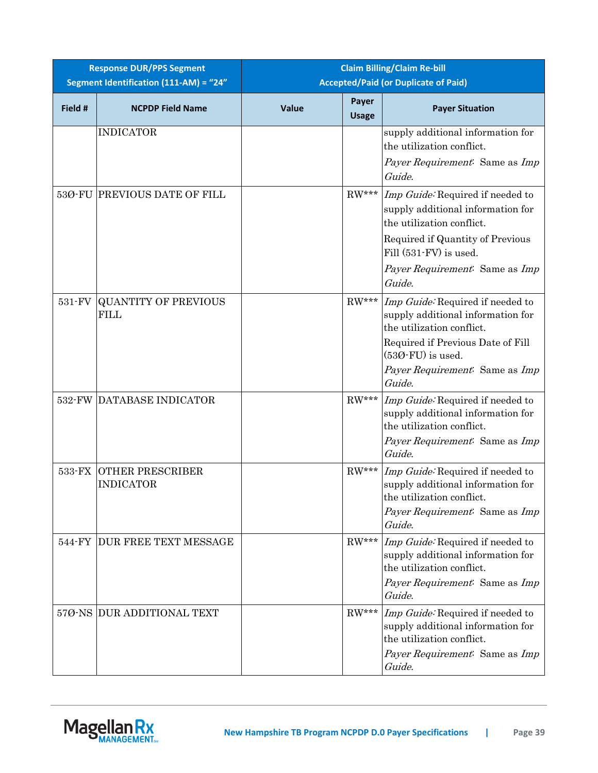|         | <b>Response DUR/PPS Segment</b><br>Segment Identification (111-AM) = "24" |                                | <b>Claim Billing/Claim Re-bill</b><br><b>Accepted/Paid (or Duplicate of Paid)</b>                                                                                                                            |
|---------|---------------------------------------------------------------------------|--------------------------------|--------------------------------------------------------------------------------------------------------------------------------------------------------------------------------------------------------------|
| Field # | <b>NCPDP Field Name</b>                                                   | Payer<br>Value<br><b>Usage</b> | <b>Payer Situation</b>                                                                                                                                                                                       |
|         | <b>INDICATOR</b>                                                          |                                | supply additional information for<br>the utilization conflict.<br>Payer Requirement: Same as Imp<br>Guide.                                                                                                   |
|         | 530-FU PREVIOUS DATE OF FILL                                              | $RW***$                        | Imp Guide: Required if needed to<br>supply additional information for<br>the utilization conflict.<br>Required if Quantity of Previous<br>Fill (531-FV) is used.<br>Payer Requirement: Same as Imp<br>Guide. |
| 531-FV  | <b>QUANTITY OF PREVIOUS</b><br><b>FILL</b>                                | $RW***$                        | Imp Guide: Required if needed to<br>supply additional information for<br>the utilization conflict.<br>Required if Previous Date of Fill<br>$(530$ -FU) is used.<br>Payer Requirement: Same as Imp<br>Guide.  |
|         | 532-FW DATABASE INDICATOR                                                 | $RW***$                        | Imp Guide: Required if needed to<br>supply additional information for<br>the utilization conflict.<br>Payer Requirement: Same as Imp<br>Guide.                                                               |
| 533-FX  | <b>OTHER PRESCRIBER</b><br><b>INDICATOR</b>                               | $RW***$                        | Imp Guide: Required if needed to<br>supply additional information for<br>the utilization conflict.<br>Payer Requirement: Same as Imp<br>Guide.                                                               |
|         | 544-FY DUR FREE TEXT MESSAGE                                              | $RW***$                        | Imp Guide: Required if needed to<br>supply additional information for<br>the utilization conflict.<br>Payer Requirement: Same as Imp<br>Guide.                                                               |
|         | 570-NS DUR ADDITIONAL TEXT                                                | $RW***$                        | Imp Guide: Required if needed to<br>supply additional information for<br>the utilization conflict.<br>Payer Requirement: Same as Imp<br>Guide.                                                               |

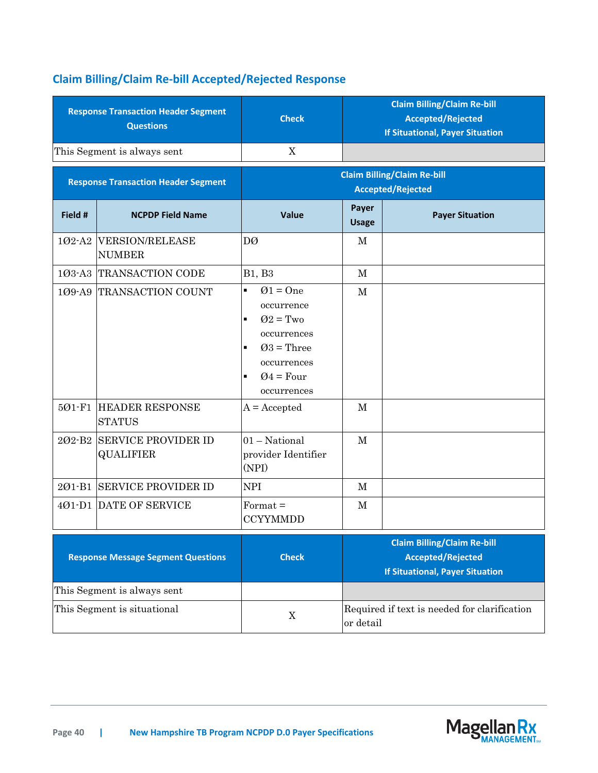# **Claim Billing/Claim Re-bill Accepted/Rejected Response**

| <b>Response Transaction Header Segment</b><br><b>Questions</b> |                                                                                                   | <b>Check</b>                                                                                                                                                                                                                  |                        | <b>Claim Billing/Claim Re-bill</b><br><b>Accepted/Rejected</b><br><b>If Situational, Payer Situation</b> |  |
|----------------------------------------------------------------|---------------------------------------------------------------------------------------------------|-------------------------------------------------------------------------------------------------------------------------------------------------------------------------------------------------------------------------------|------------------------|----------------------------------------------------------------------------------------------------------|--|
|                                                                | This Segment is always sent                                                                       | $\mathbf X$                                                                                                                                                                                                                   |                        |                                                                                                          |  |
|                                                                | <b>Response Transaction Header Segment</b>                                                        |                                                                                                                                                                                                                               |                        | <b>Claim Billing/Claim Re-bill</b><br><b>Accepted/Rejected</b>                                           |  |
| Field #                                                        | <b>NCPDP Field Name</b>                                                                           | <b>Value</b>                                                                                                                                                                                                                  | Payer<br><b>Usage</b>  | <b>Payer Situation</b>                                                                                   |  |
|                                                                | 102-A2 VERSION/RELEASE<br><b>NUMBER</b>                                                           | DØ                                                                                                                                                                                                                            | M                      |                                                                                                          |  |
|                                                                | 103-A3 TRANSACTION CODE                                                                           | <b>B1</b> , <b>B3</b>                                                                                                                                                                                                         | M                      |                                                                                                          |  |
| 501-F1<br>202-B <sub>2</sub>                                   | 109-A9 TRANSACTION COUNT<br><b>HEADER RESPONSE</b><br><b>STATUS</b><br><b>SERVICE PROVIDER ID</b> | $\blacksquare$<br>$Q1 = One$<br>occurrence<br>$Q2 = Two$<br>$\blacksquare$<br>occurrences<br>$Q3$ = Three<br>$\blacksquare$<br>occurrences<br>$Q4 = Four$<br>$\blacksquare$<br>occurrences<br>$A = Accepted$<br>01 - National | $\mathbf{M}$<br>M<br>M |                                                                                                          |  |
|                                                                | <b>QUALIFIER</b>                                                                                  | provider Identifier<br>(NPI)                                                                                                                                                                                                  |                        |                                                                                                          |  |
|                                                                | 201-B1 SERVICE PROVIDER ID                                                                        | <b>NPI</b>                                                                                                                                                                                                                    | $\mathbf M$            |                                                                                                          |  |
|                                                                | 401-D1 DATE OF SERVICE                                                                            | $\text{Format} =$<br><b>CCYYMMDD</b>                                                                                                                                                                                          | М                      |                                                                                                          |  |
| <b>Response Message Segment Questions</b>                      |                                                                                                   | <b>Check</b>                                                                                                                                                                                                                  |                        | <b>Claim Billing/Claim Re-bill</b><br><b>Accepted/Rejected</b><br><b>If Situational, Payer Situation</b> |  |
|                                                                | This Segment is always sent                                                                       |                                                                                                                                                                                                                               |                        |                                                                                                          |  |
|                                                                | This Segment is situational                                                                       | $\mathbf X$                                                                                                                                                                                                                   | or detail              | Required if text is needed for clarification                                                             |  |

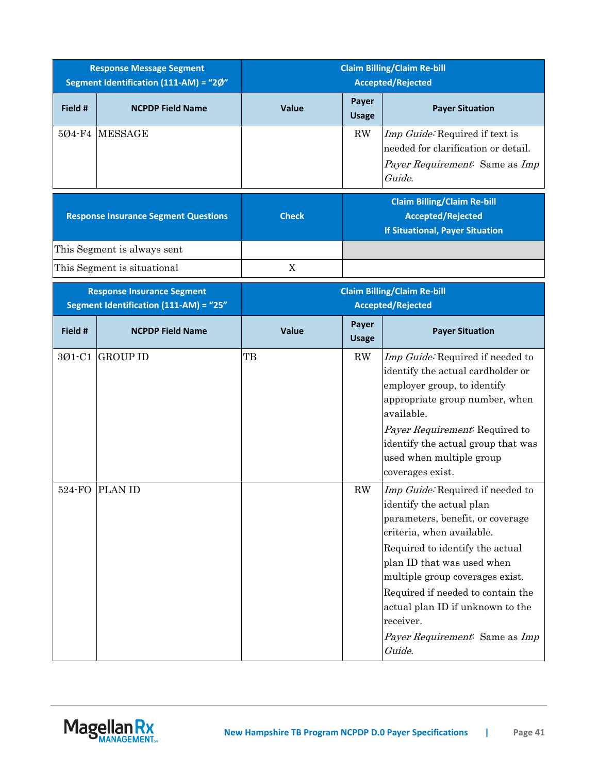| <b>Response Message Segment</b><br>Segment Identification (111-AM) = "2Ø" |                             | <b>Claim Billing/Claim Re-bill</b><br><b>Accepted/Rejected</b> |                       |                                                                                                                                        |
|---------------------------------------------------------------------------|-----------------------------|----------------------------------------------------------------|-----------------------|----------------------------------------------------------------------------------------------------------------------------------------|
| Field #                                                                   | <b>NCPDP Field Name</b>     | Value                                                          | Payer<br><b>Usage</b> | <b>Payer Situation</b>                                                                                                                 |
| $504-F4$                                                                  | IMESSAGE                    |                                                                | $\rm RW$              | <i>Imp Guide:</i> Required if text is<br>needed for clarification or detail.<br><i>Payer Requirement.</i> Same as <i>Imp</i><br>Guide. |
| <b>Response Insurance Segment Questions</b>                               |                             | <b>Check</b>                                                   |                       | <b>Claim Billing/Claim Re-bill</b><br><b>Accepted/Rejected</b><br><b>If Situational, Payer Situation</b>                               |
|                                                                           | This Segment is always sent |                                                                |                       |                                                                                                                                        |
|                                                                           | This Segment is situational | X                                                              |                       |                                                                                                                                        |

| <b>Response Insurance Segment</b><br>Segment Identification (111-AM) = "25" |                         | <b>Claim Billing/Claim Re-bill</b><br><b>Accepted/Rejected</b> |                       |                                                                                                                                                                                                                                                                                                                                                                     |
|-----------------------------------------------------------------------------|-------------------------|----------------------------------------------------------------|-----------------------|---------------------------------------------------------------------------------------------------------------------------------------------------------------------------------------------------------------------------------------------------------------------------------------------------------------------------------------------------------------------|
| Field #                                                                     | <b>NCPDP Field Name</b> | <b>Value</b>                                                   | Payer<br><b>Usage</b> | <b>Payer Situation</b>                                                                                                                                                                                                                                                                                                                                              |
| 301-C1                                                                      | <b>GROUP ID</b>         | TB                                                             | RW                    | Imp Guide: Required if needed to<br>identify the actual cardholder or<br>employer group, to identify<br>appropriate group number, when<br>available.<br>Payer Requirement: Required to<br>identify the actual group that was<br>used when multiple group<br>coverages exist.                                                                                        |
| $524-FO$                                                                    | <b>PLAN ID</b>          |                                                                | RW                    | Imp Guide: Required if needed to<br>identify the actual plan<br>parameters, benefit, or coverage<br>criteria, when available.<br>Required to identify the actual<br>plan ID that was used when<br>multiple group coverages exist.<br>Required if needed to contain the<br>actual plan ID if unknown to the<br>receiver.<br>Payer Requirement: Same as Imp<br>Guide. |

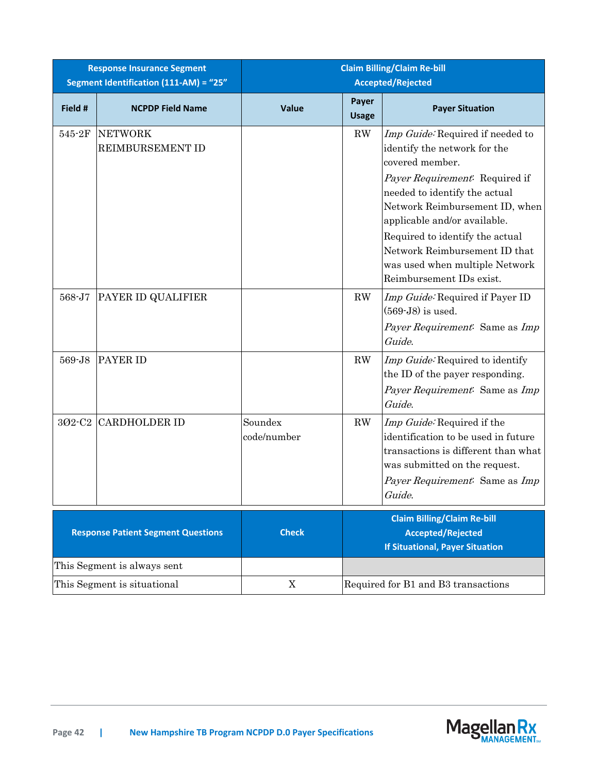| <b>Response Insurance Segment</b><br>Segment Identification (111-AM) = "25" |                                           | <b>Claim Billing/Claim Re-bill</b><br><b>Accepted/Rejected</b> |                        |                                                                                                                                                                                                                                                                                                                                                            |
|-----------------------------------------------------------------------------|-------------------------------------------|----------------------------------------------------------------|------------------------|------------------------------------------------------------------------------------------------------------------------------------------------------------------------------------------------------------------------------------------------------------------------------------------------------------------------------------------------------------|
| Field #                                                                     | <b>NCPDP Field Name</b>                   | Value                                                          | Payer<br><b>Usage</b>  | <b>Payer Situation</b>                                                                                                                                                                                                                                                                                                                                     |
| 545-2F                                                                      | <b>NETWORK</b><br>REIMBURSEMENT ID        |                                                                | $\mathbf{R}\mathbf{W}$ | Imp Guide: Required if needed to<br>identify the network for the<br>covered member.<br>Payer Requirement: Required if<br>needed to identify the actual<br>Network Reimbursement ID, when<br>applicable and/or available.<br>Required to identify the actual<br>Network Reimbursement ID that<br>was used when multiple Network<br>Reimbursement IDs exist. |
| 568-J7                                                                      | PAYER ID QUALIFIER                        |                                                                | RW                     | Imp Guide: Required if Payer ID<br>$(569-J8)$ is used.<br>Payer Requirement: Same as Imp<br>Guide.                                                                                                                                                                                                                                                         |
| 569-J8                                                                      | PAYER ID                                  |                                                                | RW                     | Imp Guide: Required to identify<br>the ID of the payer responding.<br>Payer Requirement: Same as Imp<br>Guide.                                                                                                                                                                                                                                             |
| 302-C2                                                                      | <b>CARDHOLDER ID</b>                      | Soundex<br>code/number                                         | RW                     | Imp Guide: Required if the<br>identification to be used in future<br>transactions is different than what<br>was submitted on the request.<br>Payer Requirement: Same as Imp<br>Guide.                                                                                                                                                                      |
|                                                                             | <b>Response Patient Segment Questions</b> | <b>Check</b>                                                   |                        | <b>Claim Billing/Claim Re-bill</b><br><b>Accepted/Rejected</b><br><b>If Situational, Payer Situation</b>                                                                                                                                                                                                                                                   |
|                                                                             | This Segment is always sent               |                                                                |                        |                                                                                                                                                                                                                                                                                                                                                            |
|                                                                             | This Segment is situational               | X                                                              |                        | Required for B1 and B3 transactions                                                                                                                                                                                                                                                                                                                        |

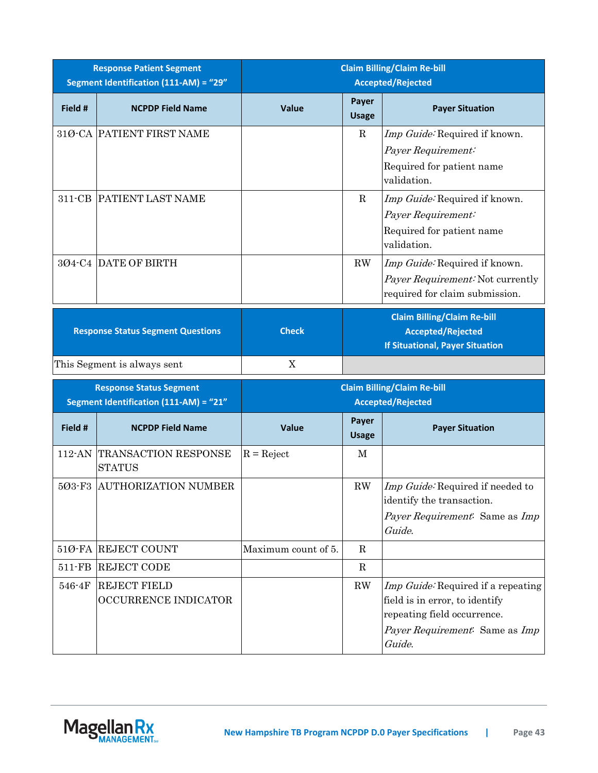|                                          | <b>Response Patient Segment</b><br>Segment Identification (111-AM) = "29" | <b>Claim Billing/Claim Re-bill</b><br><b>Accepted/Rejected</b> |                        |                                                                                                                                                 |
|------------------------------------------|---------------------------------------------------------------------------|----------------------------------------------------------------|------------------------|-------------------------------------------------------------------------------------------------------------------------------------------------|
| Field #                                  | <b>NCPDP Field Name</b>                                                   | Value                                                          | Payer<br><b>Usage</b>  | <b>Payer Situation</b>                                                                                                                          |
|                                          | 31Ø-CA PATIENT FIRST NAME                                                 |                                                                | $\mathbf R$            | <i>Imp Guide</i> : Required if known.<br>Payer Requirement:<br>Required for patient name<br>validation.                                         |
|                                          | 311-CB PATIENT LAST NAME                                                  |                                                                | $\mathbf R$            | Imp Guide: Required if known.<br>Payer Requirement:<br>Required for patient name<br>validation.                                                 |
|                                          | 304-C4 DATE OF BIRTH                                                      |                                                                | RW                     | <i>Imp Guide</i> : Required if known.<br>Payer Requirement: Not currently<br>required for claim submission.                                     |
| <b>Response Status Segment Questions</b> |                                                                           | <b>Check</b>                                                   |                        | <b>Claim Billing/Claim Re-bill</b><br><b>Accepted/Rejected</b><br><b>If Situational, Payer Situation</b>                                        |
|                                          | This Segment is always sent                                               | X                                                              |                        |                                                                                                                                                 |
|                                          | <b>Response Status Segment</b><br>Segment Identification (111-AM) = "21"  | <b>Claim Billing/Claim Re-bill</b><br><b>Accepted/Rejected</b> |                        |                                                                                                                                                 |
| Field #                                  | <b>NCPDP Field Name</b>                                                   | <b>Value</b>                                                   | Payer<br><b>Usage</b>  | <b>Payer Situation</b>                                                                                                                          |
|                                          | 112-AN TRANSACTION RESPONSE<br><b>STATUS</b>                              | $R =$ Reject                                                   | M                      |                                                                                                                                                 |
|                                          | 503-F3 AUTHORIZATION NUMBER                                               |                                                                | $\mathbf{R}\mathbf{W}$ | Imp Guide: Required if needed to<br>identify the transaction.<br>Payer Requirement: Same as Imp<br>Guide.                                       |
|                                          | 51Ø-FA REJECT COUNT                                                       | Maximum count of 5.                                            | $\mathbf R$            |                                                                                                                                                 |
| 511-FB                                   | <b>REJECT CODE</b>                                                        |                                                                | $\mathbf R$            |                                                                                                                                                 |
| 546-4F                                   | <b>REJECT FIELD</b><br>OCCURRENCE INDICATOR                               |                                                                | $\mathbf{R}\mathbf{W}$ | Imp Guide: Required if a repeating<br>field is in error, to identify<br>repeating field occurrence.<br>Payer Requirement: Same as Imp<br>Guide. |

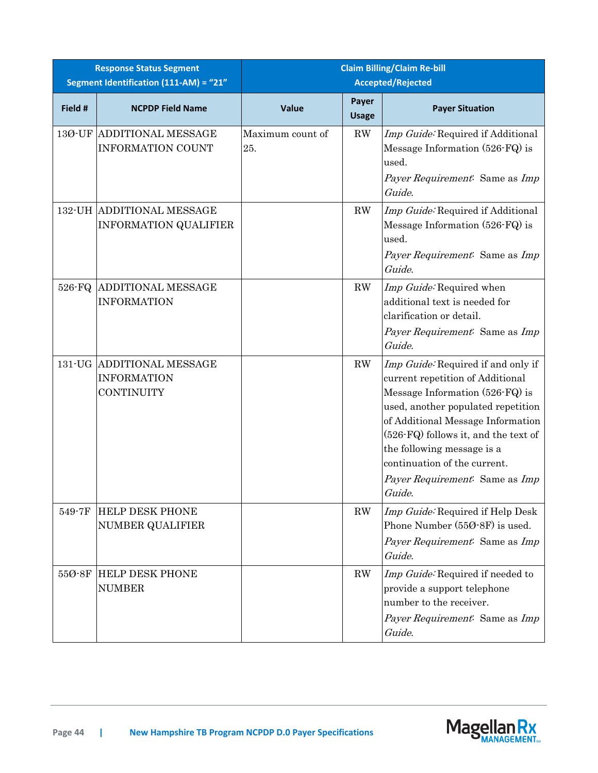|         | <b>Response Status Segment</b><br>Segment Identification (111-AM) = "21" | <b>Claim Billing/Claim Re-bill</b><br><b>Accepted/Rejected</b> |                        |                                                                                                                                                                                                                                                                                                                                                          |
|---------|--------------------------------------------------------------------------|----------------------------------------------------------------|------------------------|----------------------------------------------------------------------------------------------------------------------------------------------------------------------------------------------------------------------------------------------------------------------------------------------------------------------------------------------------------|
| Field # | <b>NCPDP Field Name</b>                                                  | <b>Value</b>                                                   | Payer<br><b>Usage</b>  | <b>Payer Situation</b>                                                                                                                                                                                                                                                                                                                                   |
| 13Ø-UF  | <b>ADDITIONAL MESSAGE</b><br><b>INFORMATION COUNT</b>                    | Maximum count of<br>25.                                        | RW                     | Imp Guide: Required if Additional<br>Message Information (526-FQ) is<br>used.<br>Payer Requirement: Same as Imp<br>Guide.                                                                                                                                                                                                                                |
|         | 132-UH ADDITIONAL MESSAGE<br><b>INFORMATION QUALIFIER</b>                |                                                                | RW                     | Imp Guide: Required if Additional<br>Message Information (526-FQ) is<br>used.<br>Payer Requirement: Same as Imp<br>Guide.                                                                                                                                                                                                                                |
| 526-FQ  | <b>ADDITIONAL MESSAGE</b><br><b>INFORMATION</b>                          |                                                                | RW                     | Imp Guide: Required when<br>additional text is needed for<br>clarification or detail.<br>Payer Requirement: Same as Imp<br>Guide.                                                                                                                                                                                                                        |
|         | 131-UG ADDITIONAL MESSAGE<br><b>INFORMATION</b><br>CONTINUITY            |                                                                | RW                     | Imp Guide: Required if and only if<br>current repetition of Additional<br>Message Information (526-FQ) is<br>used, another populated repetition<br>of Additional Message Information<br>$(526\mbox{-}\mathrm{FQ})$ follows it, and the text of<br>the following message is a<br>continuation of the current.<br>Payer Requirement: Same as Imp<br>Guide. |
| 549-7F  | <b>HELP DESK PHONE</b><br><b>NUMBER QUALIFIER</b>                        |                                                                | $\mathbf{R}\mathbf{W}$ | Imp Guide: Required if Help Desk<br>Phone Number (550-8F) is used.<br>Payer Requirement: Same as Imp<br>Guide.                                                                                                                                                                                                                                           |
| 55Ø-8F  | <b>HELP DESK PHONE</b><br><b>NUMBER</b>                                  |                                                                | RW                     | Imp Guide: Required if needed to<br>provide a support telephone<br>number to the receiver.<br>Payer Requirement: Same as Imp<br>Guide.                                                                                                                                                                                                                   |

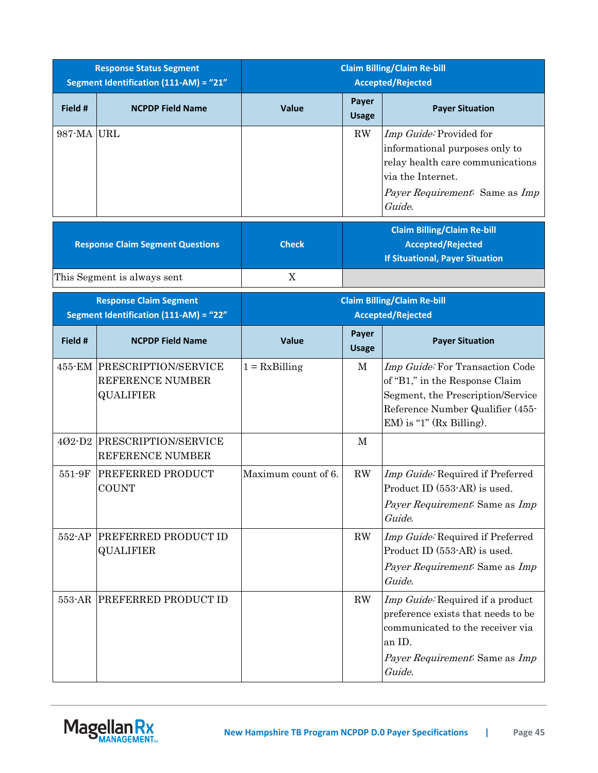| <b>Response Status Segment</b><br>Segment Identification (111-AM) = "21" |                                                                     | <b>Claim Billing/Claim Re-bill</b><br><b>Accepted/Rejected</b> |                       |                                                                                                                                                                           |
|--------------------------------------------------------------------------|---------------------------------------------------------------------|----------------------------------------------------------------|-----------------------|---------------------------------------------------------------------------------------------------------------------------------------------------------------------------|
| Field #                                                                  | <b>NCPDP Field Name</b>                                             | Value                                                          | Payer<br><b>Usage</b> | <b>Payer Situation</b>                                                                                                                                                    |
| 987-MA URL                                                               |                                                                     |                                                                | <b>RW</b>             | Imp Guide: Provided for<br>informational purposes only to<br>relay health care communications<br>via the Internet.<br>Payer Requirement: Same as Imp<br>Guide.            |
|                                                                          | <b>Response Claim Segment Questions</b>                             | <b>Check</b>                                                   |                       | <b>Claim Billing/Claim Re-bill</b><br><b>Accepted/Rejected</b><br><b>If Situational, Payer Situation</b>                                                                  |
|                                                                          | This Segment is always sent                                         | $\mathbf X$                                                    |                       |                                                                                                                                                                           |
| <b>Response Claim Segment</b><br>Segment Identification (111-AM) = "22"  |                                                                     |                                                                |                       | <b>Claim Billing/Claim Re-bill</b><br><b>Accepted/Rejected</b>                                                                                                            |
| Field #                                                                  | <b>NCPDP Field Name</b>                                             | Value                                                          | Payer<br><b>Usage</b> | <b>Payer Situation</b>                                                                                                                                                    |
|                                                                          | 455-EM PRESCRIPTION/SERVICE<br>REFERENCE NUMBER<br><b>QUALIFIER</b> | $1 = Rx \times B$ illing                                       | M                     | Imp Guide: For Transaction Code<br>of "B1," in the Response Claim<br>Segment, the Prescription/Service<br>Reference Number Qualifier (455-<br>$EM$ ) is "1" (Rx Billing). |
|                                                                          | 402-D2 PRESCRIPTION/SERVICE<br><b>REFERENCE NUMBER</b>              |                                                                | $\mathbf{M}$          |                                                                                                                                                                           |
| 551-9F                                                                   | <b>PREFERRED PRODUCT</b><br><b>COUNT</b>                            | Maximum count of 6.                                            | RW                    | Imp Guide: Required if Preferred<br>Product ID (553-AR) is used.<br>Payer Requirement: Same as Imp<br>Guide.                                                              |
| 552-AP                                                                   | <b>PREFERRED PRODUCT ID</b><br><b>QUALIFIER</b>                     |                                                                | RW                    | Imp Guide: Required if Preferred<br>Product ID (553-AR) is used.<br>Payer Requirement: Same as Imp<br>Guide.                                                              |
|                                                                          | 553-AR PREFERRED PRODUCT ID                                         |                                                                | RW                    | Imp Guide: Required if a product<br>preference exists that needs to be<br>communicated to the receiver via<br>an ID.<br>Payer Requirement: Same as Imp<br>Guide.          |

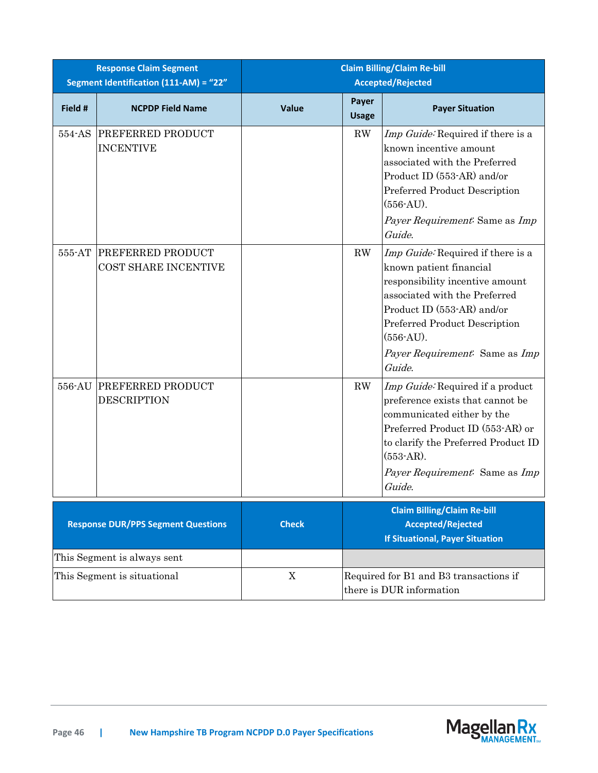| <b>Response Claim Segment</b><br>Segment Identification (111-AM) = "22" |                                                         | <b>Claim Billing/Claim Re-bill</b><br><b>Accepted/Rejected</b> |              |                                                                                                                                                                                                                                                             |
|-------------------------------------------------------------------------|---------------------------------------------------------|----------------------------------------------------------------|--------------|-------------------------------------------------------------------------------------------------------------------------------------------------------------------------------------------------------------------------------------------------------------|
|                                                                         |                                                         |                                                                | Payer        |                                                                                                                                                                                                                                                             |
| Field #                                                                 | <b>NCPDP Field Name</b>                                 | Value                                                          | <b>Usage</b> | <b>Payer Situation</b>                                                                                                                                                                                                                                      |
| 554-AS                                                                  | <b>PREFERRED PRODUCT</b><br><b>INCENTIVE</b>            |                                                                | RW           | Imp Guide: Required if there is a<br>known incentive amount<br>associated with the Preferred<br>Product ID (553-AR) and/or<br>Preferred Product Description<br>$(556-AU)$ .<br>Payer Requirement: Same as Imp<br>Guide.                                     |
| $555$ -AT $\,$                                                          | <b>PREFERRED PRODUCT</b><br><b>COST SHARE INCENTIVE</b> |                                                                | RW           | Imp Guide: Required if there is a<br>known patient financial<br>responsibility incentive amount<br>associated with the Preferred<br>Product ID (553-AR) and/or<br>Preferred Product Description<br>$(556-AU)$ .<br>Payer Requirement: Same as Imp<br>Guide. |
| 556-AU                                                                  | <b>PREFERRED PRODUCT</b><br><b>DESCRIPTION</b>          |                                                                | RW           | Imp Guide: Required if a product<br>preference exists that cannot be<br>communicated either by the<br>Preferred Product ID (553-AR) or<br>to clarify the Preferred Product ID<br>$(553-AR)$ .<br>Payer Requirement: Same as Imp<br>Guide.                   |
|                                                                         | <b>Response DUR/PPS Segment Questions</b>               | <b>Check</b>                                                   |              | <b>Claim Billing/Claim Re-bill</b><br><b>Accepted/Rejected</b><br><b>If Situational, Payer Situation</b>                                                                                                                                                    |
|                                                                         | This Segment is always sent                             |                                                                |              |                                                                                                                                                                                                                                                             |
|                                                                         | This Segment is situational                             | X                                                              |              | Required for B1 and B3 transactions if<br>there is DUR information                                                                                                                                                                                          |

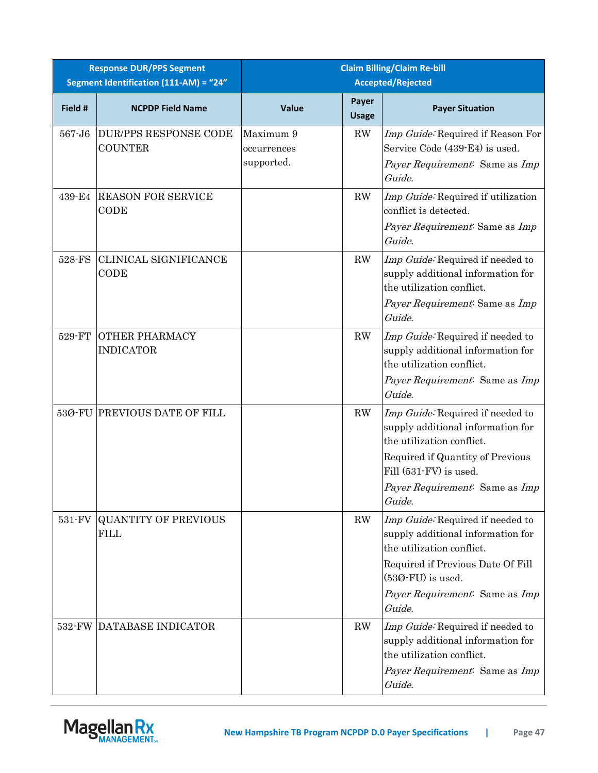| <b>Response DUR/PPS Segment</b><br>Segment Identification (111-AM) = "24" |                                            | <b>Claim Billing/Claim Re-bill</b><br><b>Accepted/Rejected</b> |                        |                                                                                                                                                                                                              |
|---------------------------------------------------------------------------|--------------------------------------------|----------------------------------------------------------------|------------------------|--------------------------------------------------------------------------------------------------------------------------------------------------------------------------------------------------------------|
| Field #                                                                   | <b>NCPDP Field Name</b>                    | Value                                                          | Payer<br><b>Usage</b>  | <b>Payer Situation</b>                                                                                                                                                                                       |
| 567-J6                                                                    | DUR/PPS RESPONSE CODE<br><b>COUNTER</b>    | Maximum 9<br>occurrences<br>supported.                         | <b>RW</b>              | Imp Guide: Required if Reason For<br>Service Code (439-E4) is used.<br>Payer Requirement: Same as Imp<br>Guide.                                                                                              |
| 439-E4                                                                    | <b>REASON FOR SERVICE</b><br>CODE          |                                                                | <b>RW</b>              | Imp Guide: Required if utilization<br>conflict is detected.<br>Payer Requirement: Same as Imp<br>Guide.                                                                                                      |
| 528-FS                                                                    | CLINICAL SIGNIFICANCE<br>CODE              |                                                                | $\mathbf{R}\mathbf{W}$ | Imp Guide: Required if needed to<br>supply additional information for<br>the utilization conflict.<br>Payer Requirement: Same as Imp<br>Guide.                                                               |
| 529-FT                                                                    | <b>OTHER PHARMACY</b><br><b>INDICATOR</b>  |                                                                | <b>RW</b>              | Imp Guide: Required if needed to<br>supply additional information for<br>the utilization conflict.<br>Payer Requirement: Same as Imp<br>Guide.                                                               |
|                                                                           | 530-FU PREVIOUS DATE OF FILL               |                                                                | $\rm RW$               | Imp Guide: Required if needed to<br>supply additional information for<br>the utilization conflict.<br>Required if Quantity of Previous<br>Fill (531-FV) is used.<br>Payer Requirement: Same as Imp<br>Guide. |
| 531-FV                                                                    | <b>QUANTITY OF PREVIOUS</b><br><b>FILL</b> |                                                                | <b>RW</b>              | Imp Guide: Required if needed to<br>supply additional information for<br>the utilization conflict.<br>Required if Previous Date Of Fill<br>$(530$ -FU) is used.<br>Payer Requirement: Same as Imp<br>Guide.  |
|                                                                           | 532-FW DATABASE INDICATOR                  |                                                                | $\mathbf{R}\mathbf{W}$ | Imp Guide: Required if needed to<br>supply additional information for<br>the utilization conflict.<br>Payer Requirement: Same as Imp<br>Guide.                                                               |

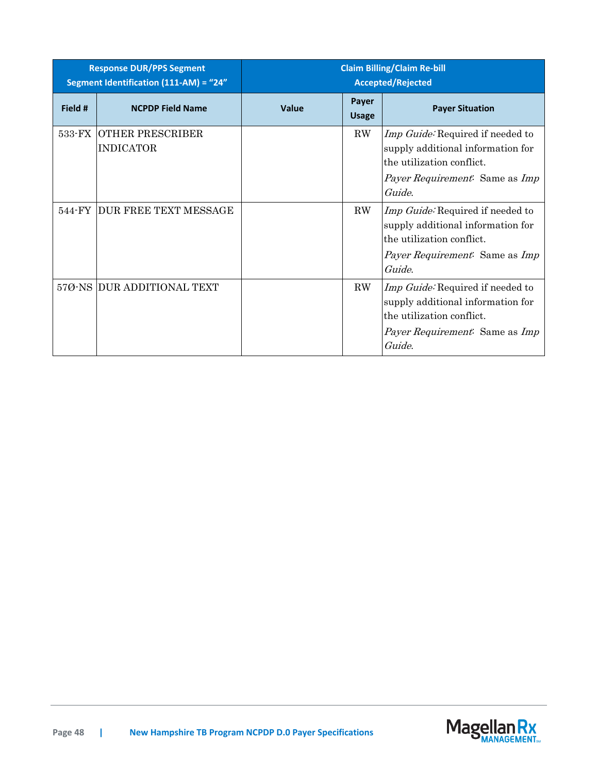| <b>Response DUR/PPS Segment</b><br>Segment Identification (111-AM) = "24" |                                             | <b>Claim Billing/Claim Re-bill</b><br><b>Accepted/Rejected</b> |                              |                                                                                                                                                              |
|---------------------------------------------------------------------------|---------------------------------------------|----------------------------------------------------------------|------------------------------|--------------------------------------------------------------------------------------------------------------------------------------------------------------|
| Field #                                                                   | <b>NCPDP Field Name</b>                     | Value                                                          | <b>Payer</b><br><b>Usage</b> | <b>Payer Situation</b>                                                                                                                                       |
| 533-FX                                                                    | <b>OTHER PRESCRIBER</b><br><b>INDICATOR</b> |                                                                | $\rm RW$                     | Imp Guide: Required if needed to<br>supply additional information for<br>the utilization conflict.<br><i>Payer Requirement.</i> Same as <i>Imp</i><br>Guide. |
| 544-FY                                                                    | <b>DUR FREE TEXT MESSAGE</b>                |                                                                | ${\rm RW}$                   | Imp Guide: Required if needed to<br>supply additional information for<br>the utilization conflict.<br>Payer Requirement: Same as Imp<br>Guide.               |
|                                                                           | 570-NS DUR ADDITIONAL TEXT                  |                                                                | ${\rm RW}$                   | Imp Guide: Required if needed to<br>supply additional information for<br>the utilization conflict.<br>Payer Requirement: Same as Imp<br>Guide.               |

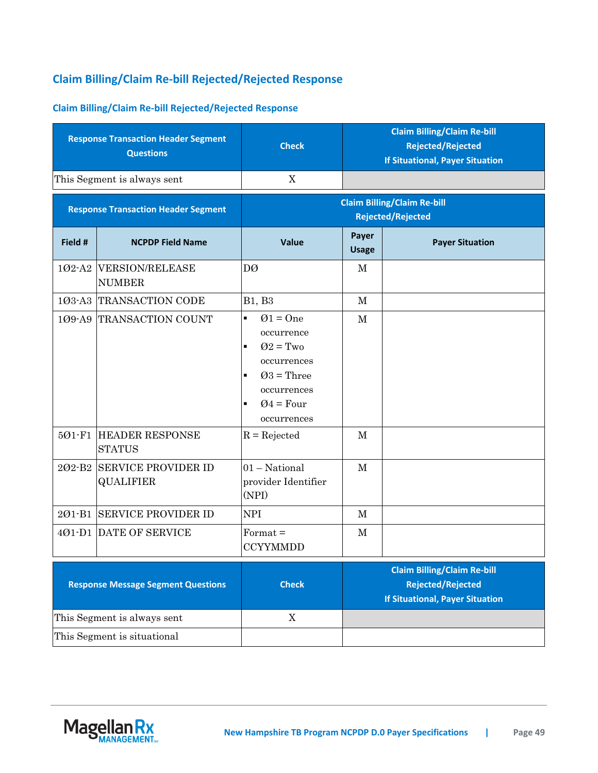# **Claim Billing/Claim Re-bill Rejected/Rejected Response**

## **Claim Billing/Claim Re-bill Rejected/Rejected Response**

| <b>Response Transaction Header Segment</b><br><b>Questions</b> |                                                                     | <b>Check</b>                                                                                                                                                                               |                       | <b>Claim Billing/Claim Re-bill</b><br><b>Rejected/Rejected</b><br><b>If Situational, Payer Situation</b> |
|----------------------------------------------------------------|---------------------------------------------------------------------|--------------------------------------------------------------------------------------------------------------------------------------------------------------------------------------------|-----------------------|----------------------------------------------------------------------------------------------------------|
|                                                                | This Segment is always sent                                         | $\mathbf X$                                                                                                                                                                                |                       |                                                                                                          |
|                                                                | <b>Response Transaction Header Segment</b>                          |                                                                                                                                                                                            |                       | <b>Claim Billing/Claim Re-bill</b><br><b>Rejected/Rejected</b>                                           |
| Field #                                                        | <b>NCPDP Field Name</b>                                             | <b>Value</b>                                                                                                                                                                               | Payer<br><b>Usage</b> | <b>Payer Situation</b>                                                                                   |
|                                                                | 102-A2 VERSION/RELEASE<br><b>NUMBER</b>                             | DØ                                                                                                                                                                                         | $\mathbf{M}$          |                                                                                                          |
|                                                                | 103-A3 TRANSACTION CODE                                             | <b>B1</b> , <b>B3</b>                                                                                                                                                                      | M                     |                                                                                                          |
|                                                                | 109-A9 TRANSACTION COUNT<br>501-F1 HEADER RESPONSE<br><b>STATUS</b> | $Q1 = One$<br>$\blacksquare$<br>occurrence<br>$Q2 = Two$<br>$\blacksquare$<br>occurrences<br>$Q3$ = Three<br>$\blacksquare$<br>occurrences<br>$Q4 = Four$<br>occurrences<br>$R = Rejected$ | M<br>M                |                                                                                                          |
|                                                                | 202-B2 SERVICE PROVIDER ID<br><b>QUALIFIER</b>                      | $01 - National$<br>provider Identifier<br>(NPI)                                                                                                                                            | M                     |                                                                                                          |
|                                                                | 201-B1 SERVICE PROVIDER ID                                          | <b>NPI</b>                                                                                                                                                                                 | $\mathbf{M}$          |                                                                                                          |
|                                                                | 401-D1 DATE OF SERVICE                                              | $Format =$<br><b>CCYYMMDD</b>                                                                                                                                                              | M                     |                                                                                                          |
|                                                                | <b>Response Message Segment Questions</b>                           | <b>Check</b>                                                                                                                                                                               |                       | <b>Claim Billing/Claim Re-bill</b><br><b>Rejected/Rejected</b><br><b>If Situational, Payer Situation</b> |
|                                                                | This Segment is always sent                                         | $\mathbf X$                                                                                                                                                                                |                       |                                                                                                          |
|                                                                | This Segment is situational                                         |                                                                                                                                                                                            |                       |                                                                                                          |

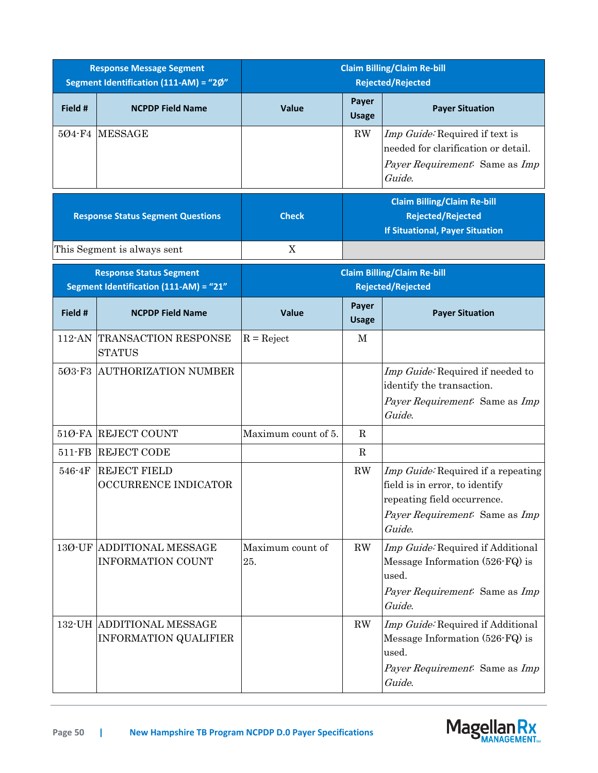| <b>Response Message Segment</b><br>Segment Identification (111-AM) = "2Ø" |                                                                          | <b>Claim Billing/Claim Re-bill</b><br><b>Rejected/Rejected</b> |                        |                                                                                                                                                 |
|---------------------------------------------------------------------------|--------------------------------------------------------------------------|----------------------------------------------------------------|------------------------|-------------------------------------------------------------------------------------------------------------------------------------------------|
| Field #                                                                   | <b>NCPDP Field Name</b>                                                  | Value                                                          | Payer<br><b>Usage</b>  | <b>Payer Situation</b>                                                                                                                          |
|                                                                           | 5Ø4-F4 MESSAGE                                                           |                                                                | $\mathbf{R}\mathbf{W}$ | Imp Guide: Required if text is<br>needed for clarification or detail.<br>Payer Requirement: Same as Imp<br>Guide.                               |
|                                                                           | <b>Response Status Segment Questions</b>                                 | <b>Check</b>                                                   |                        | <b>Claim Billing/Claim Re-bill</b><br><b>Rejected/Rejected</b><br><b>If Situational, Payer Situation</b>                                        |
|                                                                           | This Segment is always sent                                              | X                                                              |                        |                                                                                                                                                 |
|                                                                           | <b>Response Status Segment</b><br>Segment Identification (111-AM) = "21" |                                                                |                        | <b>Claim Billing/Claim Re-bill</b><br><b>Rejected/Rejected</b>                                                                                  |
| Field #                                                                   | <b>NCPDP Field Name</b>                                                  | Value                                                          | Payer<br><b>Usage</b>  | <b>Payer Situation</b>                                                                                                                          |
| 112-AN                                                                    | <b>TRANSACTION RESPONSE</b><br><b>STATUS</b>                             | $R = Reject$                                                   | M                      |                                                                                                                                                 |
| 5Ø3-F3                                                                    | <b>AUTHORIZATION NUMBER</b>                                              |                                                                |                        | Imp Guide: Required if needed to<br>identify the transaction.<br>Payer Requirement: Same as Imp<br>Guide.                                       |
|                                                                           | 510-FA REJECT COUNT                                                      | Maximum count of 5.                                            | $\mathbf R$            |                                                                                                                                                 |
| 511-FB                                                                    | <b>REJECT CODE</b>                                                       |                                                                | $\mathbf R$            |                                                                                                                                                 |
| 546-4F                                                                    | <b>REJECT FIELD</b><br><b>OCCURRENCE INDICATOR</b>                       |                                                                | $\rm RW$               | Imp Guide: Required if a repeating<br>field is in error, to identify<br>repeating field occurrence.<br>Payer Requirement: Same as Imp<br>Guide. |
|                                                                           | 130-UF ADDITIONAL MESSAGE<br><b>INFORMATION COUNT</b>                    | Maximum count of<br>25.                                        | RW                     | Imp Guide: Required if Additional<br>Message Information (526-FQ) is<br>used.<br>Payer Requirement: Same as Imp<br>Guide.                       |
|                                                                           | 132-UH ADDITIONAL MESSAGE<br><b>INFORMATION QUALIFIER</b>                |                                                                | $\mathbf{R}\mathbf{W}$ | Imp Guide: Required if Additional<br>Message Information $(526-FQ)$ is<br>used.<br>Payer Requirement: Same as Imp<br>Guide.                     |

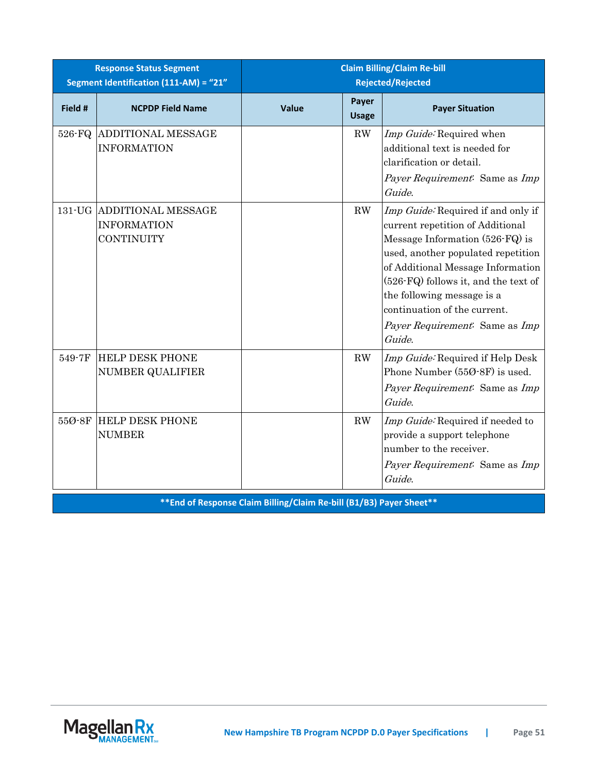|                 | <b>Response Status Segment</b><br>Segment Identification (111-AM) = "21" | <b>Claim Billing/Claim Re-bill</b><br><b>Rejected/Rejected</b>      |                        |                                                                                                                                                                                                                                                                                                                                        |
|-----------------|--------------------------------------------------------------------------|---------------------------------------------------------------------|------------------------|----------------------------------------------------------------------------------------------------------------------------------------------------------------------------------------------------------------------------------------------------------------------------------------------------------------------------------------|
| Field #         | <b>NCPDP Field Name</b>                                                  | Value                                                               | Payer<br><b>Usage</b>  | <b>Payer Situation</b>                                                                                                                                                                                                                                                                                                                 |
| 526-FQ          | ADDITIONAL MESSAGE<br><b>INFORMATION</b>                                 |                                                                     | RW                     | Imp Guide: Required when<br>additional text is needed for<br>clarification or detail.<br>Payer Requirement: Same as Imp<br>Guide.                                                                                                                                                                                                      |
| $131\text{-}UG$ | <b>ADDITIONAL MESSAGE</b><br><b>INFORMATION</b><br><b>CONTINUITY</b>     |                                                                     | RW                     | Imp Guide: Required if and only if<br>current repetition of Additional<br>Message Information (526-FQ) is<br>used, another populated repetition<br>of Additional Message Information<br>(526-FQ) follows it, and the text of<br>the following message is a<br>continuation of the current.<br>Payer Requirement: Same as Imp<br>Guide. |
| 549-7F          | <b>HELP DESK PHONE</b><br><b>NUMBER QUALIFIER</b>                        |                                                                     | RW                     | Imp Guide: Required if Help Desk<br>Phone Number (550-8F) is used.<br>Payer Requirement: Same as Imp<br>Guide.                                                                                                                                                                                                                         |
| 55Ø-8F          | <b>HELP DESK PHONE</b><br><b>NUMBER</b>                                  | **End of Response Claim Billing/Claim Re-hill (B1/B3) Paver Sheet** | $\mathbf{R}\mathbf{W}$ | Imp Guide: Required if needed to<br>provide a support telephone<br>number to the receiver.<br>Payer Requirement: Same as Imp<br>Guide.                                                                                                                                                                                                 |

**\*\*End of Response Claim Billing/Claim Re-bill (B1/B3) Payer Sheet\*\***

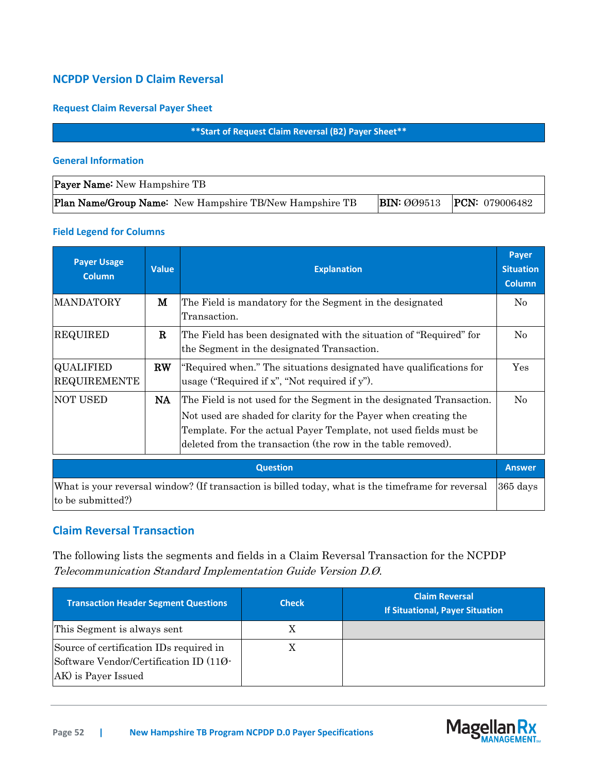# **NCPDP Version D Claim Reversal**

#### **Request Claim Reversal Payer Sheet**

#### **\*\*Start of Request Claim Reversal (B2) Payer Sheet\*\***

#### **General Information**

| <b>Payer Name:</b> New Hampshire TB                            |                                   |
|----------------------------------------------------------------|-----------------------------------|
| <b>Plan Name/Group Name:</b> New Hampshire TB/New Hampshire TB | <b>BIN: 009513 PCN: 079006482</b> |

#### **Field Legend for Columns**

| <b>Payer Usage</b><br><b>Column</b>     | <b>Value</b> | <b>Explanation</b>                                                                                                                                                                                                                                                          | Payer<br><b>Situation</b><br><b>Column</b> |  |  |
|-----------------------------------------|--------------|-----------------------------------------------------------------------------------------------------------------------------------------------------------------------------------------------------------------------------------------------------------------------------|--------------------------------------------|--|--|
| <b>MANDATORY</b>                        | м            | The Field is mandatory for the Segment in the designated<br>Transaction.                                                                                                                                                                                                    | $\rm No$                                   |  |  |
| <b>REQUIRED</b>                         | R            | The Field has been designated with the situation of "Required" for<br>the Segment in the designated Transaction.                                                                                                                                                            | $\rm No$                                   |  |  |
| <b>QUALIFIED</b><br><b>REQUIREMENTE</b> | $RN$         | "Required when." The situations designated have qualifications for<br>usage ("Required if x", "Not required if y").                                                                                                                                                         | <b>Yes</b>                                 |  |  |
| NOT USED                                | NA.          | The Field is not used for the Segment in the designated Transaction.<br>Not used are shaded for clarity for the Payer when creating the<br>Template. For the actual Payer Template, not used fields must be<br>deleted from the transaction (the row in the table removed). | $\rm No$                                   |  |  |
| <b>Question</b><br><b>Answer</b>        |              |                                                                                                                                                                                                                                                                             |                                            |  |  |

What is your reversal window? (If transaction is billed today, what is the timeframe for reversal to be submitted?) 365 days

## **Claim Reversal Transaction**

The following lists the segments and fields in a Claim Reversal Transaction for the NCPDP Telecommunication Standard Implementation Guide Version D.Ø.

| <b>Transaction Header Segment Questions</b>                                                              | <b>Check</b> | <b>Claim Reversal</b><br><b>If Situational, Payer Situation</b> |
|----------------------------------------------------------------------------------------------------------|--------------|-----------------------------------------------------------------|
| This Segment is always sent                                                                              |              |                                                                 |
| Source of certification IDs required in<br>Software Vendor/Certification ID (110-<br>AK) is Payer Issued |              |                                                                 |

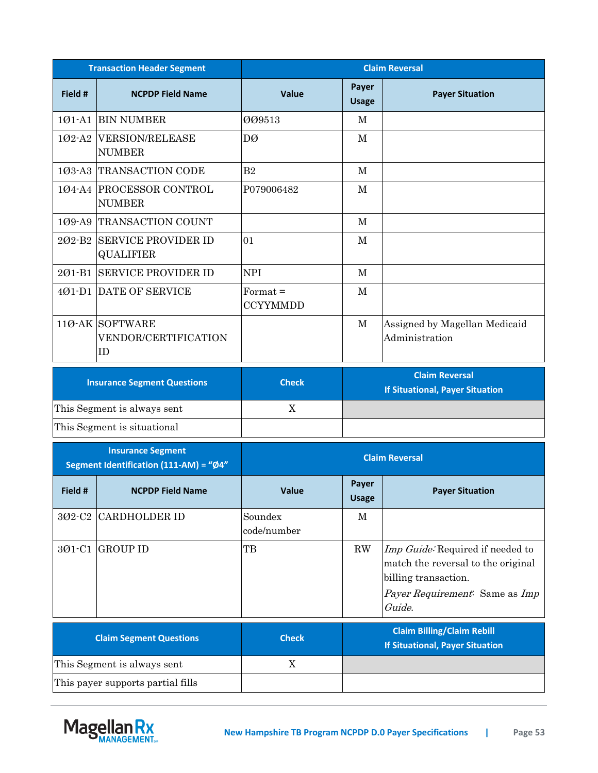|            | <b>Transaction Header Segment</b>              | <b>Claim Reversal</b>                |                       |                                                 |
|------------|------------------------------------------------|--------------------------------------|-----------------------|-------------------------------------------------|
| Field #    | <b>NCPDP Field Name</b>                        | Value                                | Payer<br><b>Usage</b> | <b>Payer Situation</b>                          |
| 101-A1     | <b>BIN NUMBER</b>                              | 009513                               | М                     |                                                 |
|            | 102-A2 VERSION/RELEASE<br><b>NUMBER</b>        | DØ                                   | M                     |                                                 |
|            | 103-A3 TRANSACTION CODE                        | B <sub>2</sub>                       | M                     |                                                 |
|            | 104-A4 PROCESSOR CONTROL<br><b>NUMBER</b>      | P079006482                           | M                     |                                                 |
|            | 109-A9 TRANSACTION COUNT                       |                                      | M                     |                                                 |
| $202 - B2$ | <b>SERVICE PROVIDER ID</b><br><b>QUALIFIER</b> | 01                                   | M                     |                                                 |
| $201 - B1$ | <b>SERVICE PROVIDER ID</b>                     | <b>NPI</b>                           | M                     |                                                 |
|            | 401-D1 DATE OF SERVICE                         | $\text{Format} =$<br><b>CCYYMMDD</b> | M                     |                                                 |
|            | 110-AK SOFTWARE<br>VENDOR/CERTIFICATION<br>ID. |                                      | $\mathbf M$           | Assigned by Magellan Medicaid<br>Administration |

| <b>Insurance Segment Questions</b> | <b>Check</b> | <b>Claim Reversal</b><br><b>If Situational, Payer Situation</b> |
|------------------------------------|--------------|-----------------------------------------------------------------|
| This Segment is always sent        |              |                                                                 |
| This Segment is situational        |              |                                                                 |

| <b>Insurance Segment</b><br>Segment Identification (111-AM) = "Ø4" |                                   | <b>Claim Reversal</b>  |                       |                                                                                                                                            |  |
|--------------------------------------------------------------------|-----------------------------------|------------------------|-----------------------|--------------------------------------------------------------------------------------------------------------------------------------------|--|
| Field #                                                            | <b>NCPDP Field Name</b>           | Value                  | Payer<br><b>Usage</b> | <b>Payer Situation</b>                                                                                                                     |  |
|                                                                    | 302-C2 CARDHOLDER ID              | Soundex<br>code/number | M                     |                                                                                                                                            |  |
| 301-C1                                                             | <b>GROUP ID</b>                   | TB                     | RW                    | Imp Guide: Required if needed to<br>match the reversal to the original<br>billing transaction.<br>Payer Requirement. Same as Imp<br>Guide. |  |
| <b>Claim Segment Questions</b>                                     |                                   | <b>Check</b>           |                       | <b>Claim Billing/Claim Rebill</b><br><b>If Situational, Payer Situation</b>                                                                |  |
| This Segment is always sent                                        |                                   | X                      |                       |                                                                                                                                            |  |
|                                                                    | This payer supports partial fills |                        |                       |                                                                                                                                            |  |

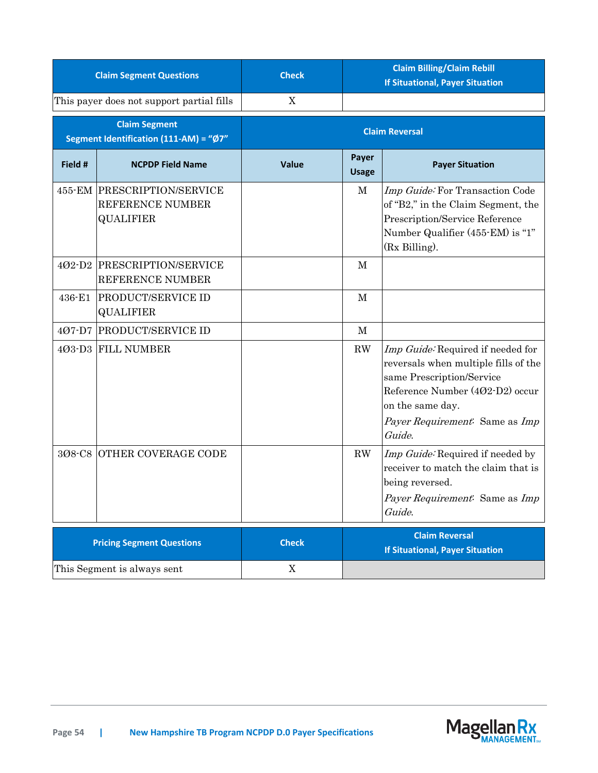|                                  | <b>Claim Segment Questions</b>                                      | <b>Check</b> |                                                 | <b>Claim Billing/Claim Rebill</b><br><b>If Situational, Payer Situation</b>                                                                                                                               |  |
|----------------------------------|---------------------------------------------------------------------|--------------|-------------------------------------------------|-----------------------------------------------------------------------------------------------------------------------------------------------------------------------------------------------------------|--|
|                                  | This payer does not support partial fills                           | X            |                                                 |                                                                                                                                                                                                           |  |
|                                  | <b>Claim Segment</b><br>Segment Identification (111-AM) = "Ø7"      |              |                                                 | <b>Claim Reversal</b>                                                                                                                                                                                     |  |
| Field #                          | <b>NCPDP Field Name</b>                                             | Value        | Payer<br><b>Payer Situation</b><br><b>Usage</b> |                                                                                                                                                                                                           |  |
|                                  | 455-EM PRESCRIPTION/SERVICE<br>REFERENCE NUMBER<br><b>QUALIFIER</b> |              | $\mathbf M$                                     | Imp Guide: For Transaction Code<br>of "B2," in the Claim Segment, the<br>Prescription/Service Reference<br>Number Qualifier (455-EM) is "1"<br>(Rx Billing).                                              |  |
|                                  | 402-D2 PRESCRIPTION/SERVICE<br><b>REFERENCE NUMBER</b>              |              | М                                               |                                                                                                                                                                                                           |  |
| 436-E1                           | <b>PRODUCT/SERVICE ID</b><br><b>QUALIFIER</b>                       |              | $\mathbf{M}$                                    |                                                                                                                                                                                                           |  |
|                                  | 407-D7 PRODUCT/SERVICE ID                                           |              | $\mathbf M$                                     |                                                                                                                                                                                                           |  |
|                                  | 403-D3 FILL NUMBER                                                  |              | RW                                              | Imp Guide: Required if needed for<br>reversals when multiple fills of the<br>same Prescription/Service<br>Reference Number (402-D2) occur<br>on the same day.<br>Payer Requirement: Same as Imp<br>Guide. |  |
|                                  | 308-C8 OTHER COVERAGE CODE                                          |              | RW                                              | Imp Guide: Required if needed by<br>receiver to match the claim that is<br>being reversed.<br>Payer Requirement: Same as Imp<br>Guide.                                                                    |  |
| <b>Pricing Segment Questions</b> |                                                                     | <b>Check</b> |                                                 | <b>Claim Reversal</b><br><b>If Situational, Payer Situation</b>                                                                                                                                           |  |
| This Segment is always sent      |                                                                     | X            |                                                 |                                                                                                                                                                                                           |  |

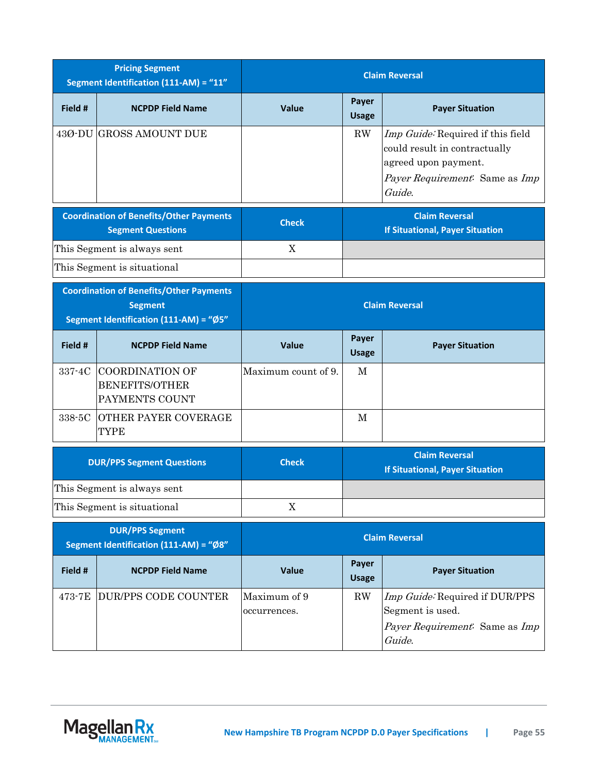|                                                                                                            | <b>Pricing Segment</b><br>Segment Identification (111-AM) = "11"           | <b>Claim Reversal</b>        |                                                 |                                                                                                                                        |  |
|------------------------------------------------------------------------------------------------------------|----------------------------------------------------------------------------|------------------------------|-------------------------------------------------|----------------------------------------------------------------------------------------------------------------------------------------|--|
| Field #                                                                                                    | <b>NCPDP Field Name</b>                                                    | Value                        | Payer<br><b>Payer Situation</b><br><b>Usage</b> |                                                                                                                                        |  |
|                                                                                                            | 43Ø-DU GROSS AMOUNT DUE                                                    |                              | $\mathbf{R}\mathbf{W}$                          | Imp Guide: Required if this field<br>could result in contractually<br>agreed upon payment.<br>Payer Requirement: Same as Imp<br>Guide. |  |
|                                                                                                            | <b>Coordination of Benefits/Other Payments</b><br><b>Segment Questions</b> | <b>Check</b>                 |                                                 | <b>Claim Reversal</b><br><b>If Situational, Payer Situation</b>                                                                        |  |
|                                                                                                            | This Segment is always sent                                                | X                            |                                                 |                                                                                                                                        |  |
|                                                                                                            | This Segment is situational                                                |                              |                                                 |                                                                                                                                        |  |
| <b>Coordination of Benefits/Other Payments</b><br><b>Segment</b><br>Segment Identification (111-AM) = "Ø5" |                                                                            |                              |                                                 | <b>Claim Reversal</b>                                                                                                                  |  |
| Field #                                                                                                    | <b>NCPDP Field Name</b>                                                    | Value                        | Payer<br><b>Usage</b>                           | <b>Payer Situation</b>                                                                                                                 |  |
| 337-4C                                                                                                     | <b>COORDINATION OF</b><br><b>BENEFITS/OTHER</b><br>PAYMENTS COUNT          | Maximum count of 9.          | М                                               |                                                                                                                                        |  |
| 338-5C                                                                                                     | <b>OTHER PAYER COVERAGE</b><br>TYPE                                        |                              | M                                               |                                                                                                                                        |  |
|                                                                                                            | <b>DUR/PPS Segment Questions</b>                                           | <b>Check</b>                 |                                                 | <b>Claim Reversal</b><br><b>If Situational, Payer Situation</b>                                                                        |  |
|                                                                                                            | This Segment is always sent                                                |                              |                                                 |                                                                                                                                        |  |
|                                                                                                            | This Segment is situational                                                | $\mathbf X$                  |                                                 |                                                                                                                                        |  |
| <b>DUR/PPS Segment</b><br>Segment Identification (111-AM) = "Ø8"                                           |                                                                            | <b>Claim Reversal</b>        |                                                 |                                                                                                                                        |  |
| Field #                                                                                                    | <b>NCPDP Field Name</b>                                                    | Value                        | Payer<br><b>Usage</b>                           | <b>Payer Situation</b>                                                                                                                 |  |
| 473-7E                                                                                                     | DUR/PPS CODE COUNTER                                                       | Maximum of 9<br>occurrences. | RW                                              | Imp Guide: Required if DUR/PPS<br>Segment is used.<br>Payer Requirement: Same as Imp<br>Guide.                                         |  |

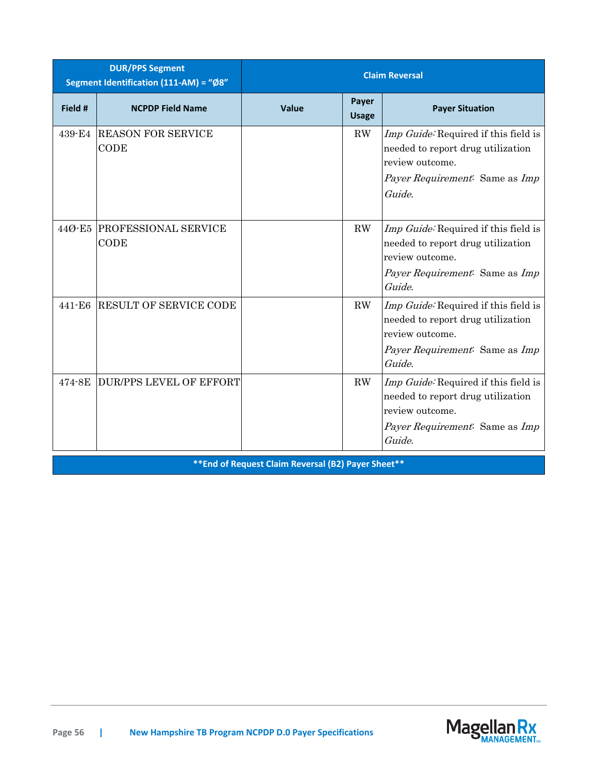| <b>DUR/PPS Segment</b><br>Segment Identification (111-AM) = "Ø8" |                                     | <b>Claim Reversal</b> |                       |                                                                                                                                          |
|------------------------------------------------------------------|-------------------------------------|-----------------------|-----------------------|------------------------------------------------------------------------------------------------------------------------------------------|
| Field #                                                          | <b>NCPDP Field Name</b>             | <b>Value</b>          | Payer<br><b>Usage</b> | <b>Payer Situation</b>                                                                                                                   |
| 439-E4                                                           | <b>REASON FOR SERVICE</b><br>CODE   |                       | RW                    | Imp Guide: Required if this field is<br>needed to report drug utilization<br>review outcome.<br>Payer Requirement: Same as Imp<br>Guide. |
|                                                                  | 440-E5 PROFESSIONAL SERVICE<br>CODE |                       | RW                    | Imp Guide: Required if this field is<br>needed to report drug utilization<br>review outcome.<br>Payer Requirement: Same as Imp<br>Guide. |
| 441-E6                                                           | RESULT OF SERVICE CODE              |                       | RW                    | Imp Guide: Required if this field is<br>needed to report drug utilization<br>review outcome.<br>Payer Requirement: Same as Imp<br>Guide. |
| 474-8E                                                           | <b>DUR/PPS LEVEL OF EFFORT</b>      |                       | RW                    | Imp Guide: Required if this field is<br>needed to report drug utilization<br>review outcome.<br>Payer Requirement: Same as Imp<br>Guide. |
| ** End of Request Claim Reversal (B2) Payer Sheet**              |                                     |                       |                       |                                                                                                                                          |

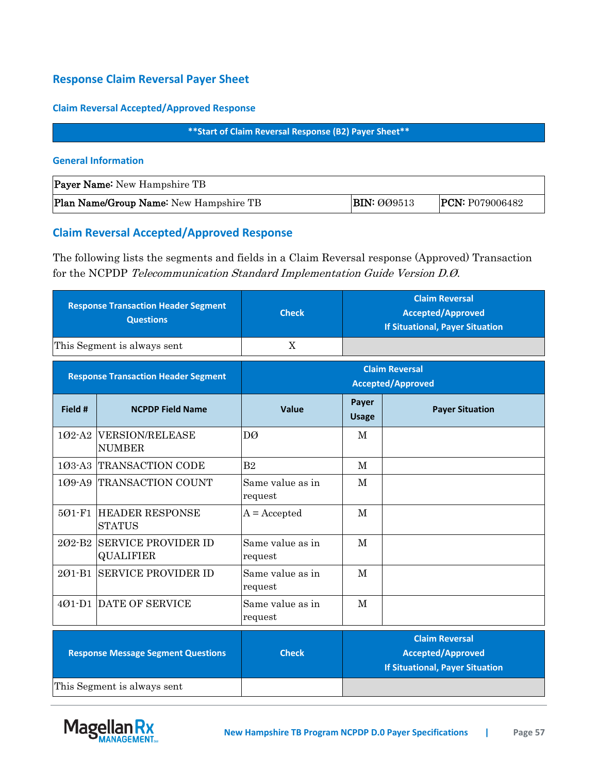# **Response Claim Reversal Payer Sheet**

#### **Claim Reversal Accepted/Approved Response**

## **\*\*Start of Claim Reversal Response (B2) Payer Sheet\*\***

#### **General Information**

| <b>Payer Name:</b> New Hampshire TB    |                    |                        |
|----------------------------------------|--------------------|------------------------|
| Plan Name/Group Name: New Hampshire TB | <b>BIN: 009513</b> | <b>PCN:</b> P079006482 |

## **Claim Reversal Accepted/Approved Response**

The following lists the segments and fields in a Claim Reversal response (Approved) Transaction for the NCPDP Telecommunication Standard Implementation Guide Version D.Ø.

|                                            | <b>Response Transaction Header Segment</b><br><b>Questions</b> | <b>Check</b>                                             |                                                   | <b>Claim Reversal</b><br><b>Accepted/Approved</b><br><b>If Situational, Payer Situation</b> |  |
|--------------------------------------------|----------------------------------------------------------------|----------------------------------------------------------|---------------------------------------------------|---------------------------------------------------------------------------------------------|--|
|                                            | This Segment is always sent                                    | X                                                        |                                                   |                                                                                             |  |
| <b>Response Transaction Header Segment</b> |                                                                |                                                          | <b>Claim Reversal</b><br><b>Accepted/Approved</b> |                                                                                             |  |
| Field #                                    | <b>NCPDP Field Name</b>                                        | Payer<br>Value<br><b>Payer Situation</b><br><b>Usage</b> |                                                   |                                                                                             |  |
| $102-A2$                                   | <b>VERSION/RELEASE</b><br><b>NUMBER</b>                        | DØ                                                       | M                                                 |                                                                                             |  |
|                                            | 103-A3 TRANSACTION CODE                                        | B <sub>2</sub>                                           | M                                                 |                                                                                             |  |
|                                            | 109-A9 TRANSACTION COUNT                                       | Same value as in<br>request                              | M                                                 |                                                                                             |  |
| 501-F1                                     | <b>HEADER RESPONSE</b><br><b>STATUS</b>                        | $A = Accepted$                                           | M                                                 |                                                                                             |  |
| 202-B <sub>2</sub>                         | <b>SERVICE PROVIDER ID</b><br><b>QUALIFIER</b>                 | Same value as in<br>request                              | $\mathbf{M}$                                      |                                                                                             |  |
| 201-B1                                     | <b>SERVICE PROVIDER ID</b>                                     | Same value as in<br>request                              | M                                                 |                                                                                             |  |
|                                            | 401-D1 DATE OF SERVICE                                         | Same value as in<br>request                              | M                                                 |                                                                                             |  |
| <b>Response Message Segment Questions</b>  |                                                                | <b>Check</b>                                             |                                                   | <b>Claim Reversal</b><br><b>Accepted/Approved</b><br><b>If Situational, Payer Situation</b> |  |
|                                            | This Segment is always sent                                    |                                                          |                                                   |                                                                                             |  |

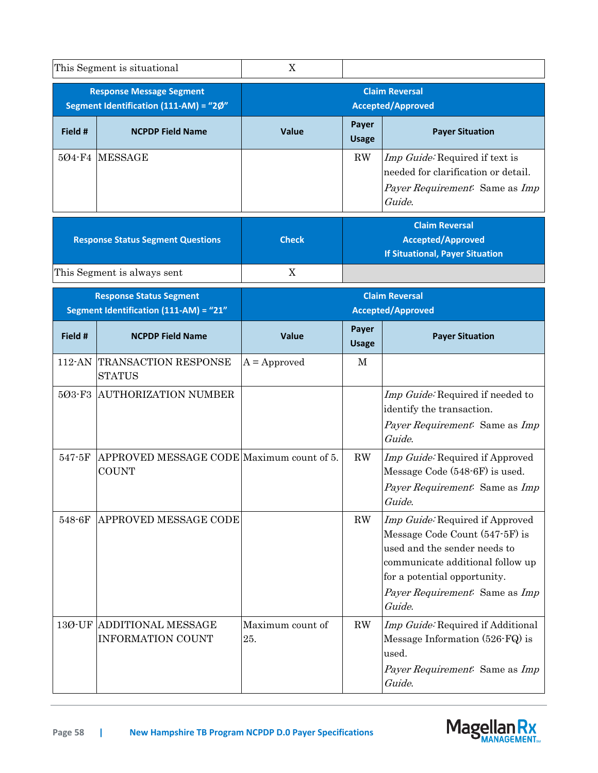|                                                                           | This Segment is situational                                              | $\mathbf X$                                       |                        |                                                                                                                                                                                                                   |
|---------------------------------------------------------------------------|--------------------------------------------------------------------------|---------------------------------------------------|------------------------|-------------------------------------------------------------------------------------------------------------------------------------------------------------------------------------------------------------------|
| <b>Response Message Segment</b><br>Segment Identification (111-AM) = "2Ø" |                                                                          | <b>Claim Reversal</b><br><b>Accepted/Approved</b> |                        |                                                                                                                                                                                                                   |
| Field #                                                                   | <b>NCPDP Field Name</b>                                                  | Value                                             | Payer<br><b>Usage</b>  | <b>Payer Situation</b>                                                                                                                                                                                            |
| 5Ø4-F4                                                                    | <b>MESSAGE</b>                                                           |                                                   | $\mathbf{R}\mathbf{W}$ | Imp Guide: Required if text is<br>needed for clarification or detail.<br>Payer Requirement: Same as Imp<br>Guide.                                                                                                 |
|                                                                           | <b>Response Status Segment Questions</b>                                 | <b>Check</b>                                      |                        | <b>Claim Reversal</b><br><b>Accepted/Approved</b><br><b>If Situational, Payer Situation</b>                                                                                                                       |
|                                                                           | This Segment is always sent                                              | $\mathbf X$                                       |                        |                                                                                                                                                                                                                   |
|                                                                           | <b>Response Status Segment</b><br>Segment Identification (111-AM) = "21" |                                                   |                        | <b>Claim Reversal</b><br><b>Accepted/Approved</b>                                                                                                                                                                 |
| Field #                                                                   | <b>NCPDP Field Name</b>                                                  | Value                                             | Payer<br><b>Usage</b>  | <b>Payer Situation</b>                                                                                                                                                                                            |
| 112-AN                                                                    | TRANSACTION RESPONSE<br><b>STATUS</b>                                    | $A =$ Approved                                    | М                      |                                                                                                                                                                                                                   |
| 503-F3                                                                    | <b>AUTHORIZATION NUMBER</b>                                              |                                                   |                        | Imp Guide: Required if needed to<br>identify the transaction.<br>Payer Requirement: Same as Imp<br>Guide.                                                                                                         |
| 547-5F                                                                    | APPROVED MESSAGE CODE Maximum count of 5.<br><b>COUNT</b>                |                                                   | RW                     | Imp Guide: Required if Approved<br>Message Code (548-6F) is used.<br>Payer Requirement: Same as Imp<br>Guide.                                                                                                     |
| 548-6F                                                                    | APPROVED MESSAGE CODE                                                    |                                                   | RW                     | Imp Guide: Required if Approved<br>Message Code Count (547-5F) is<br>used and the sender needs to<br>communicate additional follow up<br>for a potential opportunity.<br>Payer Requirement: Same as Imp<br>Guide. |
| 13Ø-UF                                                                    | <b>ADDITIONAL MESSAGE</b><br><b>INFORMATION COUNT</b>                    | Maximum count of<br>25.                           | RW                     | Imp Guide: Required if Additional<br>Message Information (526-FQ) is<br>used.<br>Payer Requirement: Same as Imp<br>Guide.                                                                                         |

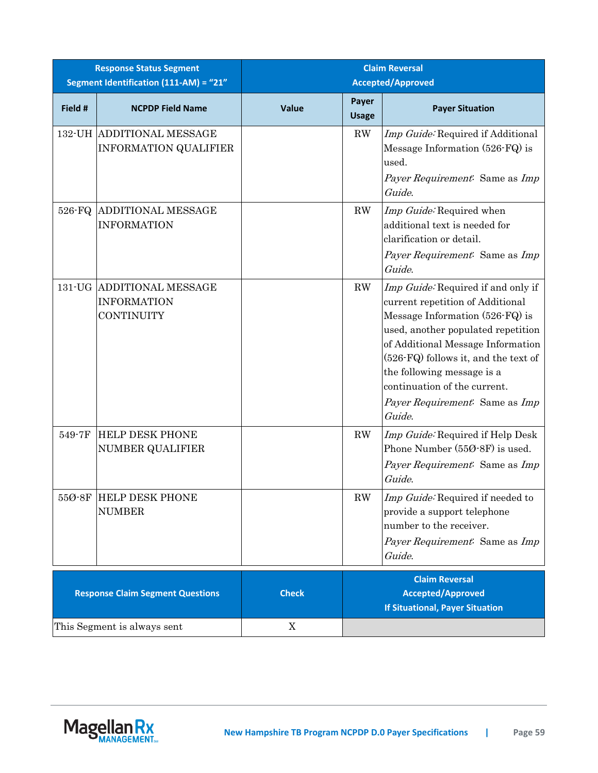|         | <b>Response Status Segment</b><br>Segment Identification (111-AM) = "21" | <b>Claim Reversal</b><br><b>Accepted/Approved</b> |                       |                                                                                                                                                                                                                                                                                                                                        |
|---------|--------------------------------------------------------------------------|---------------------------------------------------|-----------------------|----------------------------------------------------------------------------------------------------------------------------------------------------------------------------------------------------------------------------------------------------------------------------------------------------------------------------------------|
| Field # | <b>NCPDP Field Name</b>                                                  | <b>Value</b>                                      | Payer<br><b>Usage</b> | <b>Payer Situation</b>                                                                                                                                                                                                                                                                                                                 |
|         | 132-UH ADDITIONAL MESSAGE<br><b>INFORMATION QUALIFIER</b>                |                                                   | RW                    | Imp Guide: Required if Additional<br>Message Information (526-FQ) is<br>used.<br>Payer Requirement: Same as Imp<br>Guide.                                                                                                                                                                                                              |
| 526-FQ  | <b>ADDITIONAL MESSAGE</b><br><b>INFORMATION</b>                          |                                                   | RW                    | Imp Guide: Required when<br>additional text is needed for<br>clarification or detail.<br>Payer Requirement: Same as Imp<br>Guide.                                                                                                                                                                                                      |
|         | 131-UG ADDITIONAL MESSAGE<br><b>INFORMATION</b><br>CONTINUITY            |                                                   | RW                    | Imp Guide: Required if and only if<br>current repetition of Additional<br>Message Information (526-FQ) is<br>used, another populated repetition<br>of Additional Message Information<br>(526-FQ) follows it, and the text of<br>the following message is a<br>continuation of the current.<br>Payer Requirement: Same as Imp<br>Guide. |
| 549-7F  | <b>HELP DESK PHONE</b><br><b>NUMBER QUALIFIER</b>                        |                                                   | RW                    | Imp Guide: Required if Help Desk<br>Phone Number (550-8F) is used.<br>Payer Requirement: Same as Imp<br>Guide.                                                                                                                                                                                                                         |
|         | 550-8F HELP DESK PHONE<br><b>NUMBER</b>                                  |                                                   | $\mathbf{RW}$         | Imp Guide: Required if needed to<br>provide a support telephone<br>number to the receiver.<br>Payer Requirement: Same as Imp<br>Guide.                                                                                                                                                                                                 |
|         | <b>Response Claim Segment Questions</b>                                  | <b>Check</b>                                      |                       | <b>Claim Reversal</b><br><b>Accepted/Approved</b><br><b>If Situational, Payer Situation</b>                                                                                                                                                                                                                                            |
|         | This Segment is always sent                                              | X                                                 |                       |                                                                                                                                                                                                                                                                                                                                        |

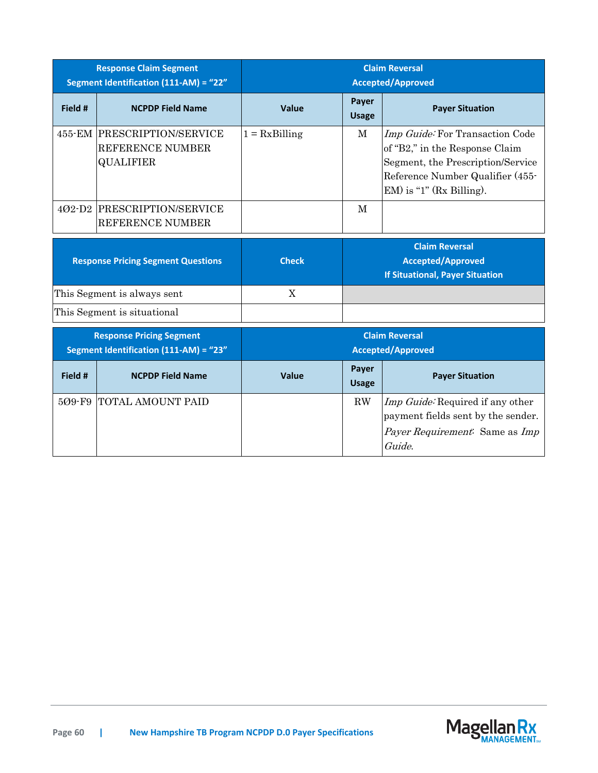|         | <b>Response Claim Segment</b><br>Segment Identification (111-AM) = "22"   | <b>Claim Reversal</b><br><b>Accepted/Approved</b> |                       |                                                                                                                                                                           |
|---------|---------------------------------------------------------------------------|---------------------------------------------------|-----------------------|---------------------------------------------------------------------------------------------------------------------------------------------------------------------------|
| Field # | <b>NCPDP Field Name</b>                                                   | <b>Value</b>                                      | Payer<br><b>Usage</b> | <b>Payer Situation</b>                                                                                                                                                    |
|         | 455-EM PRESCRIPTION/SERVICE<br>REFERENCE NUMBER<br><b>QUALIFIER</b>       | $1 = Rx \times B$ illing                          | М                     | Imp Guide: For Transaction Code<br>of "B2," in the Response Claim<br>Segment, the Prescription/Service<br>Reference Number Qualifier (455-<br>$EM$ ) is "1" (Rx Billing). |
|         | 402-D2 PRESCRIPTION/SERVICE<br><b>REFERENCE NUMBER</b>                    |                                                   | M                     |                                                                                                                                                                           |
|         | <b>Response Pricing Segment Questions</b>                                 | <b>Check</b>                                      |                       | <b>Claim Reversal</b><br><b>Accepted/Approved</b><br><b>If Situational, Payer Situation</b>                                                                               |
|         | This Segment is always sent                                               | X                                                 |                       |                                                                                                                                                                           |
|         | This Segment is situational                                               |                                                   |                       |                                                                                                                                                                           |
|         | <b>Response Pricing Segment</b><br>Segment Identification (111-AM) = "23" |                                                   |                       | <b>Claim Reversal</b><br><b>Accepted/Approved</b>                                                                                                                         |
| Field # | <b>NCPDP Field Name</b>                                                   | Value                                             | Payer<br><b>Usage</b> | <b>Payer Situation</b>                                                                                                                                                    |
| 509-F9  | TOTAL AMOUNT PAID                                                         |                                                   | $\rm RW$              | Imp Guide: Required if any other<br>payment fields sent by the sender.<br>Payer Requirement: Same as Imp<br>Guide.                                                        |

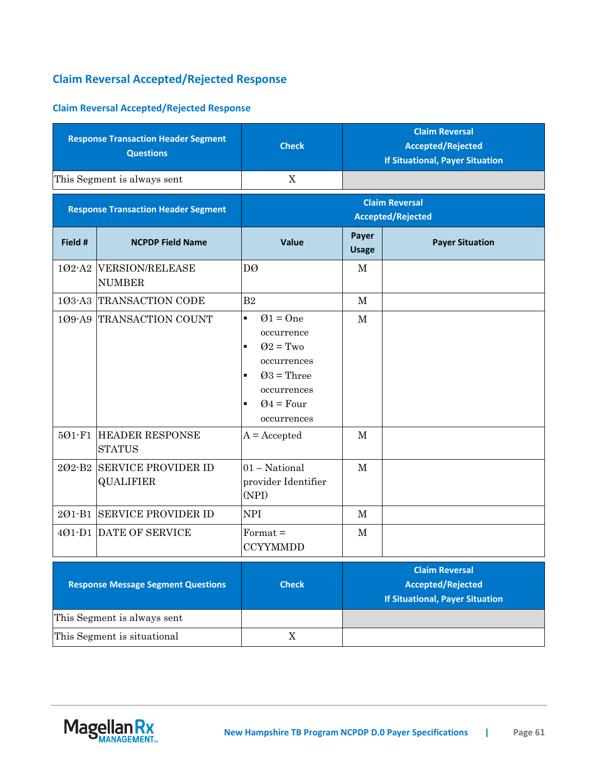# **Claim Reversal Accepted/Rejected Response**

## **Claim Reversal Accepted/Rejected Response**

|         | <b>Response Transaction Header Segment</b><br><b>Questions</b> | <b>Check</b>                                                                                                                                                                               |                       | <b>Claim Reversal</b><br><b>Accepted/Rejected</b><br><b>If Situational, Payer Situation</b> |
|---------|----------------------------------------------------------------|--------------------------------------------------------------------------------------------------------------------------------------------------------------------------------------------|-----------------------|---------------------------------------------------------------------------------------------|
|         | This Segment is always sent                                    | $\mathbf X$                                                                                                                                                                                |                       |                                                                                             |
|         | <b>Response Transaction Header Segment</b>                     |                                                                                                                                                                                            |                       | <b>Claim Reversal</b><br><b>Accepted/Rejected</b>                                           |
| Field # | <b>NCPDP Field Name</b>                                        | Value                                                                                                                                                                                      | Payer<br><b>Usage</b> | <b>Payer Situation</b>                                                                      |
|         | 102-A2 VERSION/RELEASE<br><b>NUMBER</b>                        | DØ                                                                                                                                                                                         | M                     |                                                                                             |
|         | 103-A3 TRANSACTION CODE                                        | B <sub>2</sub>                                                                                                                                                                             | M                     |                                                                                             |
|         | 109-A9 TRANSACTION COUNT                                       | $\blacksquare$<br>$Q1 = One$<br>occurrence<br>$Q2 = Two$<br>$\blacksquare$<br>occurrences<br>$Q3$ = Three<br>$\blacksquare$<br>occurrences<br>$Q4 = Four$<br>$\blacksquare$<br>occurrences | M                     |                                                                                             |
|         | 501-F1 HEADER RESPONSE<br><b>STATUS</b>                        | $A = Accepted$                                                                                                                                                                             | M                     |                                                                                             |
|         | 202-B2 SERVICE PROVIDER ID<br><b>QUALIFIER</b>                 | 01 - National<br>provider Identifier<br>(NPI)                                                                                                                                              | M                     |                                                                                             |
|         | 201-B1 SERVICE PROVIDER ID                                     | <b>NPI</b>                                                                                                                                                                                 | $\mathbf{M}$          |                                                                                             |
|         | 401-D1 DATE OF SERVICE                                         | $\text{Format} =$<br><b>CCYYMMDD</b>                                                                                                                                                       | M                     |                                                                                             |
|         | <b>Response Message Segment Questions</b>                      | <b>Check</b>                                                                                                                                                                               |                       | <b>Claim Reversal</b><br><b>Accepted/Rejected</b><br><b>If Situational, Payer Situation</b> |
|         | This Segment is always sent                                    |                                                                                                                                                                                            |                       |                                                                                             |
|         | This Segment is situational                                    | $\mathbf X$                                                                                                                                                                                |                       |                                                                                             |

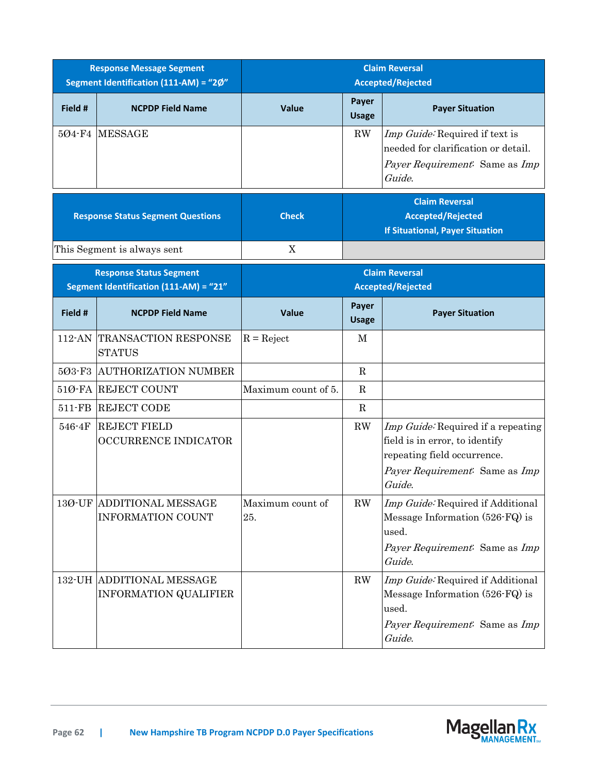| <b>Response Message Segment</b><br>Segment Identification (111-AM) = "2Ø" |                                                                          | <b>Claim Reversal</b><br><b>Accepted/Rejected</b> |                       |                                                                                                                                                 |
|---------------------------------------------------------------------------|--------------------------------------------------------------------------|---------------------------------------------------|-----------------------|-------------------------------------------------------------------------------------------------------------------------------------------------|
| Field #                                                                   | <b>NCPDP Field Name</b>                                                  | Value                                             | Payer<br><b>Usage</b> | <b>Payer Situation</b>                                                                                                                          |
| 504-F4                                                                    | <b>MESSAGE</b>                                                           |                                                   | $\rm RW$              | Imp Guide: Required if text is<br>needed for clarification or detail.<br>Payer Requirement: Same as Imp<br>Guide.                               |
|                                                                           | <b>Response Status Segment Questions</b>                                 | <b>Check</b>                                      |                       | <b>Claim Reversal</b><br><b>Accepted/Rejected</b><br><b>If Situational, Payer Situation</b>                                                     |
|                                                                           | This Segment is always sent                                              | X                                                 |                       |                                                                                                                                                 |
|                                                                           | <b>Response Status Segment</b><br>Segment Identification (111-AM) = "21" |                                                   |                       | <b>Claim Reversal</b><br><b>Accepted/Rejected</b>                                                                                               |
| Field #                                                                   | <b>NCPDP Field Name</b>                                                  | Value                                             | Payer<br><b>Usage</b> | <b>Payer Situation</b>                                                                                                                          |
| 112-AN                                                                    | <b>TRANSACTION RESPONSE</b><br><b>STATUS</b>                             | $R =$ Reject                                      | M                     |                                                                                                                                                 |
| 503-F3                                                                    | <b>AUTHORIZATION NUMBER</b>                                              |                                                   | $\mathbf R$           |                                                                                                                                                 |
|                                                                           | 51Ø-FA REJECT COUNT                                                      | Maximum count of 5.                               | $\mathbf R$           |                                                                                                                                                 |
| 511-FB                                                                    | <b>REJECT CODE</b>                                                       |                                                   | $\mathbf R$           |                                                                                                                                                 |
| 546-4F                                                                    | <b>REJECT FIELD</b><br>OCCURRENCE INDICATOR                              |                                                   | RW                    | Imp Guide: Required if a repeating<br>field is in error, to identify<br>repeating field occurrence.<br>Payer Requirement: Same as Imp<br>Guide. |
|                                                                           | 130-UF ADDITIONAL MESSAGE<br><b>INFORMATION COUNT</b>                    | Maximum count of<br>25.                           | RW                    | Imp Guide: Required if Additional<br>Message Information (526-FQ) is<br>used.<br>Payer Requirement: Same as Imp<br>Guide.                       |
| 132-UH                                                                    | <b>ADDITIONAL MESSAGE</b><br><b>INFORMATION QUALIFIER</b>                |                                                   | RW                    | Imp Guide: Required if Additional<br>Message Information (526-FQ) is<br>used.<br>Payer Requirement: Same as Imp<br>Guide.                       |

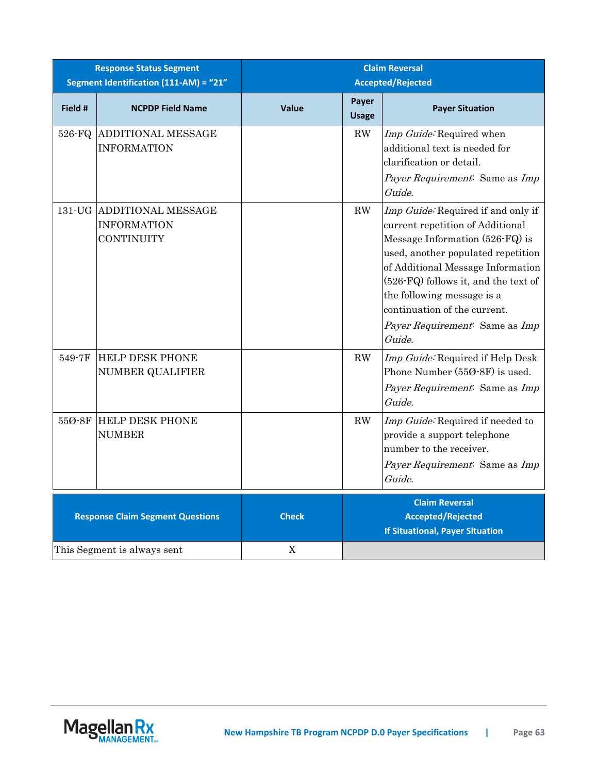| <b>Response Status Segment</b><br>Segment Identification (111-AM) = "21" |                                                                      |              | <b>Claim Reversal</b><br><b>Accepted/Rejected</b> |                                                                                                                                                                                                                                                                                                                                        |
|--------------------------------------------------------------------------|----------------------------------------------------------------------|--------------|---------------------------------------------------|----------------------------------------------------------------------------------------------------------------------------------------------------------------------------------------------------------------------------------------------------------------------------------------------------------------------------------------|
| Field #                                                                  | <b>NCPDP Field Name</b>                                              | Value        | Payer<br><b>Usage</b>                             | <b>Payer Situation</b>                                                                                                                                                                                                                                                                                                                 |
| 526-FQ                                                                   | ADDITIONAL MESSAGE<br><b>INFORMATION</b>                             |              | RW                                                | Imp Guide: Required when<br>additional text is needed for<br>clarification or detail.<br>Payer Requirement: Same as Imp<br>Guide.                                                                                                                                                                                                      |
|                                                                          | 131-UG ADDITIONAL MESSAGE<br><b>INFORMATION</b><br><b>CONTINUITY</b> |              | RW                                                | Imp Guide: Required if and only if<br>current repetition of Additional<br>Message Information (526-FQ) is<br>used, another populated repetition<br>of Additional Message Information<br>(526-FQ) follows it, and the text of<br>the following message is a<br>continuation of the current.<br>Payer Requirement: Same as Imp<br>Guide. |
| 549-7F                                                                   | <b>HELP DESK PHONE</b><br><b>NUMBER QUALIFIER</b>                    |              | RW                                                | Imp Guide: Required if Help Desk<br>Phone Number (550-8F) is used.<br>Payer Requirement: Same as Imp<br>Guide.                                                                                                                                                                                                                         |
| 55Ø-8F                                                                   | <b>HELP DESK PHONE</b><br><b>NUMBER</b>                              |              | RW                                                | Imp Guide: Required if needed to<br>provide a support telephone<br>number to the receiver.<br>Payer Requirement: Same as Imp<br>Guide.                                                                                                                                                                                                 |
|                                                                          | <b>Response Claim Segment Questions</b>                              | <b>Check</b> |                                                   | <b>Claim Reversal</b><br><b>Accepted/Rejected</b><br><b>If Situational, Payer Situation</b>                                                                                                                                                                                                                                            |
|                                                                          | This Segment is always sent                                          | X            |                                                   |                                                                                                                                                                                                                                                                                                                                        |

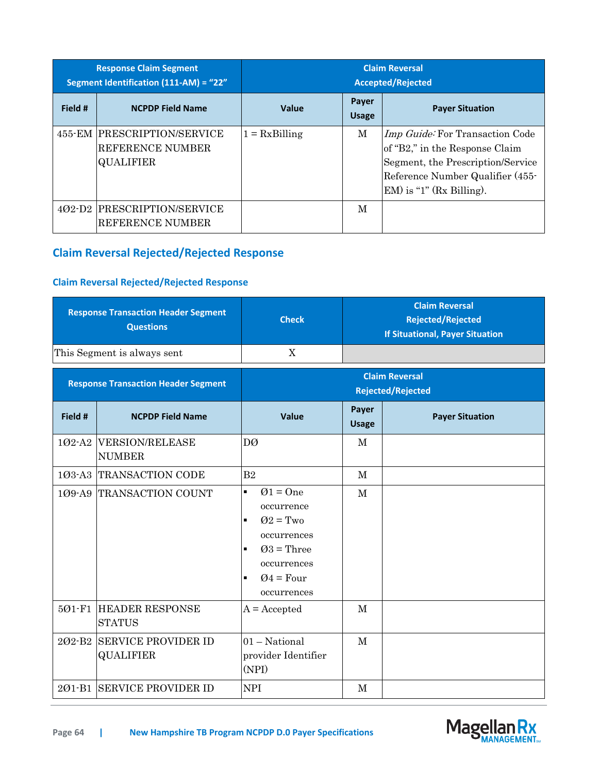| <b>Response Claim Segment</b><br>Segment Identification (111-AM) = "22" |                                                                     | <b>Claim Reversal</b><br><b>Accepted/Rejected</b> |                       |                                                                                                                                                                                  |
|-------------------------------------------------------------------------|---------------------------------------------------------------------|---------------------------------------------------|-----------------------|----------------------------------------------------------------------------------------------------------------------------------------------------------------------------------|
| Field #                                                                 | <b>NCPDP Field Name</b>                                             | Value                                             | Payer<br><b>Usage</b> | <b>Payer Situation</b>                                                                                                                                                           |
|                                                                         | 455-EM PRESCRIPTION/SERVICE<br>REFERENCE NUMBER<br><b>QUALIFIER</b> | $1 = RxBilling$                                   | M                     | <i>Imp Guide:</i> For Transaction Code<br>of "B2," in the Response Claim<br>Segment, the Prescription/Service<br>Reference Number Qualifier (455-<br>$EM$ ) is "1" (Rx Billing). |
| $402-D2$                                                                | <b>PRESCRIPTION/SERVICE</b><br><b>REFERENCE NUMBER</b>              |                                                   | M                     |                                                                                                                                                                                  |

# **Claim Reversal Rejected/Rejected Response**

## **Claim Reversal Rejected/Rejected Response**

|                    | <b>Response Transaction Header Segment</b><br><b>Questions</b> | <b>Check</b>                                                                                                                                                                               |                       | <b>Claim Reversal</b><br><b>Rejected/Rejected</b><br><b>If Situational, Payer Situation</b> |
|--------------------|----------------------------------------------------------------|--------------------------------------------------------------------------------------------------------------------------------------------------------------------------------------------|-----------------------|---------------------------------------------------------------------------------------------|
|                    | This Segment is always sent                                    | X                                                                                                                                                                                          |                       |                                                                                             |
|                    | <b>Response Transaction Header Segment</b>                     |                                                                                                                                                                                            |                       | <b>Claim Reversal</b><br><b>Rejected/Rejected</b>                                           |
| Field #            | <b>NCPDP Field Name</b>                                        | Value                                                                                                                                                                                      | Payer<br><b>Usage</b> | <b>Payer Situation</b>                                                                      |
| 102-A2             | <b>VERSION/RELEASE</b><br><b>NUMBER</b>                        | DØ                                                                                                                                                                                         | $\mathbf{M}$          |                                                                                             |
| $103 - A3$         | <b>TRANSACTION CODE</b>                                        | B <sub>2</sub>                                                                                                                                                                             | $\mathbf M$           |                                                                                             |
| 109-A9             | <b>TRANSACTION COUNT</b>                                       | $Q1 = One$<br>$\blacksquare$<br>occurrence<br>$Q2 = Two$<br>$\blacksquare$<br>occurrences<br>$Q3$ = Three<br>$\blacksquare$<br>occurrences<br>$Q4 = Four$<br>$\blacksquare$<br>occurrences | $\mathbf M$           |                                                                                             |
| 501-F1             | <b>HEADER RESPONSE</b><br><b>STATUS</b>                        | $A = Accepted$                                                                                                                                                                             | $\mathbf M$           |                                                                                             |
| 202-B <sub>2</sub> | <b>SERVICE PROVIDER ID</b><br><b>QUALIFIER</b>                 | $01 - National$<br>provider Identifier<br>(NPI)                                                                                                                                            | $\mathbf{M}$          |                                                                                             |
|                    | 201-B1 SERVICE PROVIDER ID                                     | <b>NPI</b>                                                                                                                                                                                 | $\mathbf M$           |                                                                                             |

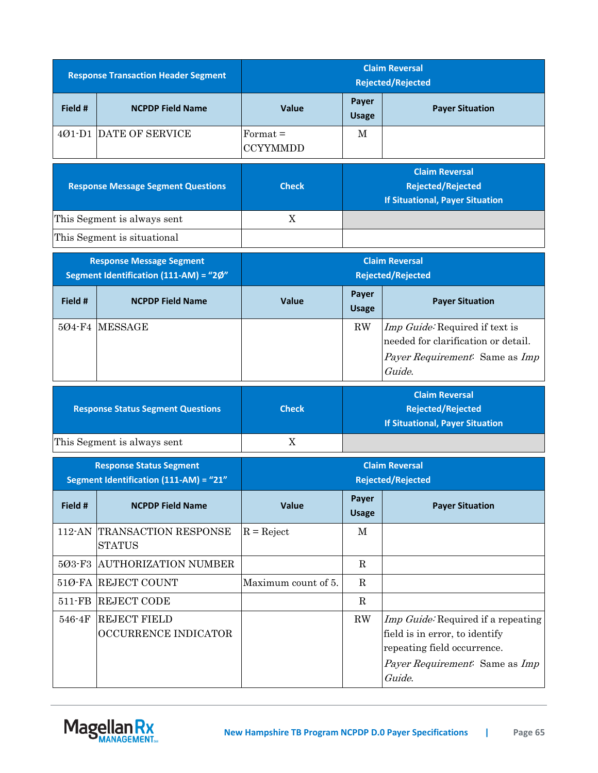| <b>Response Transaction Header Segment</b> |                             | <b>Claim Reversal</b><br><b>Rejected/Rejected</b> |                       |                                                                                             |
|--------------------------------------------|-----------------------------|---------------------------------------------------|-----------------------|---------------------------------------------------------------------------------------------|
| Field #                                    | <b>NCPDP Field Name</b>     | Value                                             | Payer<br><b>Usage</b> | <b>Payer Situation</b>                                                                      |
|                                            | 401-D1 DATE OF SERVICE      | Formula<br><b>CCYYMMDD</b>                        | M                     |                                                                                             |
| <b>Response Message Segment Questions</b>  |                             | <b>Check</b>                                      |                       | <b>Claim Reversal</b><br><b>Rejected/Rejected</b><br><b>If Situational, Payer Situation</b> |
|                                            | This Segment is always sent | X                                                 |                       |                                                                                             |
|                                            | This Segment is situational |                                                   |                       |                                                                                             |

| <b>Response Message Segment</b><br>Segment Identification (111-AM) = "2Ø" |                         | <b>Claim Reversal</b><br>Rejected/Rejected |                       |                                                                                                                                        |
|---------------------------------------------------------------------------|-------------------------|--------------------------------------------|-----------------------|----------------------------------------------------------------------------------------------------------------------------------------|
| Field #                                                                   | <b>NCPDP Field Name</b> | <b>Value</b>                               | Payer<br><b>Usage</b> | <b>Payer Situation</b>                                                                                                                 |
|                                                                           | 504-F4 IMESSAGE         |                                            | RW                    | <i>Imp Guide:</i> Required if text is<br>needed for clarification or detail.<br><i>Payer Requirement.</i> Same as <i>Imp</i><br>Guide. |

| <b>Response Status Segment Questions</b> | <b>Check</b> | <b>Claim Reversal</b><br><b>Rejected/Rejected</b><br><b>If Situational, Payer Situation</b> |
|------------------------------------------|--------------|---------------------------------------------------------------------------------------------|
| This Segment is always sent              |              |                                                                                             |

| <b>Response Status Segment</b><br>Segment Identification (111-AM) = "21" |                                                    | <b>Claim Reversal</b><br><b>Rejected/Rejected</b> |                       |                                                                                                                                                                      |
|--------------------------------------------------------------------------|----------------------------------------------------|---------------------------------------------------|-----------------------|----------------------------------------------------------------------------------------------------------------------------------------------------------------------|
| Field #                                                                  | <b>NCPDP Field Name</b>                            | <b>Value</b>                                      | Payer<br><b>Usage</b> | <b>Payer Situation</b>                                                                                                                                               |
| $112$ -AN                                                                | TRANSACTION RESPONSE<br><b>STATUS</b>              | $R =$ Reject                                      | M                     |                                                                                                                                                                      |
| 503-F3                                                                   | AUTHORIZATION NUMBER                               |                                                   | R                     |                                                                                                                                                                      |
|                                                                          | 51Ø-FA IREJECT COUNT                               | Maximum count of 5.                               | R                     |                                                                                                                                                                      |
| $511-FB$                                                                 | <b>REJECT CODE</b>                                 |                                                   | $\mathbf R$           |                                                                                                                                                                      |
| $546 - 4F$                                                               | <b>REJECT FIELD</b><br><b>OCCURRENCE INDICATOR</b> |                                                   | $\rm RW$              | <i>Imp Guide:</i> Required if a repeating<br>field is in error, to identify<br>repeating field occurrence.<br><i>Payer Requirement.</i> Same as <i>Imp</i><br>Guide. |

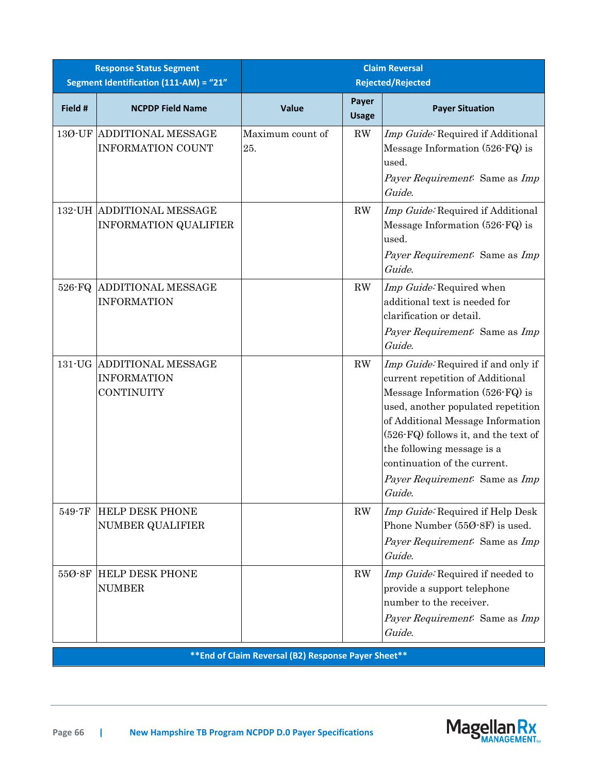| <b>Response Status Segment</b><br>Segment Identification (111-AM) = "21" |                                                                      | <b>Claim Reversal</b><br><b>Rejected/Rejected</b>    |                        |                                                                                                                                                                                                                                                                                                                                        |
|--------------------------------------------------------------------------|----------------------------------------------------------------------|------------------------------------------------------|------------------------|----------------------------------------------------------------------------------------------------------------------------------------------------------------------------------------------------------------------------------------------------------------------------------------------------------------------------------------|
| Field #                                                                  | <b>NCPDP Field Name</b>                                              | <b>Value</b>                                         | Payer<br><b>Usage</b>  | <b>Payer Situation</b>                                                                                                                                                                                                                                                                                                                 |
|                                                                          | 130-UF ADDITIONAL MESSAGE<br><b>INFORMATION COUNT</b>                | Maximum count of<br>25.                              | $\mathbf{R}\mathbf{W}$ | Imp Guide: Required if Additional<br>Message Information (526-FQ) is<br>used.<br>Payer Requirement: Same as Imp<br>Guide.                                                                                                                                                                                                              |
|                                                                          | 132-UH ADDITIONAL MESSAGE<br><b>INFORMATION QUALIFIER</b>            |                                                      | $\mathbf{R}\mathbf{W}$ | Imp Guide: Required if Additional<br>Message Information (526-FQ) is<br>used.<br>Payer Requirement: Same as Imp<br>Guide.                                                                                                                                                                                                              |
| 526-FQ                                                                   | <b>ADDITIONAL MESSAGE</b><br><b>INFORMATION</b>                      |                                                      | $\mathbf{R}\mathbf{W}$ | Imp Guide: Required when<br>additional text is needed for<br>clarification or detail.<br>Payer Requirement: Same as Imp<br>Guide.                                                                                                                                                                                                      |
|                                                                          | 131-UG ADDITIONAL MESSAGE<br><b>INFORMATION</b><br><b>CONTINUITY</b> |                                                      | $\mathbf{R}\mathbf{W}$ | Imp Guide: Required if and only if<br>current repetition of Additional<br>Message Information (526-FQ) is<br>used, another populated repetition<br>of Additional Message Information<br>(526-FQ) follows it, and the text of<br>the following message is a<br>continuation of the current.<br>Payer Requirement: Same as Imp<br>Guide. |
| 549-7F                                                                   | <b>HELP DESK PHONE</b><br><b>NUMBER QUALIFIER</b>                    |                                                      | $\mathbf{R}\mathbf{W}$ | Imp Guide: Required if Help Desk<br>Phone Number (550-8F) is used.<br>Payer Requirement: Same as Imp<br>Guide.                                                                                                                                                                                                                         |
| 55Ø-8F                                                                   | <b>HELP DESK PHONE</b><br><b>NUMBER</b>                              | ** End of Claim Reversal (B2) Response Payer Sheet** | $\mathbf{R}\mathbf{W}$ | Imp Guide: Required if needed to<br>provide a support telephone<br>number to the receiver.<br>Payer Requirement: Same as Imp<br>Guide.                                                                                                                                                                                                 |